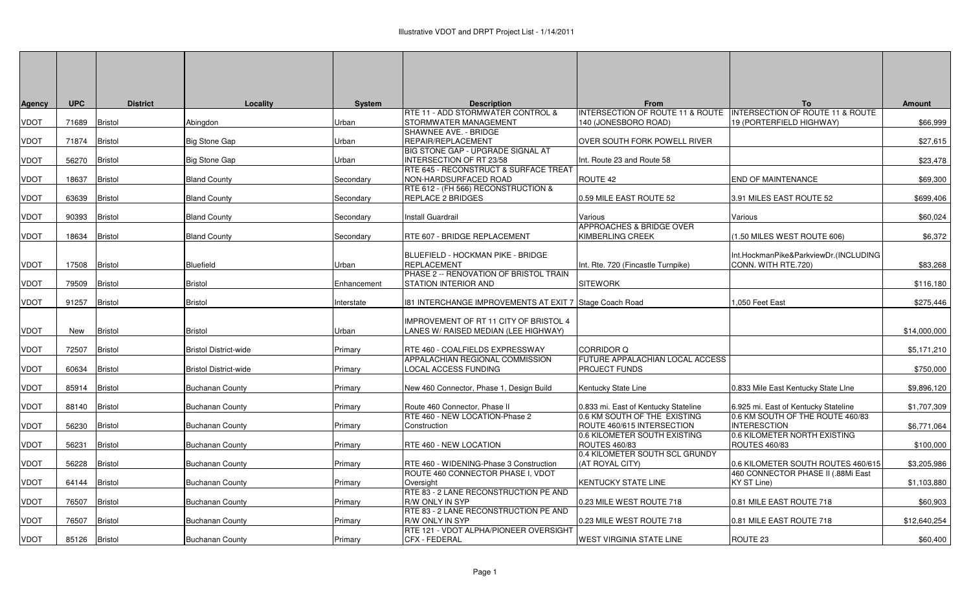| Agency      | <b>UPC</b> | <b>District</b> | Locality                     | <b>System</b> | <b>Description</b><br>RTE 11 - ADD STORMWATER CONTROL & | <b>From</b><br>INTERSECTION OF ROUTE 11 & ROUTE   INTERSECTION OF ROUTE 11 & ROUTE | To                                    | <b>Amount</b> |
|-------------|------------|-----------------|------------------------------|---------------|---------------------------------------------------------|------------------------------------------------------------------------------------|---------------------------------------|---------------|
| VDOT        | 71689      | Bristol         | Abingdon                     | Urban         | STORMWATER MANAGEMENT                                   | 140 (JONESBORO ROAD)                                                               | 19 (PORTERFIELD HIGHWAY)              | \$66,999      |
|             |            |                 |                              |               | SHAWNEE AVE. - BRIDGE                                   |                                                                                    |                                       |               |
| <b>VDOT</b> | 71874      | <b>Bristol</b>  | <b>Big Stone Gap</b>         | Urban         | REPAIR/REPLACEMENT                                      | OVER SOUTH FORK POWELL RIVER                                                       |                                       | \$27,615      |
|             |            |                 |                              |               | BIG STONE GAP - UPGRADE SIGNAL AT                       |                                                                                    |                                       |               |
| VDOT        | 56270      | Bristol         | <b>Big Stone Gap</b>         | Urban         | <b>INTERSECTION OF RT 23/58</b>                         | Int. Route 23 and Route 58                                                         |                                       | \$23,478      |
|             |            |                 |                              |               | RTE 645 - RECONSTRUCT & SURFACE TREAT                   |                                                                                    |                                       |               |
| VDOT        | 18637      | Bristol         | <b>Bland County</b>          | Secondary     | NON-HARDSURFACED ROAD                                   | ROUTE 42                                                                           | END OF MAINTENANCE                    | \$69,300      |
|             |            |                 |                              |               | RTE 612 - (FH 566) RECONSTRUCTION &                     |                                                                                    |                                       |               |
| VDOT        | 63639      | Bristol         | <b>Bland County</b>          | Secondary     | REPLACE 2 BRIDGES                                       | 0.59 MILE EAST ROUTE 52                                                            | 3.91 MILES EAST ROUTE 52              | \$699,406     |
|             |            |                 |                              |               |                                                         |                                                                                    |                                       |               |
| VDOT        | 90393      | Bristol         | <b>Bland County</b>          | Secondary     | Install Guardrail                                       | Various                                                                            | Various                               | \$60,024      |
|             |            |                 |                              |               |                                                         | <b>APPROACHES &amp; BRIDGE OVER</b>                                                |                                       |               |
| VDOT        | 18634      | <b>Bristol</b>  | <b>Bland County</b>          | Secondary     | RTE 607 - BRIDGE REPLACEMENT                            | KIMBERLING CREEK                                                                   | (1.50 MILES WEST ROUTE 606)           | \$6,372       |
|             |            |                 |                              |               |                                                         |                                                                                    |                                       |               |
|             |            |                 |                              |               | BLUEFIELD - HOCKMAN PIKE - BRIDGE                       |                                                                                    | Int.HockmanPike&ParkviewDr.(INCLUDING |               |
| VDOT        | 17508      | Bristol         | Bluefield                    | Urban         | <b>REPLACEMENT</b>                                      | Int. Rte. 720 (Fincastle Turnpike)                                                 | CONN. WITH RTE.720)                   | \$83,268      |
|             |            |                 |                              |               | PHASE 2 -- RENOVATION OF BRISTOL TRAIN                  |                                                                                    |                                       |               |
| VDOT        | 79509      | Bristol         | <b>Bristol</b>               | Enhancement   | STATION INTERIOR AND                                    | <b>SITEWORK</b>                                                                    |                                       | \$116,180     |
|             |            |                 |                              |               |                                                         |                                                                                    |                                       | \$275,446     |
| VDOT        | 91257      | <b>Bristol</b>  | <b>Bristol</b>               | Interstate    | 181 INTERCHANGE IMPROVEMENTS AT EXIT 7 Stage Coach Road |                                                                                    | ,050 Feet East                        |               |
|             |            |                 |                              |               | IMPROVEMENT OF RT 11 CITY OF BRISTOL 4                  |                                                                                    |                                       |               |
| VDOT        | New        | <b>Bristol</b>  | <b>Bristol</b>               | Urban         | LANES W/ RAISED MEDIAN (LEE HIGHWAY)                    |                                                                                    |                                       | \$14,000,000  |
|             |            |                 |                              |               |                                                         |                                                                                    |                                       |               |
| VDOT        | 72507      | Bristol         | <b>Bristol District-wide</b> | Primary       | RTE 460 - COALFIELDS EXPRESSWAY                         | <b>CORRIDOR Q</b>                                                                  |                                       | \$5,171,210   |
|             |            |                 |                              |               | APPALACHIAN REGIONAL COMMISSION                         | FUTURE APPALACHIAN LOCAL ACCESS                                                    |                                       |               |
| VDOT        | 60634      | Bristol         | <b>Bristol District-wide</b> | Primary       | LOCAL ACCESS FUNDING                                    | <b>PROJECT FUNDS</b>                                                               |                                       | \$750,000     |
|             |            |                 |                              |               |                                                         |                                                                                    |                                       |               |
| VDOT        | 85914      | Bristol         | <b>Buchanan County</b>       | Primary       | New 460 Connector, Phase 1, Design Build                | Kentucky State Line                                                                | 0.833 Mile East Kentucky State Line   | \$9,896,120   |
|             |            |                 |                              |               |                                                         |                                                                                    |                                       |               |
| VDOT        | 88140      | Bristol         | <b>Buchanan County</b>       | Primary       | Route 460 Connector, Phase II                           | 0.833 mi. East of Kentucky Stateline                                               | 6.925 mi. East of Kentucky Stateline  | \$1,707,309   |
|             |            |                 |                              |               | RTE 460 - NEW LOCATION-Phase 2                          | 0.6 KM SOUTH OF THE EXISTING                                                       | 0.6 KM SOUTH OF THE ROUTE 460/83      |               |
| VDOT        | 56230      | <b>Bristol</b>  | Buchanan County              | Primary       | Construction                                            | ROUTE 460/615 INTERSECTION                                                         | <b>INTERESCTION</b>                   | \$6,771,064   |
|             |            |                 |                              |               |                                                         | 0.6 KILOMETER SOUTH EXISTING                                                       | 0.6 KILOMETER NORTH EXISTING          |               |
| VDOT        | 56231      | <b>Bristol</b>  | <b>Buchanan County</b>       | Primary       | RTE 460 - NEW LOCATION                                  | <b>ROUTES 460/83</b>                                                               | <b>ROUTES 460/83</b>                  | \$100,000     |
|             |            |                 |                              |               |                                                         | 0.4 KILOMETER SOUTH SCL GRUNDY                                                     |                                       |               |
| VDOT        | 56228      | <b>Bristol</b>  | <b>Buchanan County</b>       | Primary       | RTE 460 - WIDENING-Phase 3 Construction                 | (AT ROYAL CITY)                                                                    | 0.6 KILOMETER SOUTH ROUTES 460/615    | \$3,205,986   |
|             |            |                 |                              |               | ROUTE 460 CONNECTOR PHASE I, VDOT                       |                                                                                    | 460 CONNECTOR PHASE II (.88Mi East    |               |
| VDOT        | 64144      | Bristol         | Buchanan County              | Primary       | Oversight<br>RTE 83 - 2 LANE RECONSTRUCTION PE AND      | <b>KENTUCKY STATE LINE</b>                                                         | KY ST Line)                           | \$1,103,880   |
| VDOT        | 76507      | <b>Bristol</b>  |                              |               | R/W ONLY IN SYP                                         | 0.23 MILE WEST ROUTE 718                                                           | 0.81 MILE EAST ROUTE 718              | \$60,903      |
|             |            |                 | <b>Buchanan County</b>       | Primary       | RTE 83 - 2 LANE RECONSTRUCTION PE AND                   |                                                                                    |                                       |               |
| VDOT        | 76507      | Bristol         | <b>Buchanan County</b>       | Primary       | R/W ONLY IN SYP                                         | 0.23 MILE WEST ROUTE 718                                                           | 0.81 MILE EAST ROUTE 718              | \$12,640,254  |
|             |            |                 |                              |               | RTE 121 - VDOT ALPHA/PIONEER OVERSIGHT                  |                                                                                    |                                       |               |
| VDOT        | 85126      | Bristol         | <b>Buchanan County</b>       | Primary       | CFX - FEDERAL                                           | WEST VIRGINIA STATE LINE                                                           | ROUTE 23                              | \$60,400      |
|             |            |                 |                              |               |                                                         |                                                                                    |                                       |               |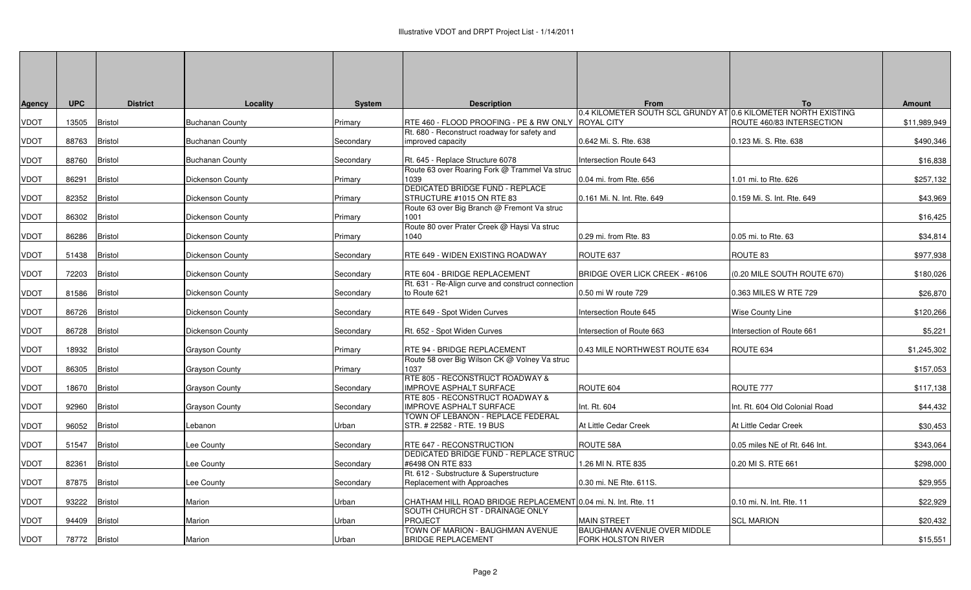| Agency      | <b>UPC</b> | <b>District</b> | Locality               | <b>System</b> | <b>Description</b>                                                                               | <b>From</b>                                                                         | To                             | <b>Amount</b> |
|-------------|------------|-----------------|------------------------|---------------|--------------------------------------------------------------------------------------------------|-------------------------------------------------------------------------------------|--------------------------------|---------------|
| VDOT        | 13505      | <b>Bristol</b>  | <b>Buchanan County</b> | Primary       | RTE 460 - FLOOD PROOFING - PE & RW ONLY                                                          | 0.4 KILOMETER SOUTH SCL GRUNDY AT 0.6 KILOMETER NORTH EXISTING<br><b>ROYAL CITY</b> | ROUTE 460/83 INTERSECTION      | \$11,989,949  |
| <b>TOUV</b> | 88763      | <b>Bristol</b>  | <b>Buchanan County</b> | Secondary     | Rt. 680 - Reconstruct roadway for safety and<br>improved capacity                                | 0.642 Mi. S. Rte. 638                                                               | 0.123 Mi. S. Rte. 638          | \$490,346     |
| VDOT        | 88760      | <b>Bristol</b>  | <b>Buchanan County</b> | Secondary     | Rt. 645 - Replace Structure 6078                                                                 | Intersection Route 643                                                              |                                | \$16,838      |
| VDOT        | 86291      | <b>Bristol</b>  | Dickenson County       | Primary       | Route 63 over Roaring Fork @ Trammel Va struc<br>1039                                            | 0.04 mi. from Rte. 656                                                              | 1.01 mi. to Rte. 626           | \$257,132     |
| VDOT        | 82352      | <b>Bristol</b>  | Dickenson County       | Primary       | <b>DEDICATED BRIDGE FUND - REPLACE</b><br>STRUCTURE #1015 ON RTE 83                              | 0.161 Mi. N. Int. Rte. 649                                                          | 0.159 Mi. S. Int. Rte. 649     | \$43,969      |
| VDOT        | 86302      | Bristol         | Dickenson County       | Primary       | Route 63 over Big Branch @ Fremont Va struc<br>1001                                              |                                                                                     |                                | \$16,425      |
| VDOT        | 86286      | <b>Bristol</b>  | Dickenson County       | Primary       | Route 80 over Prater Creek @ Haysi Va struc<br>1040                                              | 0.29 mi. from Rte. 83                                                               | 0.05 mi. to Rte. 63            | \$34,814      |
| VDOT        | 51438      | <b>Bristol</b>  | Dickenson County       | Secondary     | RTE 649 - WIDEN EXISTING ROADWAY                                                                 | ROUTE 637                                                                           | ROUTE 83                       | \$977,938     |
| <b>TOUV</b> | 72203      | <b>Bristol</b>  | Dickenson County       | Secondary     | RTE 604 - BRIDGE REPLACEMENT<br>Rt. 631 - Re-Align curve and construct connection                | BRIDGE OVER LICK CREEK - #6106                                                      | (0.20 MILE SOUTH ROUTE 670)    | \$180,026     |
| VDOT        | 81586      | <b>Bristol</b>  | Dickenson County       | Secondary     | to Route 621                                                                                     | 0.50 mi W route 729                                                                 | 0.363 MILES W RTE 729          | \$26,870      |
| VDOT        | 86726      | <b>Bristol</b>  | Dickenson County       | Secondary     | RTE 649 - Spot Widen Curves                                                                      | Intersection Route 645                                                              | Wise County Line               | \$120,266     |
| VDOT        | 86728      | <b>Bristol</b>  | Dickenson County       | Secondarv     | Rt. 652 - Spot Widen Curves                                                                      | Intersection of Route 663                                                           | Intersection of Route 661      | \$5,221       |
| VDOT        | 18932      | <b>Bristol</b>  | Grayson County         | Primary       | RTE 94 - BRIDGE REPLACEMENT<br>Route 58 over Big Wilson CK @ Volney Va struc                     | 0.43 MILE NORTHWEST ROUTE 634                                                       | ROUTE 634                      | \$1,245,302   |
| VDOT        | 86305      | Bristol         | <b>Grayson County</b>  | Primary       | 1037<br>RTE 805 - RECONSTRUCT ROADWAY &                                                          |                                                                                     |                                | \$157,053     |
| VDOT        | 18670      | Bristol         | <b>Grayson County</b>  | Secondarv     | <b>IMPROVE ASPHALT SURFACE</b><br>RTE 805 - RECONSTRUCT ROADWAY &                                | ROUTE 604                                                                           | ROUTE 777                      | \$117,138     |
| VDOT        | 92960      | <b>Bristol</b>  | <b>Grayson County</b>  | Secondary     | <b>IMPROVE ASPHALT SURFACE</b><br>TOWN OF LEBANON - REPLACE FEDERAL                              | Int. Rt. 604                                                                        | Int. Rt. 604 Old Colonial Road | \$44,432      |
| <b>TOUV</b> | 96052      | <b>Bristol</b>  | _ebanon                | Urban         | STR. # 22582 - RTE. 19 BUS                                                                       | At Little Cedar Creek                                                               | At Little Cedar Creek          | \$30,453      |
| VDOT        | 51547      | Bristol         | Lee County             | Secondarv     | RTE 647 - RECONSTRUCTION<br>DEDICATED BRIDGE FUND - REPLACE STRUC                                | ROUTE 58A                                                                           | 0.05 miles NE of Rt. 646 Int.  | \$343,064     |
| VDOT        | 82361      | <b>Bristol</b>  | ee County              | Secondary     | #6498 ON RTE 833<br>Rt. 612 - Substructure & Superstructure                                      | 1.26 MI N. RTE 835                                                                  | 0.20 MI S. RTE 661             | \$298,000     |
| VDOT        | 87875      | <b>Bristol</b>  | ee County              | Secondary     | Replacement with Approaches                                                                      | 0.30 mi. NE Rte. 611S.                                                              |                                | \$29,955      |
| VDOT        | 93222      | Bristol         | Marion                 | Jrban         | CHATHAM HILL ROAD BRIDGE REPLACEMENT 0.04 mi. N. Int. Rte. 11<br>SOUTH CHURCH ST - DRAINAGE ONLY |                                                                                     | 0.10 mi. N. Int. Rte. 11       | \$22,929      |
| VDOT        | 94409      | Bristol         | Marion                 | Jrban         | <b>PROJECT</b><br>TOWN OF MARION - BAUGHMAN AVENUE                                               | <b>MAIN STREET</b><br>BAUGHMAN AVENUE OVER MIDDLE                                   | <b>SCL MARION</b>              | \$20,432      |
| VDOT        | 78772      | Bristol         | Marion                 | Urban         | <b>BRIDGE REPLACEMENT</b>                                                                        | FORK HOLSTON RIVER                                                                  |                                | \$15,551      |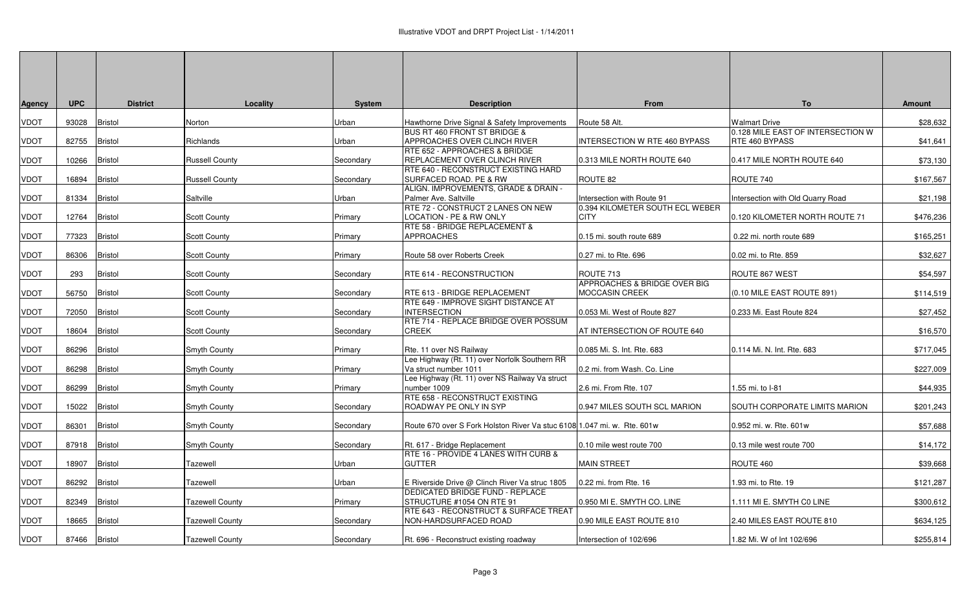| Agency      | <b>UPC</b> | <b>District</b> | Locality               | <b>System</b> | <b>Description</b>                                                                | From                                           | To                                                  | <b>Amount</b> |
|-------------|------------|-----------------|------------------------|---------------|-----------------------------------------------------------------------------------|------------------------------------------------|-----------------------------------------------------|---------------|
| VDOT        | 93028      | <b>Bristol</b>  | Norton                 | Jrban         | Hawthorne Drive Signal & Safety Improvements                                      | Route 58 Alt.                                  | Walmart Drive                                       | \$28,632      |
| VDOT        | 82755      | <b>Bristol</b>  | Richlands              | Jrban         | <b>BUS RT 460 FRONT ST BRIDGE &amp;</b><br>APPROACHES OVER CLINCH RIVER           | INTERSECTION W RTE 460 BYPASS                  | 0.128 MILE EAST OF INTERSECTION W<br>RTE 460 BYPASS | \$41,641      |
| <b>TOUV</b> | 10266      | <b>Bristol</b>  | <b>Russell County</b>  | Secondarv     | RTE 652 - APPROACHES & BRIDGE<br>REPLACEMENT OVER CLINCH RIVER                    | 0.313 MILE NORTH ROUTE 640                     | 0.417 MILE NORTH ROUTE 640                          | \$73,130      |
| VDOT        | 16894      | <b>Bristol</b>  | Russell County         | Secondary     | RTE 640 - RECONSTRUCT EXISTING HARD<br>SURFACED ROAD. PE & RW                     | ROUTE 82                                       | ROUTE 740                                           | \$167,567     |
| VDOT        | 81334      | <b>Bristol</b>  | Saltville              | Urban         | ALIGN. IMPROVEMENTS, GRADE & DRAIN -<br>Palmer Ave. Saltville                     | Intersection with Route 91                     | Intersection with Old Quarry Road                   | \$21,198      |
| VDOT        | 12764      | <b>Bristol</b>  | <b>Scott County</b>    | Primary       | RTE 72 - CONSTRUCT 2 LANES ON NEW<br>LOCATION - PE & RW ONLY                      | 0.394 KILOMETER SOUTH ECL WEBER<br><b>CITY</b> | 0.120 KILOMETER NORTH ROUTE 71                      | \$476,236     |
| <b>TOUV</b> | 77323      | Bristol         | <b>Scott County</b>    | Primary       | RTE 58 - BRIDGE REPLACEMENT &<br><b>APPROACHES</b>                                | 0.15 mi. south route 689                       | 0.22 mi. north route 689                            | \$165,251     |
| VDOT        | 86306      | <b>Bristol</b>  | <b>Scott County</b>    | Primary       | Route 58 over Roberts Creek                                                       | 0.27 mi. to Rte. 696                           | 0.02 mi. to Rte. 859                                | \$32,627      |
| VDOT        | 293        | <b>Bristol</b>  | <b>Scott County</b>    | Secondarv     | RTE 614 - RECONSTRUCTION                                                          | ROUTE 713<br>APPROACHES & BRIDGE OVER BIG      | ROUTE 867 WEST                                      | \$54,597      |
| VDOT        | 56750      | <b>Bristol</b>  | <b>Scott County</b>    | Secondary     | RTE 613 - BRIDGE REPLACEMENT<br>RTE 649 - IMPROVE SIGHT DISTANCE AT               | <b>MOCCASIN CREEK</b>                          | (0.10 MILE EAST ROUTE 891)                          | \$114,519     |
| VDOT        | 72050      | Bristol         | <b>Scott County</b>    | Secondary     | <b>INTERSECTION</b><br>RTE 714 - REPLACE BRIDGE OVER POSSUM                       | 0.053 Mi. West of Route 827                    | 0.233 Mi. East Route 824                            | \$27,452      |
| VDOT        | 18604      | <b>Bristol</b>  | <b>Scott County</b>    | Secondary     | <b>CREEK</b>                                                                      | AT INTERSECTION OF ROUTE 640                   |                                                     | \$16,570      |
| VDOT        | 86296      | Bristol         | Smyth County           | Primary       | Rte. 11 over NS Railway<br>Lee Highway (Rt. 11) over Norfolk Southern RR          | 0.085 Mi. S. Int. Rte. 683                     | 0.114 Mi. N. Int. Rte. 683                          | \$717,045     |
| VDOT        | 86298      | <b>Bristol</b>  | Smyth County           | Primary       | Va struct number 1011<br>Lee Highway (Rt. 11) over NS Railway Va struct           | 0.2 mi. from Wash. Co. Line                    |                                                     | \$227,009     |
| VDOT        | 86299      | Bristol         | Smyth County           | Primary       | number 1009<br>RTE 658 - RECONSTRUCT EXISTING                                     | 2.6 mi. From Rte. 107                          | 1.55 mi. to I-81                                    | \$44,935      |
| VDOT        | 15022      | <b>Bristol</b>  | Smyth County           | Secondary     | ROADWAY PE ONLY IN SYP                                                            | 0.947 MILES SOUTH SCL MARION                   | SOUTH CORPORATE LIMITS MARION                       | \$201,243     |
| VDOT        | 86301      | <b>Bristol</b>  | Smyth County           | Secondary     | Route 670 over S Fork Holston River Va stuc 6108 1.047 mi. w. Rte. 601w           |                                                | 0.952 mi. w. Rte. 601w                              | \$57,688      |
| VDOT        | 87918      | <b>Bristol</b>  | Smyth County           | Secondary     | Rt. 617 - Bridge Replacement<br>RTE 16 - PROVIDE 4 LANES WITH CURB &              | 0.10 mile west route 700                       | 0.13 mile west route 700                            | \$14,172      |
| VDOT        | 18907      | <b>Bristol</b>  | Tazewell               | Jrban         | <b>GUTTER</b>                                                                     | <b>MAIN STREET</b>                             | ROUTE 460                                           | \$39,668      |
| VDOT        | 86292      | <b>Bristol</b>  | Tazewell               | Jrban         | E Riverside Drive @ Clinch River Va struc 1805<br>DEDICATED BRIDGE FUND - REPLACE | 0.22 mi. from Rte. 16                          | .93 mi. to Rte. 19                                  | \$121,287     |
| <b>TOUV</b> | 82349      | Bristol         | <b>Tazewell County</b> | Primary       | STRUCTURE #1054 ON RTE 91<br>RTE 643 - RECONSTRUCT & SURFACE TREAT                | 0.950 MI E. SMYTH CO. LINE                     | 1.111 MI E. SMYTH C0 LINE                           | \$300,612     |
| VDOT        | 18665      | Bristol         | <b>Tazewell County</b> | Secondarv     | NON-HARDSURFACED ROAD                                                             | 0.90 MILE EAST ROUTE 810                       | 2.40 MILES EAST ROUTE 810                           | \$634,125     |
| VDOT        | 87466      | Bristol         | Tazewell County        | Secondary     | Rt. 696 - Reconstruct existing roadway                                            | Intersection of 102/696                        | 1.82 Mi. W of Int 102/696                           | \$255,814     |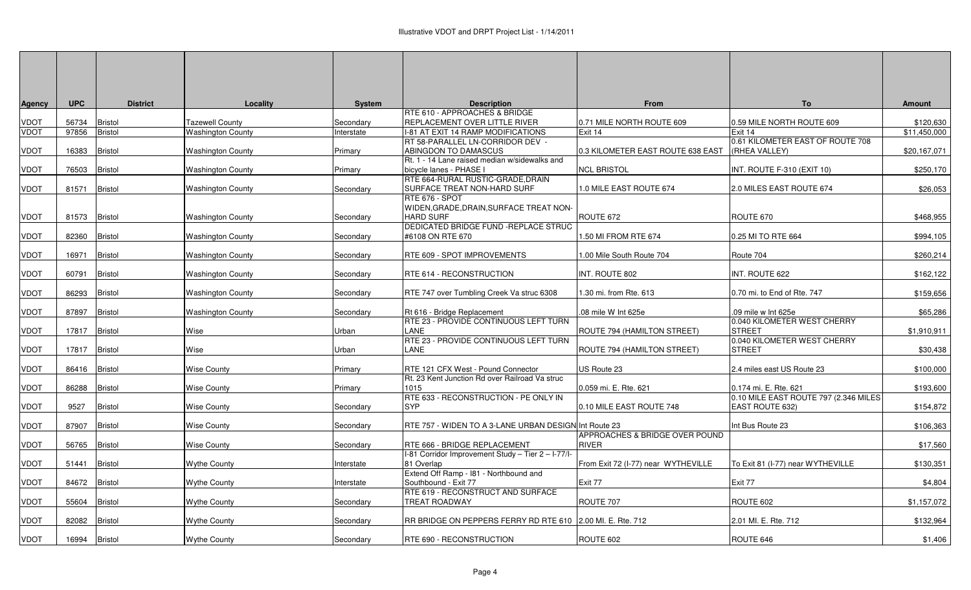|             | <b>UPC</b>    | <b>District</b> | Locality                 | <b>System</b> | <b>Description</b>                                                         | From                                | To                                                 | <b>Amount</b> |
|-------------|---------------|-----------------|--------------------------|---------------|----------------------------------------------------------------------------|-------------------------------------|----------------------------------------------------|---------------|
| Agency      |               |                 |                          |               | RTE 610 - APPROACHES & BRIDGE                                              |                                     |                                                    |               |
| VDOT        | 56734         | <b>Bristol</b>  | <b>Tazewell County</b>   | Secondary     | REPLACEMENT OVER LITTLE RIVER                                              | 0.71 MILE NORTH ROUTE 609           | 0.59 MILE NORTH ROUTE 609                          | \$120,630     |
| <b>VDOT</b> | 97856         | <b>Bristol</b>  | <b>Washington County</b> | Interstate    | I-81 AT EXIT 14 RAMP MODIFICATIONS                                         | Exit 14                             | Exit 14                                            | \$11,450,000  |
|             |               |                 |                          |               | RT 58-PARALLEL LN-CORRIDOR DEV -                                           |                                     | 0.61 KILOMETER EAST OF ROUTE 708                   |               |
| VDOT        | 16383         | <b>Bristol</b>  | <b>Washington County</b> | Primary       | ABINGDON TO DAMASCUS                                                       | 0.3 KILOMETER EAST ROUTE 638 EAST   | (RHEA VALLEY)                                      | \$20,167,071  |
|             |               |                 |                          |               | Rt. 1 - 14 Lane raised median w/sidewalks and                              |                                     |                                                    |               |
| VDOT        | 76503         | <b>Bristol</b>  | <b>Washington County</b> | Primary       | bicycle lanes - PHASE I                                                    | <b>NCL BRISTOL</b>                  | INT. ROUTE F-310 (EXIT 10)                         | \$250,170     |
|             |               |                 |                          |               | RTE 664-RURAL RUSTIC-GRADE, DRAIN                                          |                                     |                                                    |               |
| VDOT        | 81571         | <b>Bristol</b>  | <b>Washington County</b> | Secondary     | SURFACE TREAT NON-HARD SURF                                                | 1.0 MILE EAST ROUTE 674             | 2.0 MILES EAST ROUTE 674                           | \$26,053      |
| VDOT        | 81573 Bristol |                 | Washington County        | Secondary     | RTE 676 - SPOT<br>WIDEN.GRADE.DRAIN.SURFACE TREAT NON-<br><b>HARD SURF</b> | ROUTE 672                           | ROUTE 670                                          | \$468,955     |
|             |               |                 |                          |               | DEDICATED BRIDGE FUND - REPLACE STRUC                                      |                                     |                                                    |               |
| VDOT        | 82360         | <b>Bristol</b>  | <b>Washington County</b> | Secondary     | #6108 ON RTE 670                                                           | 1.50 MI FROM RTE 674                | 0.25 MI TO RTE 664                                 | \$994,105     |
| VDOT        | 16971         | <b>Bristol</b>  | <b>Washington County</b> | Secondary     | RTE 609 - SPOT IMPROVEMENTS                                                | 1.00 Mile South Route 704           | Route 704                                          | \$260,214     |
| VDOT        | 60791         | <b>Bristol</b>  | <b>Washington County</b> | Secondary     | RTE 614 - RECONSTRUCTION                                                   | INT. ROUTE 802                      | INT. ROUTE 622                                     | \$162,122     |
| VDOT        | 86293         | <b>Bristol</b>  | <b>Washington County</b> | Secondary     | RTE 747 over Tumbling Creek Va struc 6308                                  | 1.30 mi. from Rte. 613              | 0.70 mi. to End of Rte. 747                        | \$159,656     |
| VDOT        | 87897         | <b>Bristol</b>  | <b>Washington County</b> | Secondary     | Rt 616 - Bridge Replacement<br>RTE 23 - PROVIDE CONTINUOUS LEFT TURN       | .08 mile W Int 625e                 | .09 mile w Int 625e<br>0.040 KILOMETER WEST CHERRY | \$65,286      |
| VDOT        | 17817         | <b>Bristol</b>  | Wise                     | Urban         | <b>LANE</b>                                                                | ROUTE 794 (HAMILTON STREET)         | <b>STREET</b>                                      | \$1,910,911   |
| VDOT        | 17817 Bristol |                 | Wise                     | Urban         | RTE 23 - PROVIDE CONTINUOUS LEFT TURN<br><b>LANE</b>                       | ROUTE 794 (HAMILTON STREET)         | 0.040 KILOMETER WEST CHERRY<br><b>STREET</b>       | \$30,438      |
| VDOT        | 86416 Bristol |                 | <b>Wise County</b>       | Primary       | RTE 121 CFX West - Pound Connector                                         | US Route 23                         | 2.4 miles east US Route 23                         | \$100,000     |
| VDOT        | 86288         | <b>Bristol</b>  | <b>Wise County</b>       | Primary       | Rt. 23 Kent Junction Rd over Railroad Va struc<br>1015                     | 0.059 mi. E. Rte. 621               | 0.174 mi. E. Rte. 621                              | \$193,600     |
|             |               |                 |                          |               | RTE 633 - RECONSTRUCTION - PE ONLY IN                                      |                                     | 0.10 MILE EAST ROUTE 797 (2.346 MILES              |               |
| VDOT        | 9527          | <b>Bristol</b>  | Wise County              | Secondary     | SYP                                                                        | 0.10 MILE EAST ROUTE 748            | <b>EAST ROUTE 632)</b>                             | \$154,872     |
|             |               |                 |                          |               |                                                                            |                                     |                                                    |               |
| VDOT        | 87907         | <b>Bristol</b>  | <b>Wise County</b>       | Secondary     | RTE 757 - WIDEN TO A 3-LANE URBAN DESIGN Int Route 23                      |                                     | Int Bus Route 23                                   | \$106,363     |
|             |               |                 |                          |               |                                                                            | APPROACHES & BRIDGE OVER POUND      |                                                    |               |
| VDOT        | 56765         | <b>Bristol</b>  | <b>Wise County</b>       | Secondary     | RTE 666 - BRIDGE REPLACEMENT                                               | <b>RIVER</b>                        |                                                    | \$17,560      |
| VDOT        | 51441         | <b>Bristol</b>  | <b>Wythe County</b>      | Interstate    | I-81 Corridor Improvement Study - Tier 2 - I-77/I-<br>81 Overlap           | From Exit 72 (I-77) near WYTHEVILLE | To Exit 81 (I-77) near WYTHEVILLE                  | \$130,351     |
| VDOT        | 84672         | <b>Bristol</b>  | Wythe County             | Interstate    | Extend Off Ramp - 181 - Northbound and<br>Southbound - Exit 77             | Exit 77                             | Exit 77                                            | \$4,804       |
| VDOT        | 55604         | <b>Bristol</b>  | Wythe County             | Secondary     | RTE 619 - RECONSTRUCT AND SURFACE<br>TREAT ROADWAY                         | ROUTE 707                           | ROUTE 602                                          | \$1,157,072   |
| VDOT        | 82082         | <b>Bristol</b>  | <b>Wythe County</b>      | Secondary     | RR BRIDGE ON PEPPERS FERRY RD RTE 610 2.00 MI. E. Rte. 712                 |                                     | 2.01 MI. E. Rte. 712                               | \$132,964     |
| VDOT        | 16994         | <b>Bristol</b>  | Wythe County             | Secondary     | RTE 690 - RECONSTRUCTION                                                   | ROUTE 602                           | ROUTE 646                                          | \$1,406       |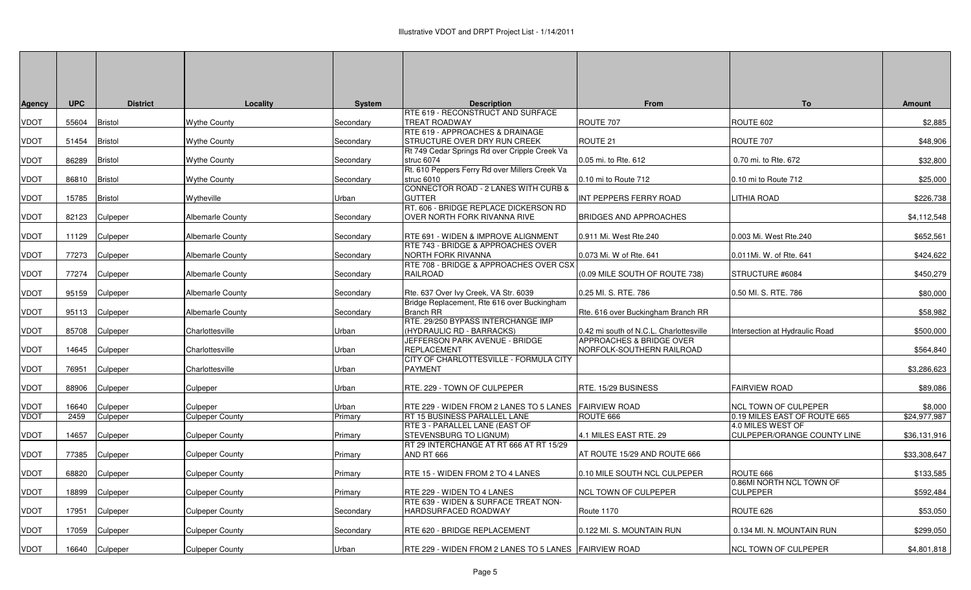| <b>Agency</b> | <b>UPC</b> | <b>District</b> | Locality                | System    | <b>Description</b>                                                                   | From                                                  | To                                                | <b>Amount</b> |
|---------------|------------|-----------------|-------------------------|-----------|--------------------------------------------------------------------------------------|-------------------------------------------------------|---------------------------------------------------|---------------|
| <b>VDOT</b>   | 55604      | <b>Bristol</b>  | <b>Wythe County</b>     | Secondary | <b>RTE 619 - RECONSTRUCT AND SURFACE</b><br><b>TREAT ROADWAY</b>                     | ROUTE 707                                             | ROUTE 602                                         | \$2,885       |
| <b>VDOT</b>   | 51454      | Bristol         | <b>Wythe County</b>     | Secondary | <b>RTE 619 - APPROACHES &amp; DRAINAGE</b><br><b>STRUCTURE OVER DRY RUN CREEK</b>    | ROUTE 21                                              | ROUTE 707                                         | \$48,906      |
| <b>VDOT</b>   | 86289      | <b>Bristol</b>  | <b>Wythe County</b>     | Secondary | Rt 749 Cedar Springs Rd over Cripple Creek Va<br>struc 6074                          | 0.05 mi. to Rte. 612                                  | 0.70 mi. to Rte. 672                              | \$32,800      |
| <b>VDOT</b>   | 86810      | <b>Bristol</b>  | <b>Wythe County</b>     | Secondary | Rt. 610 Peppers Ferry Rd over Millers Creek Va<br>struc 6010                         | 0.10 mi to Route 712                                  | 0.10 mi to Route 712                              | \$25,000      |
| <b>VDOT</b>   | 15785      | <b>Bristol</b>  | Wytheville              | Urban     | CONNECTOR ROAD - 2 LANES WITH CURB &<br><b>GUTTER</b>                                | INT PEPPERS FERRY ROAD                                | <b>LITHIA ROAD</b>                                | \$226,738     |
| <b>VDOT</b>   | 82123      | Culpeper        | <b>Albemarle County</b> | Secondary | RT. 606 - BRIDGE REPLACE DICKERSON RD<br><b>OVER NORTH FORK RIVANNA RIVE</b>         | <b>BRIDGES AND APPROACHES</b>                         |                                                   | \$4,112,548   |
| <b>VDOT</b>   | 11129      | Culpeper        | Albemarle County        | Secondary | RTE 691 - WIDEN & IMPROVE ALIGNMENT<br><b>RTE 743 - BRIDGE &amp; APPROACHES OVER</b> | 0.911 Mi. West Rte.240                                | 0.003 Mi. West Rte.240                            | \$652,561     |
| <b>VDOT</b>   | 77273      | Culpeper        | <b>Albemarle County</b> | Secondary | NORTH FORK RIVANNA                                                                   | 0.073 Mi. W of Rte. 641                               | 0.011Mi. W. of Rte. 641                           | \$424,622     |
| <b>VDOT</b>   | 77274      | Culpeper        | <b>Albemarle County</b> | Secondary | <b>RTE 708 - BRIDGE &amp; APPROACHES OVER CSX</b><br><b>RAILROAD</b>                 | (0.09 MILE SOUTH OF ROUTE 738)                        | STRUCTURE #6084                                   | \$450,279     |
| <b>VDOT</b>   | 95159      | Culpeper        | <b>Albemarle County</b> | Secondary | Rte. 637 Over Ivy Creek, VA Str. 6039                                                | 0.25 MI. S. RTE. 786                                  | 0.50 MI. S. RTE. 786                              | \$80,000      |
| <b>VDOT</b>   | 95113      | Culpeper        | <b>Albemarle County</b> | Secondary | Bridge Replacement, Rte 616 over Buckingham<br><b>Branch RR</b>                      | Rte. 616 over Buckingham Branch RR                    |                                                   | \$58,982      |
| <b>VDOT</b>   | 85708      | Culpeper        | Charlottesville         | Urban     | RTE. 29/250 BYPASS INTERCHANGE IMP<br>(HYDRAULIC RD - BARRACKS)                      | 0.42 mi south of N.C.L. Charlottesville               | Intersection at Hydraulic Road                    | \$500,000     |
| <b>VDOT</b>   | 14645      | Culpeper        | Charlottesville         | Urban     | JEFFERSON PARK AVENUE - BRIDGE<br>REPLACEMENT                                        | APPROACHES & BRIDGE OVER<br>NORFOLK-SOUTHERN RAILROAD |                                                   | \$564,840     |
| <b>VDOT</b>   | 76951      | Culpeper        | Charlottesville         | Urban     | CITY OF CHARLOTTESVILLE - FORMULA CITY<br><b>PAYMENT</b>                             |                                                       |                                                   | \$3,286,623   |
| <b>VDOT</b>   | 88906      | Culpeper        | Culpeper                | Urban     | RTE. 229 - TOWN OF CULPEPER                                                          | RTE. 15/29 BUSINESS                                   | <b>FAIRVIEW ROAD</b>                              | \$89,086      |
| <b>VDOT</b>   | 16640      | Culpeper        | Culpeper                | Urban     | RTE 229 - WIDEN FROM 2 LANES TO 5 LANES FAIRVIEW ROAD                                |                                                       | <b>NCL TOWN OF CULPEPER</b>                       | \$8,000       |
| <b>VDOT</b>   | 2459       | Culpeper        | <b>Culpeper County</b>  | Primary   | <b>RT 15 BUSINESS PARALLEL LANE</b>                                                  | ROUTE 666                                             | 0.19 MILES EAST OF ROUTE 665<br>4.0 MILES WEST OF | \$24,977,987  |
| <b>VDOT</b>   | 14657      | Culpeper        | <b>Culpeper County</b>  | Primary   | <b>RTE 3 - PARALLEL LANE (EAST OF</b><br>STEVENSBURG TO LIGNUM)                      | 4.1 MILES EAST RTE. 29                                | <b>CULPEPER/ORANGE COUNTY LINE</b>                | \$36,131,916  |
| <b>VDOT</b>   | 77385      | Culpeper        | <b>Culpeper County</b>  | Primary   | RT 29 INTERCHANGE AT RT 666 AT RT 15/29<br>AND RT 666                                | AT ROUTE 15/29 AND ROUTE 666                          |                                                   | \$33,308,647  |
| <b>VDOT</b>   | 68820      | Culpeper        | <b>Culpeper County</b>  | Primary   | RTE 15 - WIDEN FROM 2 TO 4 LANES                                                     | 0.10 MILE SOUTH NCL CULPEPER                          | ROUTE 666                                         | \$133,585     |
| <b>VDOT</b>   | 18899      | Culpeper        | <b>Culpeper County</b>  | Primary   | RTE 229 - WIDEN TO 4 LANES                                                           | NCL TOWN OF CULPEPER                                  | 0.86MI NORTH NCL TOWN OF<br><b>CULPEPER</b>       | \$592,484     |
| <b>VDOT</b>   | 17951      | Culpeper        | <b>Culpeper County</b>  | Secondary | RTE 639 - WIDEN & SURFACE TREAT NON-<br>HARDSURFACED ROADWAY                         | Route 1170                                            | ROUTE 626                                         | \$53,050      |
| <b>VDOT</b>   | 17059      | Culpeper        | <b>Culpeper County</b>  | Secondary | RTE 620 - BRIDGE REPLACEMENT                                                         | 0.122 MI. S. MOUNTAIN RUN                             | 0.134 MI. N. MOUNTAIN RUN                         | \$299,050     |
| <b>VDOT</b>   |            | 16640 Culpeper  | <b>Culpeper County</b>  | Urban     | <b>RTE 229 - WIDEN FROM 2 LANES TO 5 LANES FAIRVIEW ROAD</b>                         |                                                       | <b>NCL TOWN OF CULPEPER</b>                       | \$4,801,818   |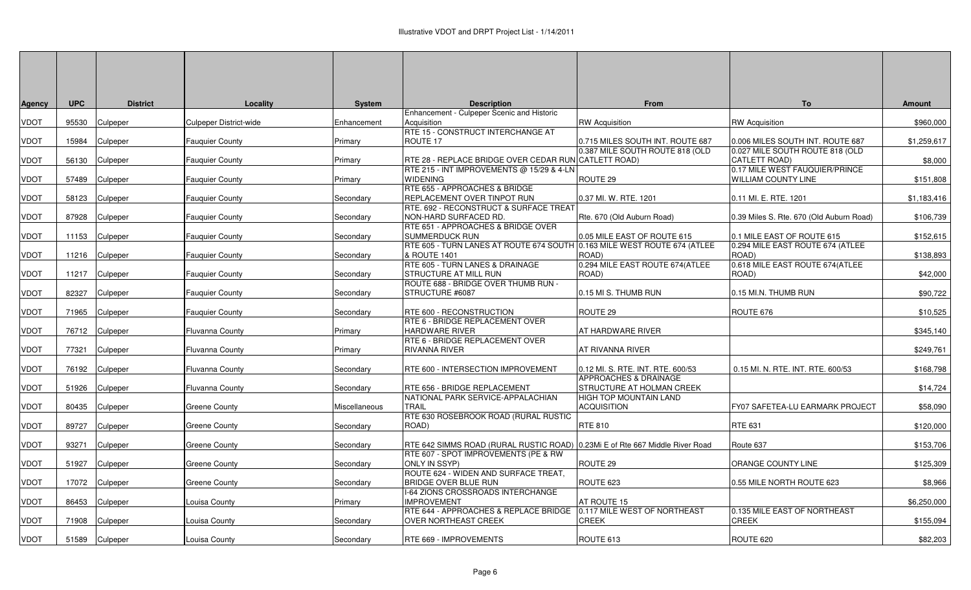| <b>Agency</b> | <b>UPC</b> | <b>District</b> | Locality               | System        | <b>Description</b>                                                                                                   | From                              | To                                                             | <b>Amount</b> |
|---------------|------------|-----------------|------------------------|---------------|----------------------------------------------------------------------------------------------------------------------|-----------------------------------|----------------------------------------------------------------|---------------|
| VDOT          | 95530      | Culpeper        | Culpeper District-wide | Enhancement   | Enhancement - Culpeper Scenic and Historic<br>Acquisition                                                            | <b>RW Acquisition</b>             | <b>RW Acquisition</b>                                          | \$960,000     |
|               |            |                 |                        |               | RTE 15 - CONSTRUCT INTERCHANGE AT                                                                                    |                                   |                                                                |               |
| <b>VDOT</b>   | 15984      | Culpeper        | <b>Fauquier County</b> | Primary       | ROUTE 17                                                                                                             | 0.715 MILES SOUTH INT. ROUTE 687  | 0.006 MILES SOUTH INT. ROUTE 687                               | \$1,259,617   |
| <b>VDOT</b>   | 56130      | Culpeper        | <b>Fauquier County</b> | Primary       | RTE 28 - REPLACE BRIDGE OVER CEDAR RUN CATLETT ROAD)                                                                 | 0.387 MILE SOUTH ROUTE 818 (OLD   | 0.027 MILE SOUTH ROUTE 818 (OLD<br>CATLETT ROAD)               | \$8,000       |
|               |            |                 |                        |               | RTE 215 - INT IMPROVEMENTS @ 15/29 & 4-LN                                                                            |                                   | 0.17 MILE WEST FAUQUIER/PRINCE                                 |               |
| <b>VDOT</b>   | 57489      | Culpeper        | <b>Fauquier County</b> | Primary       | <b>WIDENING</b>                                                                                                      | ROUTE 29                          | <b>WILLIAM COUNTY LINE</b>                                     | \$151,808     |
|               |            |                 |                        |               | RTE 655 - APPROACHES & BRIDGE<br>REPLACEMENT OVER TINPOT RUN                                                         | 0.37 MI. W. RTE. 1201             | 0.11 MI. E. RTE. 1201                                          |               |
| <b>VDOT</b>   | 58123      | Culpeper        | <b>Fauquier County</b> | Secondary     | RTE. 692 - RECONSTRUCT & SURFACE TREAT                                                                               |                                   |                                                                | \$1,183,416   |
| <b>VDOT</b>   | 87928      | Culpeper        | <b>Fauquier County</b> | Secondary     | NON-HARD SURFACED RD.                                                                                                | Rte. 670 (Old Auburn Road)        | 0.39 Miles S. Rte. 670 (Old Auburn Road)                       | \$106,739     |
|               |            |                 |                        |               | RTE 651 - APPROACHES & BRIDGE OVER                                                                                   |                                   |                                                                |               |
| <b>VDOT</b>   | 11153      | Culpeper        | <b>Fauquier County</b> | Secondary     | <b>SUMMERDUCK RUN</b><br>RTE 605 - TURN LANES AT ROUTE 674 SOUTH 0.163 MILE WEST ROUTE 674 (ATLEE                    | 0.05 MILE EAST OF ROUTE 615       | 0.1 MILE EAST OF ROUTE 615<br>0.294 MILE EAST ROUTE 674 (ATLEE | \$152,615     |
| <b>VDOT</b>   | 11216      | Culpeper        | <b>Fauquier County</b> | Secondary     | & ROUTE 1401                                                                                                         | ROAD)                             | ROAD)                                                          | \$138,893     |
|               |            |                 |                        |               | RTE 605 - TURN LANES & DRAINAGE                                                                                      | 0.294 MILE EAST ROUTE 674(ATLEE   | 0.618 MILE EAST ROUTE 674(ATLEE                                |               |
| <b>VDOT</b>   | 11217      | Culpeper        | <b>Fauquier County</b> | Secondary     | <b>STRUCTURE AT MILL RUN</b><br>ROUTE 688 - BRIDGE OVER THUMB RUN -                                                  | ROAD)                             | ROAD)                                                          | \$42,000      |
| <b>VDOT</b>   | 82327      | Culpeper        | <b>Fauquier County</b> | Secondary     | STRUCTURE #6087                                                                                                      | 0.15 MI S. THUMB RUN              | 0.15 MI.N. THUMB RUN                                           | \$90,722      |
|               |            |                 |                        |               |                                                                                                                      |                                   |                                                                |               |
| <b>VDOT</b>   | 71965      | Culpeper        | <b>Fauquier County</b> | Secondary     | RTE 600 - RECONSTRUCTION                                                                                             | ROUTE 29                          | ROUTE 676                                                      | \$10,525      |
| <b>VDOT</b>   | 76712      | Culpeper        | <b>Fluvanna County</b> | Primary       | RTE 6 - BRIDGE REPLACEMENT OVER<br>HARDWARE RIVER                                                                    | AT HARDWARE RIVER                 |                                                                | \$345,140     |
|               |            |                 |                        |               | RTE 6 - BRIDGE REPLACEMENT OVER                                                                                      |                                   |                                                                |               |
| <b>VDOT</b>   | 77321      | Culpeper        | <b>Fluvanna County</b> | Primary       | RIVANNA RIVER                                                                                                        | AT RIVANNA RIVER                  |                                                                | \$249,761     |
| <b>VDOT</b>   |            | 76192 Culpeper  |                        |               | RTE 600 - INTERSECTION IMPROVEMENT                                                                                   | 0.12 MI. S. RTE. INT. RTE. 600/53 | 0.15 MI. N. RTE. INT. RTE. 600/53                              | \$168,798     |
|               |            |                 | <b>Fluvanna County</b> | Secondary     |                                                                                                                      | APPROACHES & DRAINAGE             |                                                                |               |
| <b>VDOT</b>   | 51926      | Culpeper        | Fluvanna County        | Secondary     | RTE 656 - BRIDGE REPLACEMENT                                                                                         | STRUCTURE AT HOLMAN CREEK         |                                                                | \$14,724      |
|               |            |                 |                        |               | NATIONAL PARK SERVICE-APPALACHIAN                                                                                    | <b>HIGH TOP MOUNTAIN LAND</b>     |                                                                |               |
| <b>VDOT</b>   | 80435      | Culpeper        | Greene County          | Miscellaneous | <b>TRAIL</b><br>RTE 630 ROSEBROOK ROAD (RURAL RUSTIC                                                                 | <b>ACQUISITION</b>                | FY07 SAFETEA-LU EARMARK PROJECT                                | \$58,090      |
| <b>VDOT</b>   | 89727      | Culpeper        | Greene County          | Secondary     | ROAD)                                                                                                                | <b>RTE 810</b>                    | RTE 631                                                        | \$120,000     |
|               |            |                 |                        |               |                                                                                                                      |                                   |                                                                |               |
| <b>VDOT</b>   | 93271      | Culpeper        | Greene County          | Secondary     | RTE 642 SIMMS ROAD (RURAL RUSTIC ROAD) 0.23Mi E of Rte 667 Middle River Road<br>RTE 607 - SPOT IMPROVEMENTS (PE & RW |                                   | Route 637                                                      | \$153,706     |
| <b>VDOT</b>   | 51927      | Culpeper        | Greene County          | Secondary     | <b>ONLY IN SSYP)</b>                                                                                                 | ROUTE 29                          | ORANGE COUNTY LINE                                             | \$125,309     |
|               |            |                 |                        |               | ROUTE 624 - WIDEN AND SURFACE TREAT,                                                                                 |                                   |                                                                |               |
| <b>VDOT</b>   | 17072      | Culpeper        | Greene County          | Secondary     | <b>BRIDGE OVER BLUE RUN</b>                                                                                          | ROUTE 623                         | 0.55 MILE NORTH ROUTE 623                                      | \$8,966       |
| <b>VDOT</b>   | 86453      | Culpeper        | Louisa County          | Primary       | I-64 ZIONS CROSSROADS INTERCHANGE<br><b>IMPROVEMENT</b>                                                              | AT ROUTE 15                       |                                                                | \$6,250,000   |
|               |            |                 |                        |               | RTE 644 - APPROACHES & REPLACE BRIDGE                                                                                | 0.117 MILE WEST OF NORTHEAST      | 0.135 MILE EAST OF NORTHEAST                                   |               |
| <b>VDOT</b>   | 71908      | Culpeper        | ouisa County           | Secondary     | OVER NORTHEAST CREEK                                                                                                 | <b>CREEK</b>                      | CREEK                                                          | \$155,094     |
| <b>VDOT</b>   |            | 51589 Culpeper  | Louisa County          | Secondary     | RTE 669 - IMPROVEMENTS                                                                                               | ROUTE 613                         | ROUTE 620                                                      | \$82,203      |
|               |            |                 |                        |               |                                                                                                                      |                                   |                                                                |               |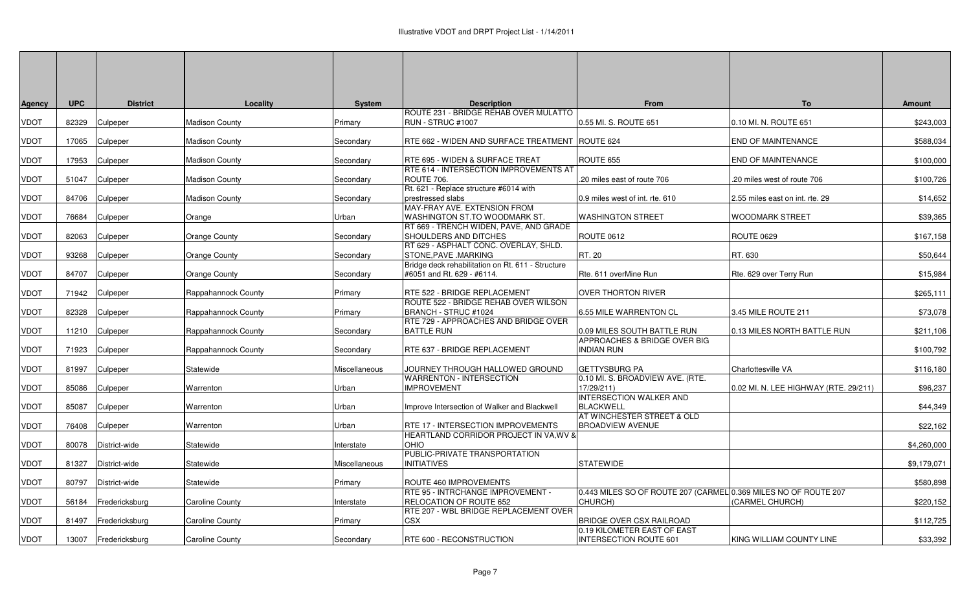| Agency | <b>UPC</b> | <b>District</b> | Locality               | <b>System</b>  | <b>Description</b>                                                           | <b>From</b>                                                     | To                                    | <b>Amount</b> |
|--------|------------|-----------------|------------------------|----------------|------------------------------------------------------------------------------|-----------------------------------------------------------------|---------------------------------------|---------------|
| VDOT   | 82329      | Culpeper        | Madison County         | Primary        | ROUTE 231 - BRIDGE REHAB OVER MULATTO<br><b>RUN - STRUC #1007</b>            | 0.55 MI. S. ROUTE 651                                           | 0.10 MI. N. ROUTE 651                 | \$243,003     |
|        |            |                 |                        |                |                                                                              |                                                                 |                                       |               |
| VDOT   | 17065      | Culpeper        | <b>Madison County</b>  | Secondary      | RTE 662 - WIDEN AND SURFACE TREATMENT ROUTE 624                              |                                                                 | END OF MAINTENANCE                    | \$588,034     |
| VDOT   | 17953      | Culpeper        | <b>Madison County</b>  | Secondary      | RTE 695 - WIDEN & SURFACE TREAT                                              | ROUTE 655                                                       | END OF MAINTENANCE                    | \$100,000     |
|        |            |                 |                        |                | RTE 614 - INTERSECTION IMPROVEMENTS AT                                       |                                                                 |                                       |               |
| VDOT   | 51047      | Culpeper        | Madison County         | Secondary      | ROUTE 706.<br>Rt. 621 - Replace structure #6014 with                         | .20 miles east of route 706                                     | .20 miles west of route 706           | \$100,726     |
| VDOT   | 84706      | Culpeper        | <b>Madison County</b>  | Secondary      | prestressed slabs                                                            | 0.9 miles west of int. rte. 610                                 | 2.55 miles east on int. rte. 29       | \$14,652      |
|        |            |                 |                        |                | MAY-FRAY AVE. EXTENSION FROM                                                 |                                                                 |                                       |               |
| VDOT   | 76684      | Culpeper        | Orange                 | Urban          | WASHINGTON ST.TO WOODMARK ST.<br>RT 669 - TRENCH WIDEN, PAVE, AND GRADE      | <b>WASHINGTON STREET</b>                                        | WOODMARK STREET                       | \$39,365      |
| VDOT   | 82063      | Culpeper        | <b>Orange County</b>   | Secondary      | SHOULDERS AND DITCHES                                                        | <b>ROUTE 0612</b>                                               | <b>ROUTE 0629</b>                     | \$167,158     |
|        |            |                 |                        |                | RT 629 - ASPHALT CONC. OVERLAY, SHLD.                                        |                                                                 |                                       |               |
| VDOT   | 93268      | Culpeper        | Orange County          | Secondary      | STONE, PAVE .MARKING<br>Bridge deck rehabilitation on Rt. 611 - Structure    | RT. 20                                                          | RT. 630                               | \$50,644      |
| VDOT   | 84707      | Culpeper        | Orange County          | Secondary      | #6051 and Rt. 629 - #6114.                                                   | Rte. 611 overMine Run                                           | Rte. 629 over Terry Run               | \$15,984      |
| VDOT   | 71942      | Culpeper        | Rappahannock County    | <b>Primary</b> | RTE 522 - BRIDGE REPLACEMENT                                                 | <b>OVER THORTON RIVER</b>                                       |                                       | \$265,111     |
|        |            |                 |                        |                | ROUTE 522 - BRIDGE REHAB OVER WILSON                                         |                                                                 |                                       |               |
| VDOT   | 82328      | Culpeper        | Rappahannock County    | Primary        | BRANCH - STRUC #1024                                                         | 6.55 MILE WARRENTON CL                                          | 3.45 MILE ROUTE 211                   | \$73,078      |
| VDOT   | 11210      | Culpeper        | Rappahannock County    | Secondary      | RTE 729 - APPROACHES AND BRIDGE OVER<br><b>BATTLE RUN</b>                    | 0.09 MILES SOUTH BATTLE RUN                                     | 0.13 MILES NORTH BATTLE RUN           | \$211,106     |
|        |            |                 |                        |                |                                                                              | APPROACHES & BRIDGE OVER BIG                                    |                                       |               |
| VDOT   |            | 71923 Culpeper  | Rappahannock County    | Secondary      | RTE 637 - BRIDGE REPLACEMENT                                                 | INDIAN RUN                                                      |                                       | \$100,792     |
| VDOT   | 81997      | Culpeper        | Statewide              | Miscellaneous  | JOURNEY THROUGH HALLOWED GROUND                                              | <b>GETTYSBURG PA</b>                                            | Charlottesville VA                    | \$116,180     |
|        |            |                 |                        |                | <b>WARRENTON - INTERSECTION</b>                                              | 0.10 MI. S. BROADVIEW AVE. (RTE.                                |                                       |               |
| VDOT   | 85086      | Culpeper        | Warrenton              | Urban          | <b>IMPROVEMENT</b>                                                           | 17/29/211)<br><b>INTERSECTION WALKER AND</b>                    | 0.02 MI. N. LEE HIGHWAY (RTE. 29/211) | \$96,237      |
| VDOT   | 85087      | Culpeper        | Warrenton              | Urban          | Improve Intersection of Walker and Blackwell                                 | <b>BLACKWELL</b>                                                |                                       | \$44.349      |
|        |            |                 |                        |                |                                                                              | AT WINCHESTER STREET & OLD                                      |                                       |               |
| VDOT   | 76408      | Culpeper        | Warrenton              | Urban          | RTE 17 - INTERSECTION IMPROVEMENTS<br>HEARTLAND CORRIDOR PROJECT IN VA, WV & | <b>BROADVIEW AVENUE</b>                                         |                                       | \$22,162      |
| VDOT   | 80078      | District-wide   | Statewide              | Interstate     | <b>OHIO</b>                                                                  |                                                                 |                                       | \$4,260,000   |
|        |            |                 |                        |                | PUBLIC-PRIVATE TRANSPORTATION                                                |                                                                 |                                       |               |
| VDOT   | 81327      | District-wide   | Statewide              | Miscellaneous  | <b>INITIATIVES</b>                                                           | <b>STATEWIDE</b>                                                |                                       | \$9,179,071   |
| VDOT   | 80797      | District-wide   | Statewide              | Primary        | ROUTE 460 IMPROVEMENTS                                                       |                                                                 |                                       | \$580,898     |
|        |            |                 |                        |                | RTE 95 - INTRCHANGE IMPROVEMENT -                                            | 0.443 MILES SO OF ROUTE 207 (CARMEL 0.369 MILES NO OF ROUTE 207 |                                       |               |
| VDOT   | 56184      | Fredericksburg  | <b>Caroline County</b> | Interstate     | RELOCATION OF ROUTE 652<br>RTE 207 - WBL BRIDGE REPLACEMENT OVER             | CHURCH)                                                         | (CARMEL CHURCH)                       | \$220,152     |
| VDOT   | 81497      | Fredericksburg  | <b>Caroline County</b> | Primary        | <b>CSX</b>                                                                   | <b>BRIDGE OVER CSX RAILROAD</b>                                 |                                       | \$112,725     |
|        |            |                 |                        |                |                                                                              | 0.19 KILOMETER EAST OF EAST                                     |                                       |               |
| VDOT   | 13007      | Fredericksburg  | Caroline County        | Secondary      | RTE 600 - RECONSTRUCTION                                                     | <b>INTERSECTION ROUTE 601</b>                                   | KING WILLIAM COUNTY LINE              | \$33,392      |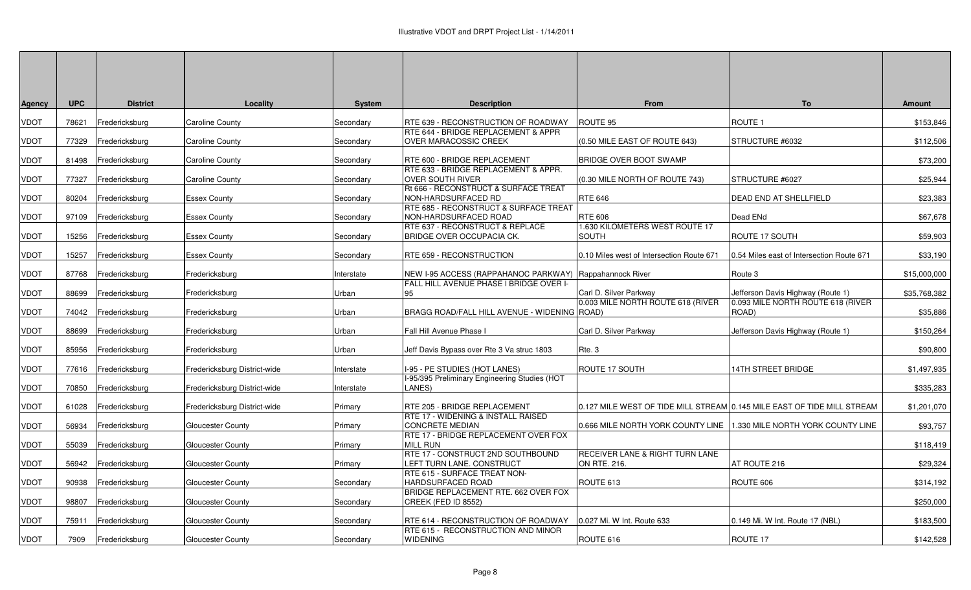| <b>Agency</b> | <b>UPC</b> | <b>District</b> | Locality                     | <b>System</b> | <b>Description</b>                                              | <b>From</b>                                                             | To                                         | <b>Amount</b> |
|---------------|------------|-----------------|------------------------------|---------------|-----------------------------------------------------------------|-------------------------------------------------------------------------|--------------------------------------------|---------------|
| <b>VDOT</b>   | 78621      | Fredericksburg  | <b>Caroline County</b>       | Secondary     | RTE 639 - RECONSTRUCTION OF ROADWAY                             | ROUTE 95                                                                | ROUTE <sub>1</sub>                         | \$153,846     |
| <b>VDOT</b>   | 77329      | Fredericksburg  | <b>Caroline County</b>       | Secondary     | RTE 644 - BRIDGE REPLACEMENT & APPR<br>OVER MARACOSSIC CREEK    | (0.50 MILE EAST OF ROUTE 643)                                           | STRUCTURE #6032                            | \$112,506     |
| <b>VDOT</b>   | 81498      | Fredericksburg  | <b>Caroline County</b>       | Secondary     | RTE 600 - BRIDGE REPLACEMENT                                    | BRIDGE OVER BOOT SWAMP                                                  |                                            | \$73,200      |
| <b>VDOT</b>   | 77327      | Fredericksburg  | <b>Caroline County</b>       | Secondary     | RTE 633 - BRIDGE REPLACEMENT & APPR.<br><b>OVER SOUTH RIVER</b> | (0.30 MILE NORTH OF ROUTE 743)                                          | STRUCTURE #6027                            | \$25,944      |
| <b>VDOT</b>   | 80204      | Fredericksburg  | <b>Essex County</b>          | Secondary     | Rt 666 - RECONSTRUCT & SURFACE TREAT<br>NON-HARDSURFACED RD     | <b>RTE 646</b>                                                          | DEAD END AT SHELLFIELD                     | \$23,383      |
| <b>VDOT</b>   | 97109      | Fredericksburg  | Essex County                 | Secondary     | RTE 685 - RECONSTRUCT & SURFACE TREAT<br>NON-HARDSURFACED ROAD  | <b>RTE 606</b>                                                          | Dead ENd                                   | \$67,678      |
| <b>VDOT</b>   | 15256      | Fredericksburg  | <b>Essex County</b>          | Secondary     | RTE 637 - RECONSTRUCT & REPLACE<br>BRIDGE OVER OCCUPACIA CK.    | 1.630 KILOMETERS WEST ROUTE 17<br><b>SOUTH</b>                          | <b>ROUTE 17 SOUTH</b>                      | \$59,903      |
| <b>VDOT</b>   | 15257      | Fredericksburg  | Essex County                 | Secondary     | RTE 659 - RECONSTRUCTION                                        | 0.10 Miles west of Intersection Route 671                               | 0.54 Miles east of Intersection Route 671  | \$33,190      |
| <b>VDOT</b>   | 87768      | Fredericksburg  | Fredericksburg               | Interstate    | NEW I-95 ACCESS (RAPPAHANOC PARKWAY) Rappahannock River         |                                                                         | Route 3                                    | \$15,000,000  |
| <b>VDOT</b>   | 88699      | Fredericksburg  | Fredericksburg               | Urban         | FALL HILL AVENUE PHASE I BRIDGE OVER I-<br>95                   | Carl D. Silver Parkway                                                  | Jefferson Davis Highway (Route 1)          | \$35,768,382  |
| <b>VDOT</b>   | 74042      | Fredericksburg  | Fredericksburg               | Urban         | BRAGG ROAD/FALL HILL AVENUE - WIDENING ROAD)                    | 0.003 MILE NORTH ROUTE 618 (RIVER                                       | 0.093 MILE NORTH ROUTE 618 (RIVER<br>ROAD) | \$35,886      |
| <b>VDOT</b>   | 88699      | Fredericksburg  | Fredericksburg               | Urban         | Fall Hill Avenue Phase I                                        | Carl D. Silver Parkway                                                  | Jefferson Davis Highway (Route 1)          | \$150,264     |
| <b>VDOT</b>   | 85956      | Fredericksburg  | Fredericksburg               | Urban         | Jeff Davis Bypass over Rte 3 Va struc 1803                      | Rte. 3                                                                  |                                            | \$90,800      |
| <b>VDOT</b>   | 77616      | Fredericksburg  | Fredericksburg District-wide | Interstate    | I-95 - PE STUDIES (HOT LANES)                                   | ROUTE 17 SOUTH                                                          | <b>14TH STREET BRIDGE</b>                  | \$1,497,935   |
| <b>VDOT</b>   | 70850      | Fredericksburg  | Fredericksburg District-wide | Interstate    | I-95/395 Preliminary Engineering Studies (HOT<br>LANES)         |                                                                         |                                            | \$335,283     |
| <b>VDOT</b>   | 61028      | Fredericksburg  | Fredericksburg District-wide | Primary       | RTE 205 - BRIDGE REPLACEMENT                                    | 0.127 MILE WEST OF TIDE MILL STREAM 0.145 MILE EAST OF TIDE MILL STREAM |                                            | \$1,201,070   |
| <b>VDOT</b>   | 56934      | Fredericksburg  | Gloucester County            | Primary       | RTE 17 - WIDENING & INSTALL RAISED<br><b>CONCRETE MEDIAN</b>    | 0.666 MILE NORTH YORK COUNTY LINE 11.330 MILE NORTH YORK COUNTY LINE    |                                            | \$93,757      |
| <b>VDOT</b>   | 55039      | Fredericksburg  | Gloucester County            | Primary       | RTE 17 - BRIDGE REPLACEMENT OVER FOX<br><b>MILL RUN</b>         |                                                                         |                                            | \$118,419     |
| <b>VDOT</b>   | 56942      | Fredericksburg  | Gloucester County            | Primary       | RTE 17 - CONSTRUCT 2ND SOUTHBOUND<br>LEFT TURN LANE. CONSTRUCT  | <b>RECEIVER LANE &amp; RIGHT TURN LANE</b><br>ON RTE, 216.              | AT ROUTE 216                               | \$29,324      |
| <b>VDOT</b>   | 90938      | Fredericksburg  | Gloucester County            | Secondary     | RTE 615 - SURFACE TREAT NON-<br>HARDSURFACED ROAD               | ROUTE 613                                                               | ROUTE 606                                  | \$314,192     |
| <b>VDOT</b>   | 98807      | Fredericksburg  | <b>Gloucester County</b>     | Secondary     | BRIDGE REPLACEMENT RTE. 662 OVER FOX<br>CREEK (FED ID 8552)     |                                                                         |                                            | \$250,000     |
| <b>VDOT</b>   | 75911      | Fredericksburg  | <b>Gloucester County</b>     | Secondary     | IRTE 614 - RECONSTRUCTION OF ROADWAY                            | 0.027 Mi. W Int. Route 633                                              | 0.149 Mi. W Int. Route 17 (NBL)            | \$183,500     |
| <b>VDOT</b>   | 7909       | Fredericksburg  | Gloucester County            | Secondary     | RTE 615 - RECONSTRUCTION AND MINOR<br><b>WIDENING</b>           | ROUTE 616                                                               | ROUTE 17                                   | \$142,528     |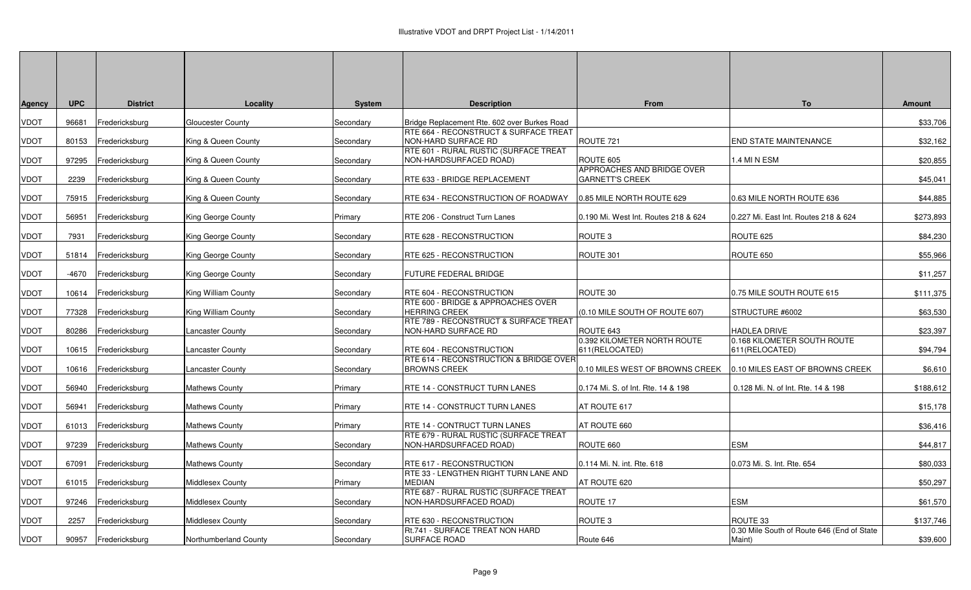| <b>Agency</b> | <b>UPC</b> | <b>District</b> | Locality                 | <b>System</b> | <b>Description</b>                                                     | From                                                 | To                                                   | <b>Amount</b> |
|---------------|------------|-----------------|--------------------------|---------------|------------------------------------------------------------------------|------------------------------------------------------|------------------------------------------------------|---------------|
| <b>VDOT</b>   | 96681      | Fredericksburg  | <b>Gloucester County</b> | Secondary     | Bridge Replacement Rte. 602 over Burkes Road                           |                                                      |                                                      | \$33,706      |
| <b>VDOT</b>   | 80153      | Fredericksburg  | King & Queen County      | Secondary     | RTE 664 - RECONSTRUCT & SURFACE TREAT<br>NON-HARD SURFACE RD           | ROUTE <sub>721</sub>                                 | <b>END STATE MAINTENANCE</b>                         | \$32,162      |
| <b>VDOT</b>   | 97295      | Fredericksburg  | King & Queen County      | Secondary     | RTE 601 - RURAL RUSTIC (SURFACE TREAT<br>NON-HARDSURFACED ROAD)        | ROUTE 605                                            | 1.4 MI N ESM                                         | \$20,855      |
| <b>VDOT</b>   | 2239       | Fredericksburg  | King & Queen County      | Secondary     | RTE 633 - BRIDGE REPLACEMENT                                           | APPROACHES AND BRIDGE OVER<br><b>GARNETT'S CREEK</b> |                                                      | \$45,041      |
| <b>VDOT</b>   | 75915      | Fredericksburg  | King & Queen County      | Secondary     | RTE 634 - RECONSTRUCTION OF ROADWAY                                    | 0.85 MILE NORTH ROUTE 629                            | 0.63 MILE NORTH ROUTE 636                            | \$44,885      |
| <b>VDOT</b>   | 56951      | Fredericksburg  | King George County       | Primary       | RTE 206 - Construct Turn Lanes                                         | 0.190 Mi. West Int. Routes 218 & 624                 | 0.227 Mi. East Int. Routes 218 & 624                 | \$273,893     |
| <b>VDOT</b>   | 7931       | Fredericksburg  | King George County       | Secondary     | RTE 628 - RECONSTRUCTION                                               | ROUTE <sub>3</sub>                                   | ROUTE 625                                            | \$84,230      |
| <b>VDOT</b>   | 51814      | Fredericksburg  | King George County       | Secondary     | RTE 625 - RECONSTRUCTION                                               | ROUTE 301                                            | ROUTE 650                                            | \$55,966      |
| <b>VDOT</b>   | -4670      | Fredericksburg  | King George County       | Secondary     | <b>FUTURE FEDERAL BRIDGE</b>                                           |                                                      |                                                      | \$11,257      |
| <b>VDOT</b>   | 10614      | Fredericksburg  | King William County      | Secondary     | RTE 604 - RECONSTRUCTION                                               | ROUTE 30                                             | 0.75 MILE SOUTH ROUTE 615                            | \$111,375     |
| <b>VDOT</b>   | 77328      | Fredericksburg  | King William County      | Secondary     | RTE 600 - BRIDGE & APPROACHES OVER<br><b>HERRING CREEK</b>             | (0.10 MILE SOUTH OF ROUTE 607)                       | STRUCTURE #6002                                      | \$63,530      |
| <b>VDOT</b>   | 80286      | Fredericksburg  | ancaster County          | Secondary     | RTE 789 - RECONSTRUCT & SURFACE TREAT<br>NON-HARD SURFACE RD           | ROUTE 643                                            | HADLEA DRIVE                                         | \$23,397      |
| <b>VDOT</b>   | 10615      | Fredericksburg  | ancaster County          | Secondary     | RTE 604 - RECONSTRUCTION                                               | 0.392 KILOMETER NORTH ROUTE<br>611(RELOCATED)        | 0.168 KILOMETER SOUTH ROUTE<br>611(RELOCATED)        | \$94,794      |
| <b>VDOT</b>   | 10616      | Fredericksburg  | ancaster County          | Secondary     | RTE 614 - RECONSTRUCTION & BRIDGE OVER<br><b>BROWNS CREEK</b>          | 0.10 MILES WEST OF BROWNS CREEK                      | 0.10 MILES EAST OF BROWNS CREEK                      | \$6,610       |
| <b>VDOT</b>   | 56940      | Fredericksburg  | <b>Mathews County</b>    | Primary       | <b>RTE 14 - CONSTRUCT TURN LANES</b>                                   | 0.174 Mi. S. of Int. Rte. 14 & 198                   | 0.128 Mi. N. of Int. Rte. 14 & 198                   | \$188,612     |
| <b>VDOT</b>   | 56941      | Fredericksburg  | <b>Mathews County</b>    | Primary       | <b>RTE 14 - CONSTRUCT TURN LANES</b>                                   | AT ROUTE 617                                         |                                                      | \$15,178      |
| <b>VDOT</b>   | 61013      | Fredericksburg  | <b>Mathews County</b>    | Primary       | RTE 14 - CONTRUCT TURN LANES                                           | AT ROUTE 660                                         |                                                      | \$36,416      |
| <b>VDOT</b>   | 97239      | Fredericksburg  | Mathews County           | Secondary     | RTE 679 - RURAL RUSTIC (SURFACE TREAT<br>NON-HARDSURFACED ROAD)        | ROUTE 660                                            | <b>ESM</b>                                           | \$44,817      |
| <b>VDOT</b>   | 67091      | Fredericksburg  | <b>Mathews County</b>    | Secondary     | RTE 617 - RECONSTRUCTION                                               | 0.114 Mi. N. int. Rte. 618                           | 0.073 Mi. S. Int. Rte. 654                           | \$80,033      |
| <b>VDOT</b>   | 61015      | Fredericksburg  | Middlesex County         | Primary       | <b>RTE 33 - LENGTHEN RIGHT TURN LANE AND</b><br><b>MEDIAN</b>          | AT ROUTE 620                                         |                                                      | \$50,297      |
| <b>VDOT</b>   | 97246      | Fredericksburg  | Middlesex County         | Secondary     | <b>RTE 687 - RURAL RUSTIC (SURFACE TREAT</b><br>NON-HARDSURFACED ROAD) | ROUTE 17                                             | <b>ESM</b>                                           | \$61,570      |
| <b>VDOT</b>   | 2257       | Fredericksburg  | Middlesex County         | Secondary     | RTE 630 - RECONSTRUCTION                                               | ROUTE <sub>3</sub>                                   | ROUTE 33                                             | \$137,746     |
| <b>VDOT</b>   | 90957      | Fredericksburg  | Northumberland County    | Secondary     | Rt.741 - SURFACE TREAT NON HARD<br>SURFACE ROAD                        | Route 646                                            | 0.30 Mile South of Route 646 (End of State<br>Maint) | \$39,600      |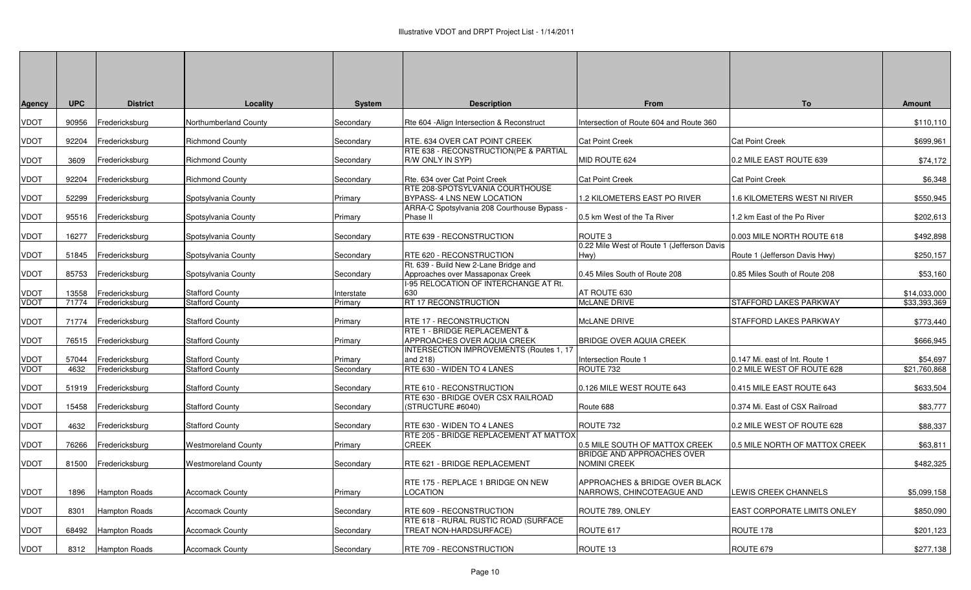| <b>Agency</b> | <b>UPC</b> | <b>District</b>      | Locality                   | <b>System</b>  | <b>Description</b>                                                        | From                                                        | To                             | <b>Amount</b> |
|---------------|------------|----------------------|----------------------------|----------------|---------------------------------------------------------------------------|-------------------------------------------------------------|--------------------------------|---------------|
| VDOT          | 90956      | Fredericksburg       | Northumberland County      | Secondary      | Rte 604 - Align Intersection & Reconstruct                                | Intersection of Route 604 and Route 360                     |                                | \$110,110     |
| <b>VDOT</b>   | 92204      | Fredericksburg       | <b>Richmond County</b>     | Secondary      | RTE. 634 OVER CAT POINT CREEK                                             | <b>Cat Point Creek</b>                                      | <b>Cat Point Creek</b>         | \$699,961     |
| <b>VDOT</b>   | 3609       | Fredericksburg       | <b>Richmond County</b>     | Secondary      | RTE 638 - RECONSTRUCTION(PE & PARTIAL<br>R/W ONLY IN SYP)                 | MID ROUTE 624                                               | 0.2 MILE EAST ROUTE 639        | \$74,172      |
| <b>VDOT</b>   | 92204      | Fredericksburg       | <b>Richmond County</b>     | Secondary      | Rte. 634 over Cat Point Creek                                             | <b>Cat Point Creek</b>                                      | <b>Cat Point Creek</b>         | \$6,348       |
| <b>VDOT</b>   | 52299      | Fredericksburg       | Spotsylvania County        | Primary        | RTE 208-SPOTSYLVANIA COURTHOUSE<br>BYPASS- 4 LNS NEW LOCATION             | 1.2 KILOMETERS EAST PO RIVER                                | 1.6 KILOMETERS WEST NI RIVER   | \$550,945     |
| VDOT          | 95516      | Fredericksburg       | Spotsylvania County        | Primary        | ARRA-C Spotsylvania 208 Courthouse Bypass -<br>Phase II                   | 0.5 km West of the Ta River                                 | 1.2 km East of the Po River    | \$202,613     |
| <b>VDOT</b>   | 16277      | Fredericksburg       | Spotsylvania County        | Secondary      | RTE 639 - RECONSTRUCTION                                                  | ROUTE <sub>3</sub>                                          | 0.003 MILE NORTH ROUTE 618     | \$492,898     |
| <b>VDOT</b>   | 51845      | Fredericksburg       | Spotsylvania County        | Secondary      | RTE 620 - RECONSTRUCTION                                                  | 0.22 Mile West of Route 1 (Jefferson Davis<br>Hwy)          | Route 1 (Jefferson Davis Hwy)  | \$250,157     |
| <b>VDOT</b>   | 85753      | Fredericksburg       | Spotsylvania County        | Secondary      | Rt. 639 - Build New 2-Lane Bridge and<br>Approaches over Massaponax Creek | 0.45 Miles South of Route 208                               | 0.85 Miles South of Route 208  | \$53,160      |
| <b>VDOT</b>   | 13558      | Fredericksburg       | <b>Stafford County</b>     | Interstate     | -95 RELOCATION OF INTERCHANGE AT Rt.<br>630                               | AT ROUTE 630                                                |                                | \$14,033,000  |
| <b>VDOT</b>   | 71774      | Fredericksburg       | <b>Stafford County</b>     | Primary        | RT 17 RECONSTRUCTION                                                      | McLANE DRIVE                                                | <b>STAFFORD LAKES PARKWAY</b>  | \$33,393,369  |
| <b>VDOT</b>   | 71774      | Fredericksburg       | <b>Stafford County</b>     | Primary        | RTE 17 - RECONSTRUCTION                                                   | McLANE DRIVE                                                | STAFFORD LAKES PARKWAY         | \$773,440     |
| <b>VDOT</b>   | 76515      | Fredericksburg       | <b>Stafford County</b>     | Primary        | RTE 1 - BRIDGE REPLACEMENT &<br>APPROACHES OVER AQUIA CREEK               | <b>BRIDGE OVER AQUIA CREEK</b>                              |                                | \$666,945     |
| <b>VDOT</b>   | 57044      | Fredericksburg       | <b>Stafford County</b>     | Primary        | INTERSECTION IMPROVEMENTS (Routes 1, 17<br>and 218)                       | Intersection Route 1                                        | 0.147 Mi. east of Int. Route 1 | \$54,697      |
| <b>VDOT</b>   | 4632       | Fredericksburg       | <b>Stafford County</b>     | Secondary      | RTE 630 - WIDEN TO 4 LANES                                                | ROUTE 732                                                   | 0.2 MILE WEST OF ROUTE 628     | \$21,760,868  |
| VDOT          | 51919      | Fredericksburg       | <b>Stafford County</b>     | Secondary      | RTE 610 - RECONSTRUCTION                                                  | 0.126 MILE WEST ROUTE 643                                   | 0.415 MILE EAST ROUTE 643      | \$633,504     |
| VDOT          | 15458      | Fredericksburg       | <b>Stafford County</b>     | Secondary      | RTE 630 - BRIDGE OVER CSX RAILROAD<br>(STRUCTURE #6040)                   | Route 688                                                   | 0.374 Mi. East of CSX Railroad | \$83,777      |
| <b>VDOT</b>   | 4632       | Fredericksburg       | <b>Stafford County</b>     | Secondary      | RTE 630 - WIDEN TO 4 LANES                                                | ROUTE 732                                                   | 0.2 MILE WEST OF ROUTE 628     | \$88,337      |
| <b>VDOT</b>   | 76266      | Fredericksburg       | <b>Westmoreland County</b> | <b>Primary</b> | RTE 205 - BRIDGE REPLACEMENT AT MATTOX<br><b>CREEK</b>                    | 0.5 MILE SOUTH OF MATTOX CREEK                              | 0.5 MILE NORTH OF MATTOX CREEK | \$63,811      |
| <b>VDOT</b>   | 81500      | Fredericksburg       | <b>Westmoreland County</b> | Secondary      | RTE 621 - BRIDGE REPLACEMENT                                              | BRIDGE AND APPROACHES OVER<br><b>NOMINI CREEK</b>           |                                | \$482,325     |
| <b>VDOT</b>   | 1896       | <b>Hampton Roads</b> | <b>Accomack County</b>     | Primary        | RTE 175 - REPLACE 1 BRIDGE ON NEW<br>LOCATION                             | APPROACHES & BRIDGE OVER BLACK<br>NARROWS, CHINCOTEAGUE AND | LEWIS CREEK CHANNELS           | \$5,099,158   |
| VDOT          | 8301       | <b>Hampton Roads</b> | Accomack County            | Secondary      | RTE 609 - RECONSTRUCTION                                                  | ROUTE 789, ONLEY                                            | EAST CORPORATE LIMITS ONLEY    | \$850,090     |
| <b>VDOT</b>   | 68492      | <b>Hampton Roads</b> | <b>Accomack County</b>     | Secondary      | RTE 618 - RURAL RUSTIC ROAD (SURFACE<br>TREAT NON-HARDSURFACE)            | ROUTE 617                                                   | ROUTE 178                      | \$201,123     |
| VDOT          | 8312       | Hampton Roads        | <b>Accomack County</b>     | Secondary      | RTE 709 - RECONSTRUCTION                                                  | ROUTE 13                                                    | ROUTE 679                      | \$277,138     |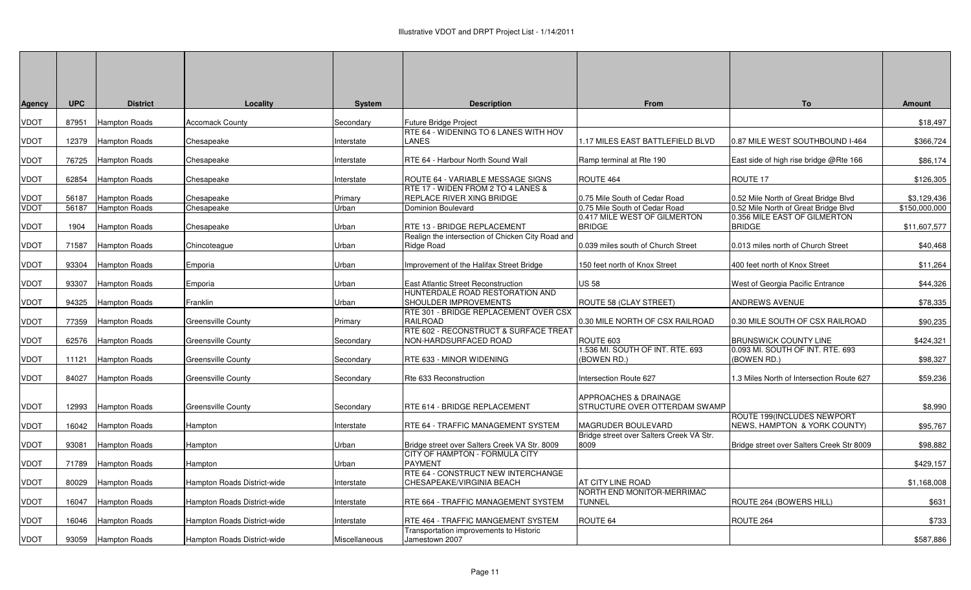| <b>Agency</b> | <b>UPC</b> | <b>District</b>      | Locality                    | <b>System</b> | <b>Description</b>                                                              | From                                            | To                                                         | <b>Amount</b> |
|---------------|------------|----------------------|-----------------------------|---------------|---------------------------------------------------------------------------------|-------------------------------------------------|------------------------------------------------------------|---------------|
| VDOT          | 87951      | Hampton Roads        | <b>Accomack County</b>      | Secondary     | <b>Future Bridge Project</b>                                                    |                                                 |                                                            | \$18,497      |
| <b>VDOT</b>   | 12379      | Hampton Roads        | Chesapeake                  | Interstate    | RTE 64 - WIDENING TO 6 LANES WITH HOV<br>LANES                                  | 1.17 MILES EAST BATTLEFIELD BLVD                | 0.87 MILE WEST SOUTHBOUND I-464                            | \$366,724     |
| <b>VDOT</b>   | 76725      | Hampton Roads        | Chesapeake                  | Interstate    | RTE 64 - Harbour North Sound Wall                                               | Ramp terminal at Rte 190                        | East side of high rise bridge @Rte 166                     | \$86,174      |
| <b>VDOT</b>   | 62854      | <b>Hampton Roads</b> | Chesapeake                  | Interstate    | ROUTE 64 - VARIABLE MESSAGE SIGNS                                               | ROUTE 464                                       | ROUTE 17                                                   | \$126,305     |
| <b>VDOT</b>   | 56187      | <b>Hampton Roads</b> | Chesapeake                  | Primary       | RTE 17 - WIDEN FROM 2 TO 4 LANES &<br>REPLACE RIVER XING BRIDGE                 | 0.75 Mile South of Cedar Road                   | 0.52 Mile North of Great Bridge Blvd                       | \$3,129,436   |
| <b>VDOT</b>   | 56187      | Hampton Roads        | Chesapeake                  | Urban         | Dominion Boulevard                                                              | 0.75 Mile South of Cedar Road                   | 0.52 Mile North of Great Bridge Blvd                       | \$150,000,000 |
| <b>VDOT</b>   | 1904       | Hampton Roads        | Chesapeake                  | Urban         | RTE 13 - BRIDGE REPLACEMENT                                                     | 0.417 MILE WEST OF GILMERTON<br><b>BRIDGE</b>   | 0.356 MILE EAST OF GILMERTON<br><b>BRIDGE</b>              | \$11,607,577  |
|               |            |                      |                             |               | Realign the intersection of Chicken City Road and                               |                                                 |                                                            |               |
| <b>VDOT</b>   | 71587      | <b>Hampton Roads</b> | Chincoteague                | Urban         | Ridge Road                                                                      | 0.039 miles south of Church Street              | 0.013 miles north of Church Street                         | \$40,468      |
| <b>VDOT</b>   | 93304      | <b>Hampton Roads</b> | Emporia                     | Urban         | Improvement of the Halifax Street Bridge                                        | 150 feet north of Knox Street                   | 400 feet north of Knox Street                              | \$11,264      |
| <b>VDOT</b>   | 93307      | <b>Hampton Roads</b> | Emporia                     | Urban         | East Atlantic Street Reconstruction                                             | <b>US 58</b>                                    | West of Georgia Pacific Entrance                           | \$44,326      |
| <b>VDOT</b>   |            |                      |                             |               | HUNTERDALE ROAD RESTORATION AND                                                 |                                                 |                                                            | \$78,335      |
|               | 94325      | <b>Hampton Roads</b> | Franklin                    | Urban         | SHOULDER IMPROVEMENTS<br>RTE 301 - BRIDGE REPLACEMENT OVER CSX                  | ROUTE 58 (CLAY STREET)                          | <b>ANDREWS AVENUE</b>                                      |               |
| <b>VDOT</b>   | 77359      | <b>Hampton Roads</b> | <b>Greensville County</b>   | Primary       | <b>RAILROAD</b>                                                                 | 0.30 MILE NORTH OF CSX RAILROAD                 | 0.30 MILE SOUTH OF CSX RAILROAD                            | \$90,235      |
| <b>VDOT</b>   | 62576      | <b>Hampton Roads</b> | <b>Greensville County</b>   | Secondary     | RTE 602 - RECONSTRUCT & SURFACE TREAT<br>NON-HARDSURFACED ROAD                  | ROUTE 603                                       | <b>BRUNSWICK COUNTY LINE</b>                               | \$424,321     |
| <b>VDOT</b>   | 11121      | <b>Hampton Roads</b> | <b>Greensville County</b>   | Secondary     | RTE 633 - MINOR WIDENING                                                        | 1.536 MI. SOUTH OF INT. RTE. 693<br>(BOWEN RD.) | 0.093 MI. SOUTH OF INT. RTE. 693<br>(BOWEN RD.)            | \$98,327      |
| <b>VDOT</b>   | 84027      | <b>Hampton Roads</b> | <b>Greensville County</b>   | Secondary     | Rte 633 Reconstruction                                                          | ntersection Route 627                           | 1.3 Miles North of Intersection Route 627                  | \$59,236      |
|               |            |                      |                             |               |                                                                                 | APPROACHES & DRAINAGE                           |                                                            |               |
| <b>VDOT</b>   | 12993      | <b>Hampton Roads</b> | <b>Greensville County</b>   | Secondary     | RTE 614 - BRIDGE REPLACEMENT                                                    | STRUCTURE OVER OTTERDAM SWAMP                   |                                                            | \$8,990       |
| <b>VDOT</b>   | 16042      | <b>Hampton Roads</b> | Hampton                     | Interstate    | RTE 64 - TRAFFIC MANAGEMENT SYSTEM                                              | MAGRUDER BOULEVARD                              | ROUTE 199(INCLUDES NEWPORT<br>NEWS, HAMPTON & YORK COUNTY) | \$95,767      |
|               |            |                      |                             |               |                                                                                 | Bridge street over Salters Creek VA Str.        |                                                            |               |
| <b>VDOT</b>   | 93081      | <b>Hampton Roads</b> | Hampton                     | Urban         | Bridge street over Salters Creek VA Str. 8009<br>CITY OF HAMPTON - FORMULA CITY | 8009                                            | Bridge street over Salters Creek Str 8009                  | \$98,882      |
| <b>VDOT</b>   | 71789      | Hampton Roads        | Hampton                     | Urban         | <b>PAYMENT</b>                                                                  |                                                 |                                                            | \$429,157     |
| <b>VDOT</b>   | 80029      | <b>Hampton Roads</b> | Hampton Roads District-wide | Interstate    | RTE 64 - CONSTRUCT NEW INTERCHANGE<br>CHESAPEAKE/VIRGINIA BEACH                 | AT CITY LINE ROAD                               |                                                            | \$1,168,008   |
| <b>VDOT</b>   | 16047      | <b>Hampton Roads</b> | Hampton Roads District-wide | Interstate    | RTE 664 - TRAFFIC MANAGEMENT SYSTEM                                             | NORTH END MONITOR-MERRIMAC<br><b>TUNNEL</b>     | ROUTE 264 (BOWERS HILL)                                    | \$631         |
| <b>VDOT</b>   | 16046      | Hampton Roads        | Hampton Roads District-wide | Interstate    | RTE 464 - TRAFFIC MANGEMENT SYSTEM                                              | ROUTE 64                                        | ROUTE 264                                                  | \$733         |
| <b>VDOT</b>   | 93059      | Hampton Roads        | Hampton Roads District-wide | Miscellaneous | Transportation improvements to Historic<br>Jamestown 2007                       |                                                 |                                                            | \$587,886     |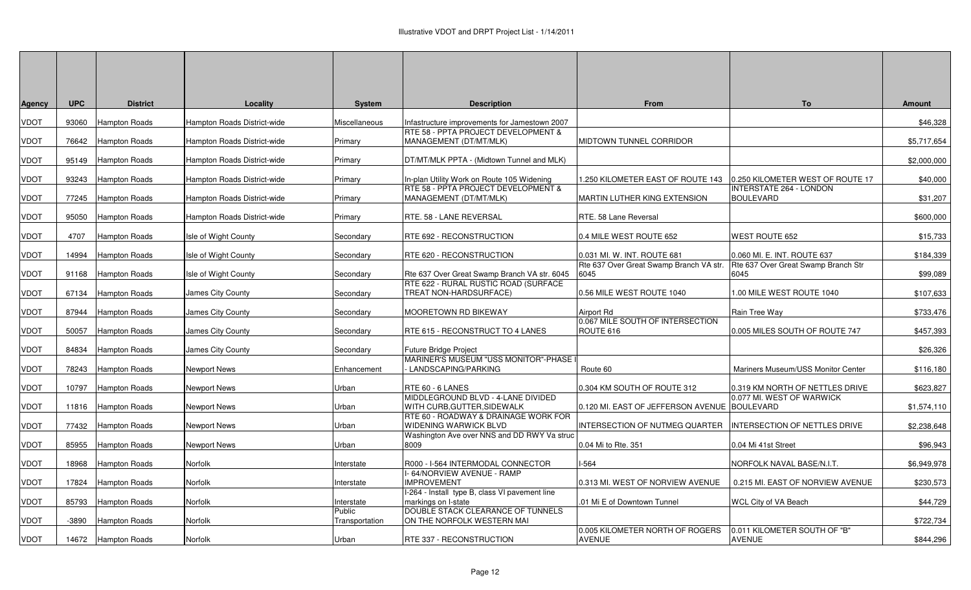| <b>Agency</b> | <b>UPC</b> | <b>District</b>      | Locality                    | System                   | <b>Description</b>                                                   | <b>From</b>                                     | To                                            | <b>Amount</b> |
|---------------|------------|----------------------|-----------------------------|--------------------------|----------------------------------------------------------------------|-------------------------------------------------|-----------------------------------------------|---------------|
| VDOT          | 93060      | Hampton Roads        | Hampton Roads District-wide | Miscellaneous            | Infastructure improvements for Jamestown 2007                        |                                                 |                                               | \$46,328      |
|               |            |                      |                             |                          | RTE 58 - PPTA PROJECT DEVELOPMENT &                                  |                                                 |                                               |               |
| VDOT          | 76642      | Hampton Roads        | Hampton Roads District-wide | Primary                  | MANAGEMENT (DT/MT/MLK)                                               | MIDTOWN TUNNEL CORRIDOR                         |                                               | \$5,717,654   |
| <b>VDOT</b>   | 95149      | <b>Hampton Roads</b> | Hampton Roads District-wide | Primary                  | DT/MT/MLK PPTA - (Midtown Tunnel and MLK)                            |                                                 |                                               | \$2,000,000   |
| VDOT          | 93243      | <b>Hampton Roads</b> | Hampton Roads District-wide | Primary                  | In-plan Utility Work on Route 105 Widening                           | 1.250 KILOMETER EAST OF ROUTE 143               | 0.250 KILOMETER WEST OF ROUTE 17              | \$40,000      |
|               |            |                      |                             |                          | RTE 58 - PPTA PROJECT DEVELOPMENT &                                  |                                                 | <b>INTERSTATE 264 - LONDON</b>                |               |
| <b>VDOT</b>   | 77245      | Hampton Roads        | Hampton Roads District-wide | Primary                  | MANAGEMENT (DT/MT/MLK)                                               | MARTIN LUTHER KING EXTENSION                    | <b>BOULEVARD</b>                              | \$31,207      |
| <b>VDOT</b>   | 95050      | <b>Hampton Roads</b> | Hampton Roads District-wide | Primary                  | RTE. 58 - LANE REVERSAL                                              | RTE. 58 Lane Reversal                           |                                               | \$600,000     |
| <b>VDOT</b>   | 4707       | Hampton Roads        | Isle of Wight County        | Secondary                | RTE 692 - RECONSTRUCTION                                             | 0.4 MILE WEST ROUTE 652                         | <b>WEST ROUTE 652</b>                         | \$15,733      |
| <b>VDOT</b>   | 14994      | Hampton Roads        | Isle of Wight County        | Secondary                | RTE 620 - RECONSTRUCTION                                             | 0.031 MI. W. INT. ROUTE 681                     | 0.060 MI. E. INT. ROUTE 637                   | \$184,339     |
| <b>VDOT</b>   | 91168      | <b>Hampton Roads</b> | Isle of Wight County        | Secondary                | Rte 637 Over Great Swamp Branch VA str. 6045                         | Rte 637 Over Great Swamp Branch VA str.<br>6045 | Rte 637 Over Great Swamp Branch Str<br>6045   | \$99,089      |
| <b>VDOT</b>   | 67134      | <b>Hampton Roads</b> | James City County           | Secondary                | RTE 622 - RURAL RUSTIC ROAD (SURFACE<br>TREAT NON-HARDSURFACE)       | 0.56 MILE WEST ROUTE 1040                       | 1.00 MILE WEST ROUTE 1040                     | \$107,633     |
| <b>VDOT</b>   | 87944      | <b>Hampton Roads</b> | James City County           | Secondary                | MOORETOWN RD BIKEWAY                                                 | Airport Rd                                      | Rain Tree Way                                 | \$733,476     |
| <b>VDOT</b>   | 50057      | Hampton Roads        | James City County           | Secondary                | RTE 615 - RECONSTRUCT TO 4 LANES                                     | 0.067 MILE SOUTH OF INTERSECTION<br>ROUTE 616   | 0.005 MILES SOUTH OF ROUTE 747                | \$457,393     |
| VDOT          | 84834      | <b>Hampton Roads</b> | James City County           | Secondary                | Future Bridge Project                                                |                                                 |                                               | \$26,326      |
| <b>VDOT</b>   | 78243      | <b>Hampton Roads</b> | Newport News                | Enhancement              | MARINER'S MUSEUM "USS MONITOR"-PHASE<br>LANDSCAPING/PARKING          | Route 60                                        | Mariners Museum/USS Monitor Center            | \$116,180     |
| <b>VDOT</b>   | 10797      | <b>Hampton Roads</b> | <b>Newport News</b>         | Urban                    | RTE 60 - 6 LANES                                                     | 0.304 KM SOUTH OF ROUTE 312                     | 0.319 KM NORTH OF NETTLES DRIVE               | \$623,827     |
|               |            |                      |                             |                          | MIDDLEGROUND BLVD - 4-LANE DIVIDED                                   |                                                 | 0.077 MI. WEST OF WARWICK                     |               |
| <b>VDOT</b>   | 11816      | Hampton Roads        | <b>Newport News</b>         | Urban                    | WITH CURB, GUTTER, SIDEWALK<br>RTE 60 - ROADWAY & DRAINAGE WORK FOR  | 0.120 MI. EAST OF JEFFERSON AVENUE BOULEVARD    |                                               | \$1,574,110   |
| VDOT          | 77432      | Hampton Roads        | Newport News                | Urban                    | WIDENING WARWICK BLVD                                                | INTERSECTION OF NUTMEG QUARTER                  | INTERSECTION OF NETTLES DRIVE                 | \$2,238,648   |
| <b>VDOT</b>   | 85955      | <b>Hampton Roads</b> | Newport News                | Urban                    | Washington Ave over NNS and DD RWY Va struc<br>8009                  | 0.04 Mi to Rte. 351                             | 0.04 Mi 41st Street                           | \$96,943      |
| <b>VDOT</b>   | 18968      | <b>Hampton Roads</b> | Norfolk                     | Interstate               | R000 - I-564 INTERMODAL CONNECTOR                                    | <b>I-564</b>                                    | NORFOLK NAVAL BASE/N.I.T.                     | \$6,949,978   |
| <b>VDOT</b>   | 17824      | Hampton Roads        | Norfolk                     | Interstate               | 64/NORVIEW AVENUE - RAMP<br><b>MPROVEMENT</b>                        | 0.313 MI. WEST OF NORVIEW AVENUE                | 0.215 MI. EAST OF NORVIEW AVENUE              | \$230,573     |
| <b>VDOT</b>   | 85793      | Hampton Roads        | Norfolk                     | Interstate               | -264 - Install type B, class VI pavement line<br>markings on I-state | .01 Mi E of Downtown Tunnel                     | WCL City of VA Beach                          | \$44,729      |
| <b>VDOT</b>   | $-3890$    | <b>Hampton Roads</b> | Norfolk                     | Public<br>Transportation | DOUBLE STACK CLEARANCE OF TUNNELS<br>ON THE NORFOLK WESTERN MAI      |                                                 |                                               | \$722,734     |
| <b>VDOT</b>   |            | 14672 Hampton Roads  | Norfolk                     | Urban                    | RTE 337 - RECONSTRUCTION                                             | 0.005 KILOMETER NORTH OF ROGERS<br>AVENUE       | 0.011 KILOMETER SOUTH OF "B"<br><b>AVENUE</b> | \$844,296     |
|               |            |                      |                             |                          |                                                                      |                                                 |                                               |               |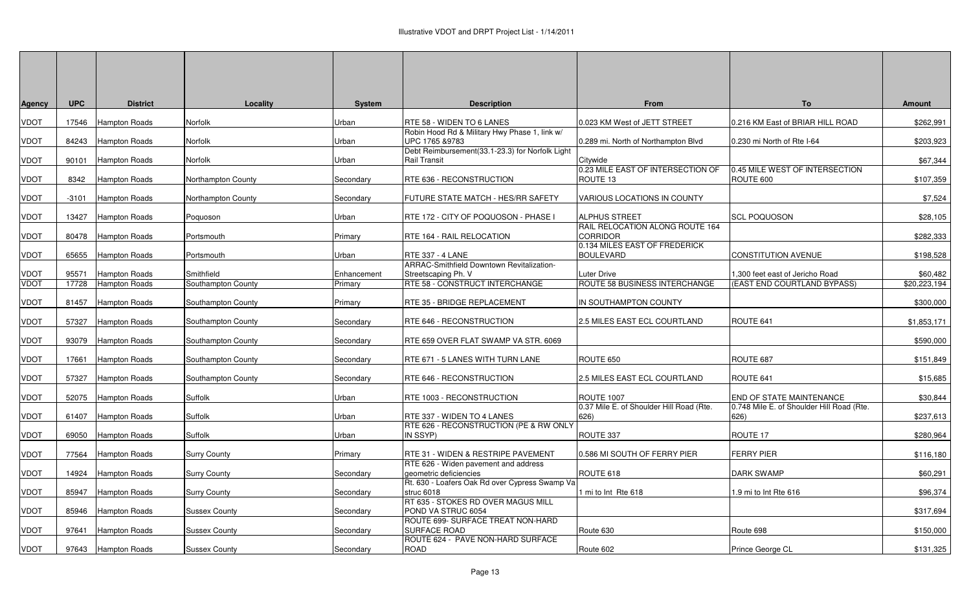| <b>Agency</b> | <b>UPC</b> | <b>District</b>      | Locality             | <b>System</b> | <b>Description</b>                                                      | From                                                                                | To                                                | Amount       |
|---------------|------------|----------------------|----------------------|---------------|-------------------------------------------------------------------------|-------------------------------------------------------------------------------------|---------------------------------------------------|--------------|
| <b>VDOT</b>   | 17546      | Hampton Roads        | Norfolk              | Urban         | RTE 58 - WIDEN TO 6 LANES                                               | 0.023 KM West of JETT STREET                                                        | 0.216 KM East of BRIAR HILL ROAD                  | \$262,991    |
| <b>VDOT</b>   | 84243      | <b>Hampton Roads</b> | Norfolk              | Urban         | Robin Hood Rd & Military Hwy Phase 1, link w/<br>UPC 1765 & 9783        | 0.289 mi. North of Northampton Blvd                                                 | 0.230 mi North of Rte I-64                        | \$203,923    |
| <b>VDOT</b>   | 90101      | Hampton Roads        | Norfolk              | Urban         | Debt Reimbursement(33.1-23.3) for Norfolk Light<br><b>Rail Transit</b>  | Citywide                                                                            |                                                   | \$67,344     |
| <b>VDOT</b>   | 8342       | Hampton Roads        | Northampton County   | Secondary     | RTE 636 - RECONSTRUCTION                                                | 0.23 MILE EAST OF INTERSECTION OF<br>ROUTE 13                                       | 0.45 MILE WEST OF INTERSECTION<br>ROUTE 600       | \$107,359    |
| <b>VDOT</b>   | -3101      | <b>Hampton Roads</b> | Northampton County   | Secondary     | FUTURE STATE MATCH - HES/RR SAFETY                                      | VARIOUS LOCATIONS IN COUNTY                                                         |                                                   | \$7,524      |
| <b>VDOT</b>   | 13427      | Hampton Roads        | Poquoson             | Urban         | RTE 172 - CITY OF POQUOSON - PHASE I                                    | <b>ALPHUS STREET</b>                                                                | <b>SCL POQUOSON</b>                               | \$28,105     |
| <b>VDOT</b>   | 80478      | <b>Hampton Roads</b> | Portsmouth           | Primary       | <b>RTE 164 - RAIL RELOCATION</b>                                        | RAIL RELOCATION ALONG ROUTE 164<br><b>CORRIDOR</b><br>0.134 MILES EAST OF FREDERICK |                                                   | \$282,333    |
| <b>VDOT</b>   | 65655      | <b>Hampton Roads</b> | Portsmouth           | Urban         | RTE 337 - 4 LANE                                                        | <b>BOULEVARD</b>                                                                    | <b>CONSTITUTION AVENUE</b>                        | \$198,528    |
| <b>VDOT</b>   | 95571      | <b>Hampton Roads</b> | Smithfield           | Enhancement   | <b>ARRAC-Smithfield Downtown Revitalization-</b><br>Streetscaping Ph. V | <b>Luter Drive</b>                                                                  | 1,300 feet east of Jericho Road                   | \$60,482     |
| <b>VDOT</b>   | 17728      | <b>Hampton Roads</b> | Southampton County   | Primary       | RTE 58 - CONSTRUCT INTERCHANGE                                          | ROUTE 58 BUSINESS INTERCHANGE                                                       | (EAST END COURTLAND BYPASS)                       | \$20,223,194 |
| <b>VDOT</b>   | 81457      | <b>Hampton Roads</b> | Southampton County   | Primary       | RTE 35 - BRIDGE REPLACEMENT                                             | IN SOUTHAMPTON COUNTY                                                               |                                                   | \$300,000    |
| <b>VDOT</b>   | 57327      | <b>Hampton Roads</b> | Southampton County   | Secondary     | <b>RTE 646 - RECONSTRUCTION</b>                                         | 2.5 MILES EAST ECL COURTLAND                                                        | ROUTE 641                                         | \$1,853,171  |
| <b>VDOT</b>   | 93079      | <b>Hampton Roads</b> | Southampton County   | Secondary     | RTE 659 OVER FLAT SWAMP VA STR. 6069                                    |                                                                                     |                                                   | \$590,000    |
| <b>VDOT</b>   | 17661      | Hampton Roads        | Southampton County   | Secondary     | RTE 671 - 5 LANES WITH TURN LANE                                        | ROUTE 650                                                                           | ROUTE 687                                         | \$151,849    |
| <b>VDOT</b>   | 57327      | <b>Hampton Roads</b> | Southampton County   | Secondary     | <b>RTE 646 - RECONSTRUCTION</b>                                         | 2.5 MILES EAST ECL COURTLAND                                                        | ROUTE 641                                         | \$15,685     |
| <b>VDOT</b>   | 52075      | <b>Hampton Roads</b> | Suffolk              | Urban         | RTE 1003 - RECONSTRUCTION                                               | <b>ROUTE 1007</b>                                                                   | <b>END OF STATE MAINTENANCE</b>                   | \$30,844     |
| <b>VDOT</b>   | 61407      | Hampton Roads        | Suffolk              | Urban         | RTE 337 - WIDEN TO 4 LANES                                              | 0.37 Mile E. of Shoulder Hill Road (Rte.<br>626)                                    | 0.748 Mile E. of Shoulder Hill Road (Rte.<br>626) | \$237,613    |
| <b>VDOT</b>   | 69050      | Hampton Roads        | Suffolk              | Urban         | RTE 626 - RECONSTRUCTION (PE & RW ONLY<br>IN SSYP)                      | ROUTE 337                                                                           | ROUTE 17                                          | \$280,964    |
| <b>VDOT</b>   | 77564      | Hampton Roads        | <b>Surry County</b>  | Primary       | <b>RTE 31 - WIDEN &amp; RESTRIPE PAVEMENT</b>                           | 0.586 MI SOUTH OF FERRY PIER                                                        | <b>FERRY PIER</b>                                 | \$116,180    |
| <b>VDOT</b>   | 14924      | <b>Hampton Roads</b> | <b>Surry County</b>  | Secondary     | RTE 626 - Widen pavement and address<br>geometric deficiencies          | ROUTE 618                                                                           | <b>DARK SWAMP</b>                                 | \$60,291     |
| VDOT          | 85947      | Hampton Roads        | <b>Surry County</b>  | Secondary     | Rt. 630 - Loafers Oak Rd over Cypress Swamp Va<br>struc 6018            | 1 mi to Int Rte 618                                                                 | 1.9 mi to Int Rte 616                             | \$96,374     |
| <b>VDOT</b>   | 85946      | <b>Hampton Roads</b> | <b>Sussex County</b> | Secondary     | RT 635 - STOKES RD OVER MAGUS MILL<br>POND VA STRUC 6054                |                                                                                     |                                                   | \$317,694    |
| <b>VDOT</b>   | 97641      | Hampton Roads        | <b>Sussex County</b> | Secondary     | ROUTE 699- SURFACE TREAT NON-HARD<br><b>SURFACE ROAD</b>                | Route 630                                                                           | Route 698                                         | \$150,000    |
| <b>VDOT</b>   |            | 97643 Hampton Roads  | <b>Sussex County</b> | Secondary     | ROUTE 624 - PAVE NON-HARD SURFACE<br>ROAD                               | Route 602                                                                           | Prince George CL                                  | \$131,325    |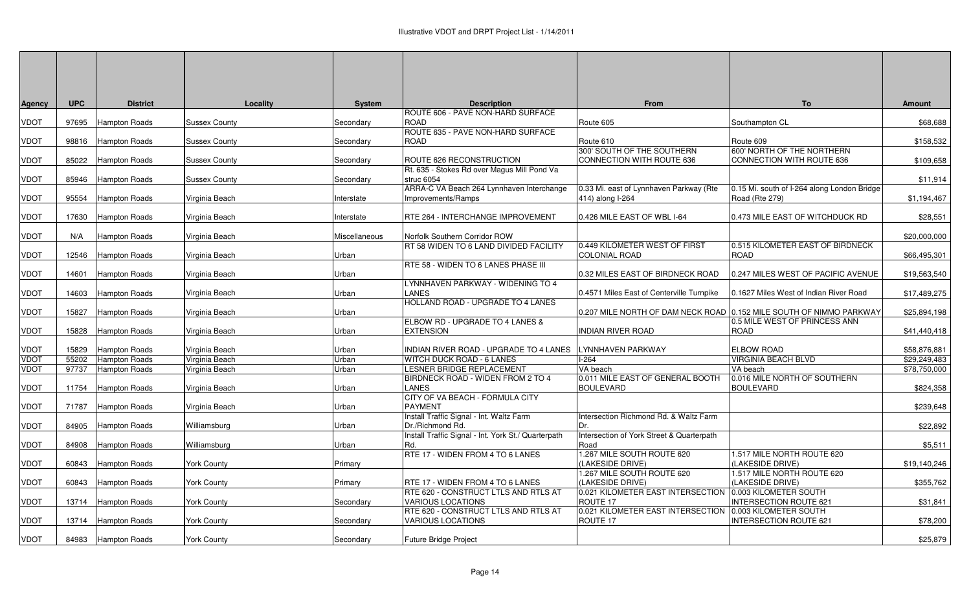|               | <b>UPC</b> | <b>District</b>      | Locality             | <b>System</b> | <b>Description</b>                                      | From                                                                | To                                               | <b>Amount</b> |
|---------------|------------|----------------------|----------------------|---------------|---------------------------------------------------------|---------------------------------------------------------------------|--------------------------------------------------|---------------|
| <b>Agency</b> |            |                      |                      |               | ROUTE 606 - PAVE NON-HARD SURFACE                       |                                                                     |                                                  |               |
| <b>VDOT</b>   | 97695      | Hampton Roads        | <b>Sussex County</b> | Secondary     | <b>ROAD</b>                                             | Route 605                                                           | Southampton CL                                   | \$68,688      |
|               |            |                      |                      |               | ROUTE 635 - PAVE NON-HARD SURFACE                       |                                                                     |                                                  |               |
| <b>VDOT</b>   |            | 98816 Hampton Roads  | <b>Sussex County</b> | Secondary     | <b>ROAD</b>                                             | Route 610                                                           | Route 609                                        | \$158,532     |
|               |            |                      |                      |               |                                                         | 300' SOUTH OF THE SOUTHERN                                          | 600' NORTH OF THE NORTHERN                       |               |
| <b>VDOT</b>   | 85022      | <b>Hampton Roads</b> | <b>Sussex County</b> | Secondary     | ROUTE 626 RECONSTRUCTION                                | CONNECTION WITH ROUTE 636                                           | CONNECTION WITH ROUTE 636                        | \$109,658     |
|               |            |                      |                      |               | Rt. 635 - Stokes Rd over Magus Mill Pond Va             |                                                                     |                                                  |               |
| <b>VDOT</b>   | 85946      | Hampton Roads        | <b>Sussex County</b> | Secondary     | struc 6054<br>ARRA-C VA Beach 264 Lynnhaven Interchange | 0.33 Mi. east of Lynnhaven Parkway (Rte                             | 0.15 Mi. south of I-264 along London Bridge      | \$11,914      |
| <b>VDOT</b>   | 95554      | <b>Hampton Roads</b> | Virginia Beach       | Interstate    | Improvements/Ramps                                      | 414) along I-264                                                    | Road (Rte 279)                                   | \$1,194,467   |
|               |            |                      |                      |               |                                                         |                                                                     |                                                  |               |
| <b>VDOT</b>   | 17630      | Hampton Roads        | Virginia Beach       | Interstate    | RTE 264 - INTERCHANGE IMPROVEMENT                       | 0.426 MILE EAST OF WBL I-64                                         | 0.473 MILE EAST OF WITCHDUCK RD                  | \$28,551      |
|               |            |                      |                      |               |                                                         |                                                                     |                                                  |               |
| <b>VDOT</b>   | N/A        | <b>Hampton Roads</b> | Virginia Beach       | Miscellaneous | Norfolk Southern Corridor ROW                           |                                                                     |                                                  | \$20,000,000  |
|               |            |                      |                      |               | RT 58 WIDEN TO 6 LAND DIVIDED FACILITY                  | 0.449 KILOMETER WEST OF FIRST                                       | 0.515 KILOMETER EAST OF BIRDNECK                 |               |
| <b>VDOT</b>   | 12546      | Hampton Roads        | Virginia Beach       | Urban         |                                                         | <b>COLONIAL ROAD</b>                                                | <b>ROAD</b>                                      | \$66,495,301  |
|               |            |                      |                      |               | RTE 58 - WIDEN TO 6 LANES PHASE III                     |                                                                     |                                                  |               |
| <b>VDOT</b>   | 14601      | Hampton Roads        | Virginia Beach       | Urban         |                                                         | 0.32 MILES EAST OF BIRDNECK ROAD                                    | 0.247 MILES WEST OF PACIFIC AVENUE               | \$19,563,540  |
| <b>VDOT</b>   | 14603      | <b>Hampton Roads</b> | Virginia Beach       | Urban         | LYNNHAVEN PARKWAY - WIDENING TO 4<br>LANES              | 0.4571 Miles East of Centerville Turnpike                           | 0.1627 Miles West of Indian River Road           | \$17,489,275  |
|               |            |                      |                      |               | HOLLAND ROAD - UPGRADE TO 4 LANES                       |                                                                     |                                                  |               |
| VDOT          | 15827      | <b>Hampton Roads</b> | Virginia Beach       | Urban         |                                                         | 0.207 MILE NORTH OF DAM NECK ROAD 0.152 MILE SOUTH OF NIMMO PARKWAY |                                                  | \$25,894,198  |
|               |            |                      |                      |               | ELBOW RD - UPGRADE TO 4 LANES &                         |                                                                     | 0.5 MILE WEST OF PRINCESS ANN                    |               |
| <b>VDOT</b>   | 15828      | <b>Hampton Roads</b> | Virginia Beach       | Urban         | <b>EXTENSION</b>                                        | <b>INDIAN RIVER ROAD</b>                                            | <b>ROAD</b>                                      | \$41,440,418  |
|               |            |                      |                      |               |                                                         |                                                                     |                                                  |               |
| <b>VDOT</b>   | 15829      | Hampton Roads        | Virginia Beach       | Urban         | INDIAN RIVER ROAD - UPGRADE TO 4 LANES                  | LYNNHAVEN PARKWAY                                                   | ELBOW ROAD                                       | \$58,876,881  |
| <b>VDOT</b>   | 55202      | Hampton Roads        | Virginia Beach       | Urban         | WITCH DUCK ROAD - 6 LANES                               | $I-264$                                                             | VIRGINIA BEACH BLVD                              | \$29,249,483  |
| <b>VDOT</b>   | 97737      | <b>Hampton Roads</b> | Virginia Beach       | Urban         | <b>LESNER BRIDGE REPLACEMENT</b>                        | VA beach                                                            | VA beach                                         | \$78,750,000  |
| <b>VDOT</b>   | 11754      | Hampton Roads        | Virginia Beach       | Urban         | BIRDNECK ROAD - WIDEN FROM 2 TO 4<br><b>LANES</b>       | 0.011 MILE EAST OF GENERAL BOOTH<br><b>BOULEVARD</b>                | 0.016 MILE NORTH OF SOUTHERN<br><b>BOULEVARD</b> | \$824,358     |
|               |            |                      |                      |               | CITY OF VA BEACH - FORMULA CITY                         |                                                                     |                                                  |               |
| <b>VDOT</b>   | 71787      | Hampton Roads        | Virginia Beach       | Urban         | <b>PAYMENT</b>                                          |                                                                     |                                                  | \$239,648     |
|               |            |                      |                      |               | Install Traffic Signal - Int. Waltz Farm                | Intersection Richmond Rd. & Waltz Farm                              |                                                  |               |
| <b>VDOT</b>   | 84905      | <b>Hampton Roads</b> | Williamsburg         | Urban         | Dr./Richmond Rd.                                        | Dr.                                                                 |                                                  | \$22,892      |
|               |            |                      |                      |               | Install Traffic Signal - Int. York St./ Quarterpath     | Intersection of York Street & Quarterpath                           |                                                  |               |
| <b>VDOT</b>   | 84908      | Hampton Roads        | Williamsburg         | Urban         | Rd.                                                     | Road                                                                |                                                  | \$5,511       |
|               |            |                      |                      |               | RTE 17 - WIDEN FROM 4 TO 6 LANES                        | 1.267 MILE SOUTH ROUTE 620                                          | 1.517 MILE NORTH ROUTE 620                       |               |
| <b>VDOT</b>   | 60843      | <b>Hampton Roads</b> | York County          | Primary       |                                                         | (LAKESIDE DRIVE)                                                    | LAKESIDE DRIVE)                                  | \$19,140,246  |
| <b>VDOT</b>   | 60843      |                      |                      | Primary       | RTE 17 - WIDEN FROM 4 TO 6 LANES                        | 1.267 MILE SOUTH ROUTE 620<br>(LAKESIDE DRIVE)                      | 1.517 MILE NORTH ROUTE 620<br>(LAKESIDE DRIVE)   |               |
|               |            | <b>Hampton Roads</b> | York County          |               | RTE 620 - CONSTRUCT LTLS AND RTLS AT                    | 0.021 KILOMETER EAST INTERSECTION                                   | 0.003 KILOMETER SOUTH                            | \$355,762     |
| <b>VDOT</b>   | 13714      | Hampton Roads        | York County          | Secondary     | <b>VARIOUS LOCATIONS</b>                                | ROUTE 17                                                            | <b>INTERSECTION ROUTE 621</b>                    | \$31,841      |
|               |            |                      |                      |               | RTE 620 - CONSTRUCT LTLS AND RTLS AT                    | 0.021 KILOMETER EAST INTERSECTION 0.003 KILOMETER SOUTH             |                                                  |               |
| <b>VDOT</b>   | 13714      | <b>Hampton Roads</b> | <b>York County</b>   | Secondary     | VARIOUS LOCATIONS                                       | ROUTE 17                                                            | <b>INTERSECTION ROUTE 621</b>                    | \$78,200      |
|               |            |                      |                      |               |                                                         |                                                                     |                                                  |               |
| <b>VDOT</b>   |            | 84983 Hampton Roads  | <b>York County</b>   | Secondary     | Future Bridge Project                                   |                                                                     |                                                  | \$25,879      |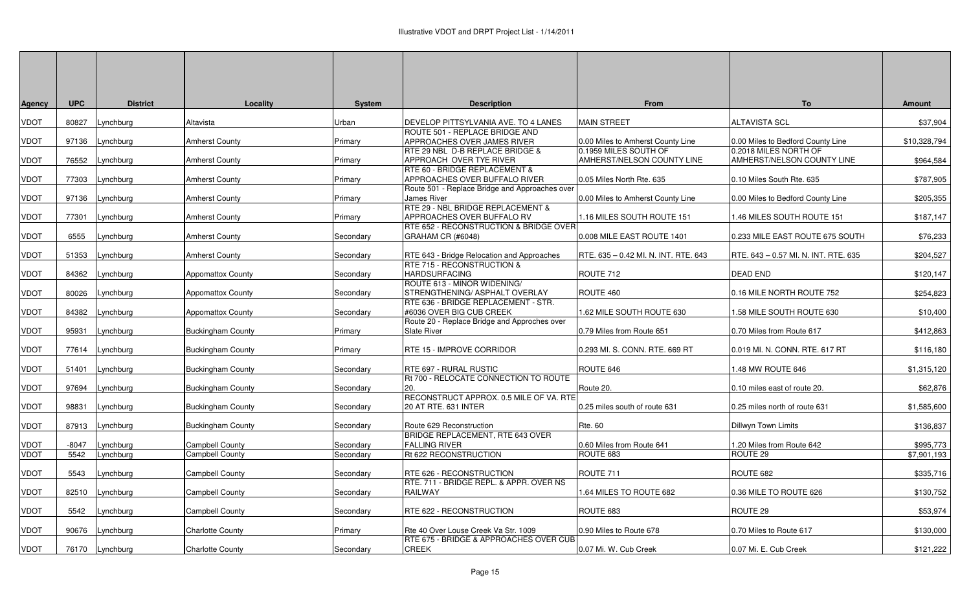| Agency      | <b>UPC</b> | <b>District</b> | Locality                 | <b>System</b> | <b>Description</b>                                                 | From                                                | To                                                  | <b>Amount</b> |
|-------------|------------|-----------------|--------------------------|---------------|--------------------------------------------------------------------|-----------------------------------------------------|-----------------------------------------------------|---------------|
| VDOT        | 80827      | Lynchburg       | Altavista                | Urban         | DEVELOP PITTSYLVANIA AVE. TO 4 LANES                               | <b>MAIN STREET</b>                                  | <b>ALTAVISTA SCL</b>                                | \$37,904      |
| VDOT        | 97136      | Lynchburg       | <b>Amherst County</b>    | Primary       | ROUTE 501 - REPLACE BRIDGE AND<br>APPROACHES OVER JAMES RIVER      | 0.00 Miles to Amherst County Line                   | 0.00 Miles to Bedford County Line                   | \$10,328,794  |
| VDOT        | 76552      | ynchburg        | Amherst County           | Primary       | RTE 29 NBL D-B REPLACE BRIDGE &<br>APPROACH OVER TYE RIVER         | 0.1959 MILES SOUTH OF<br>AMHERST/NELSON COUNTY LINE | 0.2018 MILES NORTH OF<br>AMHERST/NELSON COUNTY LINE | \$964,584     |
| VDOT        | 77303      | Lynchburg       | <b>Amherst County</b>    | Primary       | RTE 60 - BRIDGE REPLACEMENT &<br>APPROACHES OVER BUFFALO RIVER     | 0.05 Miles North Rte. 635                           | 0.10 Miles South Rte. 635                           | \$787,905     |
|             |            |                 |                          |               | Route 501 - Replace Bridge and Approaches over                     |                                                     |                                                     |               |
| VDOT        | 97136      | Lynchburg       | <b>Amherst County</b>    | Primary       | James River<br>RTE 29 - NBL BRIDGE REPLACEMENT &                   | 0.00 Miles to Amherst County Line                   | 0.00 Miles to Bedford County Line                   | \$205,355     |
| VDOT        | 77301      | Lynchburg       | Amherst County           | Primary       | APPROACHES OVER BUFFALO RV                                         | 1.16 MILES SOUTH ROUTE 151                          | 1.46 MILES SOUTH ROUTE 151                          | \$187,147     |
| VDOT        | 6555       | Lynchburg       | <b>Amherst County</b>    | Secondary     | RTE 652 - RECONSTRUCTION & BRIDGE OVER<br><b>GRAHAM CR (#6048)</b> | 0.008 MILE EAST ROUTE 1401                          | 0.233 MILE EAST ROUTE 675 SOUTH                     | \$76,233      |
| VDOT        | 51353      | ynchburg.       | <b>Amherst County</b>    | Secondary     | RTE 643 - Bridge Relocation and Approaches                         | RTE. 635 - 0.42 MI. N. INT. RTE. 643                | RTE. 643 - 0.57 MI. N. INT. RTE. 635                | \$204,527     |
| VDOT        | 84362      | Lynchburg       | Appomattox County        | Secondary     | RTE 715 - RECONSTRUCTION &<br><b>HARDSURFACING</b>                 | ROUTE 712                                           | <b>DEAD END</b>                                     | \$120,147     |
| VDOT        | 80026      | Lynchburg       | <b>Appomattox County</b> | Secondary     | ROUTE 613 - MINOR WIDENING/<br>STRENGTHENING/ASPHALT OVERLAY       | ROUTE 460                                           | 0.16 MILE NORTH ROUTE 752                           | \$254,823     |
| VDOT        | 84382      | _ynchburg       | <b>Appomattox County</b> | Secondary     | RTE 636 - BRIDGE REPLACEMENT - STR.<br>#6036 OVER BIG CUB CREEK    | 1.62 MILE SOUTH ROUTE 630                           | 1.58 MILE SOUTH ROUTE 630                           | \$10,400      |
| VDOT        | 95931      | Lynchburg       | <b>Buckingham County</b> | Primary       | Route 20 - Replace Bridge and Approches over<br>Slate River        | 0.79 Miles from Route 651                           | 0.70 Miles from Route 617                           | \$412,863     |
| VDOT        | 77614      | Lynchburg       | Buckingham County        | Primary       | RTE 15 - IMPROVE CORRIDOR                                          | 0.293 MI. S. CONN. RTE. 669 RT                      | 0.019 MI. N. CONN. RTE. 617 RT                      | \$116,180     |
| VDOT        | 51401      | Lynchburg       | <b>Buckingham County</b> | Secondary     | RTE 697 - RURAL RUSTIC                                             | ROUTE 646                                           | 1.48 MW ROUTE 646                                   | \$1,315,120   |
| VDOT        | 97694      | Lynchburg       | <b>Buckingham County</b> | Secondary     | Rt 700 - RELOCATE CONNECTION TO ROUTE<br>20.                       | Route 20.                                           | 0.10 miles east of route 20.                        | \$62,876      |
|             |            |                 |                          |               | RECONSTRUCT APPROX. 0.5 MILE OF VA. RTE                            |                                                     |                                                     |               |
| VDOT        | 98831      | Lynchburg       | <b>Buckingham County</b> | Secondary     | 20 AT RTE. 631 INTER                                               | 0.25 miles south of route 631                       | 0.25 miles north of route 631                       | \$1,585,600   |
| VDOT        | 87913      | Lynchburg       | <b>Buckingham County</b> | Secondary     | Route 629 Reconstruction<br>BRIDGE REPLACEMENT, RTE 643 OVER       | <b>Rte. 60</b>                                      | Dillwyn Town Limits                                 | \$136,837     |
| VDOT        | $-8047$    | ynchburg.       | Campbell County          | Secondary     | <b>FALLING RIVER</b>                                               | 0.60 Miles from Route 641                           | 1.20 Miles from Route 642                           | \$995,773     |
| <b>VDOT</b> | 5542       | Lynchburg       | <b>Campbell County</b>   | Secondary     | Rt 622 RECONSTRUCTION                                              | ROUTE 683                                           | ROUTE <sub>29</sub>                                 | \$7,901,193   |
| VDOT        | 5543       | Lynchburg       | Campbell County          | Secondary     | RTE 626 - RECONSTRUCTION                                           | ROUTE 711                                           | ROUTE 682                                           | \$335,716     |
| VDOT        | 82510      | Lynchburg       | Campbell County          | Secondary     | RTE. 711 - BRIDGE REPL. & APPR. OVER NS<br><b>RAILWAY</b>          | 1.64 MILES TO ROUTE 682                             | 0.36 MILE TO ROUTE 626                              | \$130,752     |
| VDOT        | 5542       | _ynchburg       | Campbell County          | Secondary     | RTE 622 - RECONSTRUCTION                                           | ROUTE 683                                           | ROUTE 29                                            | \$53,974      |
| VDOT        | 90676      | Lynchburg       | Charlotte County         | Primary       | Rte 40 Over Louse Creek Va Str. 1009                               | 0.90 Miles to Route 678                             | 0.70 Miles to Route 617                             | \$130,000     |
| VDOT        |            | 76170 Lynchburg | <b>Charlotte County</b>  | Secondary     | RTE 675 - BRIDGE & APPROACHES OVER CUB<br>CREEK                    | 0.07 Mi. W. Cub Creek                               | 0.07 Mi. E. Cub Creek                               | \$121,222     |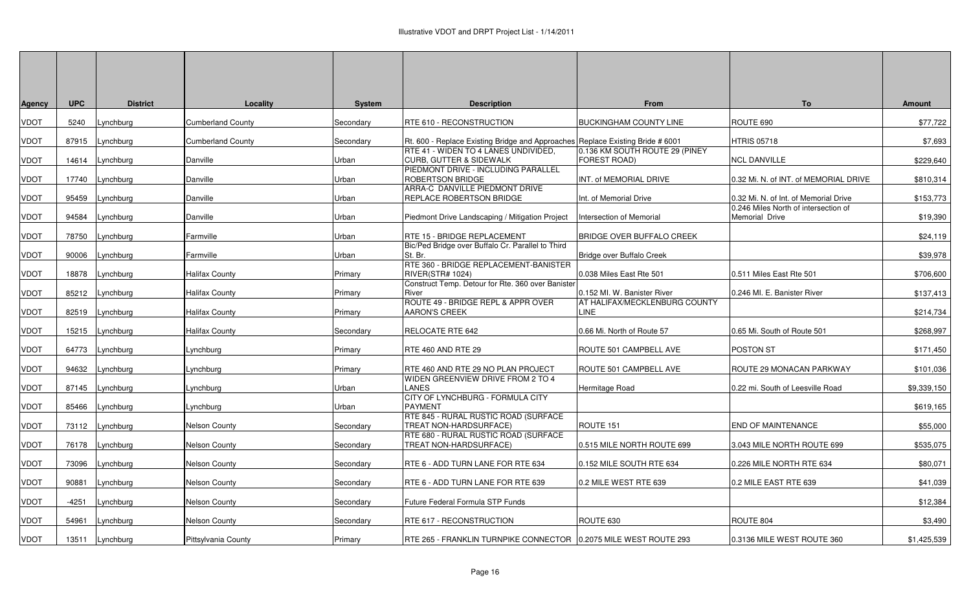| <b>UPC</b><br><b>District</b><br>Locality<br><b>System</b><br><b>Description</b><br><b>From</b><br>Agency<br>VDOT<br><b>Cumberland County</b><br>RTE 610 - RECONSTRUCTION<br><b>BUCKINGHAM COUNTY LINE</b><br>5240<br>Lynchburg<br>Secondary<br>VDOT<br>87915<br><b>Cumberland County</b><br>Lynchburg<br>Secondary<br>Rt. 600 - Replace Existing Bridge and Approaches Replace Existing Bride # 6001<br>RTE 41 - WIDEN TO 4 LANES UNDIVIDED,<br>0.136 KM SOUTH ROUTE 29 (PINEY<br>CURB, GUTTER & SIDEWALK<br>FOREST ROAD)<br>VDOT<br>14614<br>Lynchburg<br>Danville<br>Urban<br>PIEDMONT DRIVE - INCLUDING PARALLEL | <b>To</b><br><b>Amount</b><br>ROUTE 690<br>\$77,722<br><b>HTRIS 05718</b><br>\$7,693<br>\$229,640<br><b>NCL DANVILLE</b><br>0.32 Mi. N. of INT. of MEMORIAL DRIVE<br>\$810,314<br>0.32 Mi. N. of Int. of Memorial Drive |
|----------------------------------------------------------------------------------------------------------------------------------------------------------------------------------------------------------------------------------------------------------------------------------------------------------------------------------------------------------------------------------------------------------------------------------------------------------------------------------------------------------------------------------------------------------------------------------------------------------------------|-------------------------------------------------------------------------------------------------------------------------------------------------------------------------------------------------------------------------|
|                                                                                                                                                                                                                                                                                                                                                                                                                                                                                                                                                                                                                      |                                                                                                                                                                                                                         |
|                                                                                                                                                                                                                                                                                                                                                                                                                                                                                                                                                                                                                      |                                                                                                                                                                                                                         |
|                                                                                                                                                                                                                                                                                                                                                                                                                                                                                                                                                                                                                      |                                                                                                                                                                                                                         |
|                                                                                                                                                                                                                                                                                                                                                                                                                                                                                                                                                                                                                      |                                                                                                                                                                                                                         |
|                                                                                                                                                                                                                                                                                                                                                                                                                                                                                                                                                                                                                      |                                                                                                                                                                                                                         |
|                                                                                                                                                                                                                                                                                                                                                                                                                                                                                                                                                                                                                      |                                                                                                                                                                                                                         |
| VDOT<br>17740<br>Lynchburg<br>Danville<br>Urban<br><b>ROBERTSON BRIDGE</b><br>INT. of MEMORIAL DRIVE<br>ARRA-C DANVILLE PIEDMONT DRIVE                                                                                                                                                                                                                                                                                                                                                                                                                                                                               |                                                                                                                                                                                                                         |
| REPLACE ROBERTSON BRIDGE<br>Int. of Memorial Drive<br>VDOT<br>95459<br>_ynchburg<br>Danville<br>Urban                                                                                                                                                                                                                                                                                                                                                                                                                                                                                                                | \$153,773                                                                                                                                                                                                               |
|                                                                                                                                                                                                                                                                                                                                                                                                                                                                                                                                                                                                                      | 0.246 Miles North of intersection of                                                                                                                                                                                    |
| VDOT<br>94584<br>Lynchburg<br>Danville<br>Urban<br>Piedmont Drive Landscaping / Mitigation Project<br>Intersection of Memorial                                                                                                                                                                                                                                                                                                                                                                                                                                                                                       | \$19,390<br>Memorial Drive                                                                                                                                                                                              |
| <b>BRIDGE OVER BUFFALO CREEK</b><br>VDOT<br>Lynchburg<br>Urban<br>RTE 15 - BRIDGE REPLACEMENT<br>78750<br>Farmville                                                                                                                                                                                                                                                                                                                                                                                                                                                                                                  | \$24,119                                                                                                                                                                                                                |
| Bic/Ped Bridge over Buffalo Cr. Parallel to Third<br>VDOT<br>Lynchburg<br>Urban<br>St. Br.<br>Bridge over Buffalo Creek<br>90006<br>Farmville                                                                                                                                                                                                                                                                                                                                                                                                                                                                        | \$39,978                                                                                                                                                                                                                |
| RTE 360 - BRIDGE REPLACEMENT-BANISTER                                                                                                                                                                                                                                                                                                                                                                                                                                                                                                                                                                                |                                                                                                                                                                                                                         |
| <b>Halifax County</b><br><b>RIVER(STR# 1024)</b><br>0.038 Miles East Rte 501<br>VDOT<br>18878<br>Lynchburg<br>Primary<br>Construct Temp. Detour for Rte. 360 over Banister                                                                                                                                                                                                                                                                                                                                                                                                                                           | 0.511 Miles East Rte 501<br>\$706,600                                                                                                                                                                                   |
| VDOT<br>85212<br>Lynchburg<br>Halifax County<br>River<br>0.152 MI. W. Banister River<br>Primary                                                                                                                                                                                                                                                                                                                                                                                                                                                                                                                      | 0.246 MI. E. Banister River<br>\$137,413                                                                                                                                                                                |
| ROUTE 49 - BRIDGE REPL & APPR OVER<br>AT HALIFAX/MECKLENBURG COUNTY<br>LINE                                                                                                                                                                                                                                                                                                                                                                                                                                                                                                                                          |                                                                                                                                                                                                                         |
| VDOT<br>Lynchburg<br>Halifax County<br><b>AARON'S CREEK</b><br>82519<br>Primary                                                                                                                                                                                                                                                                                                                                                                                                                                                                                                                                      | \$214,734                                                                                                                                                                                                               |
| VDOT<br>0.66 Mi. North of Route 57<br>15215<br>ynchburg<br>Halifax County<br>RELOCATE RTE 642<br>Secondary                                                                                                                                                                                                                                                                                                                                                                                                                                                                                                           | 0.65 Mi. South of Route 501<br>\$268,997                                                                                                                                                                                |
| VDOT<br>Lynchburg<br>.ynchburg<br>Primary<br>RTE 460 AND RTE 29<br>ROUTE 501 CAMPBELL AVE<br>64773                                                                                                                                                                                                                                                                                                                                                                                                                                                                                                                   | POSTON ST<br>\$171,450                                                                                                                                                                                                  |
|                                                                                                                                                                                                                                                                                                                                                                                                                                                                                                                                                                                                                      |                                                                                                                                                                                                                         |
| VDOT<br>ROUTE 501 CAMPBELL AVE<br>Lynchburg<br>RTE 460 AND RTE 29 NO PLAN PROJECT<br>94632<br>.ynchburg<br>Primary<br>WIDEN GREENVIEW DRIVE FROM 2 TO 4                                                                                                                                                                                                                                                                                                                                                                                                                                                              | ROUTE 29 MONACAN PARKWAY<br>\$101,036                                                                                                                                                                                   |
| <b>LANES</b><br>VDOT<br>87145<br>Lynchburg<br>.ynchburg<br>Hermitage Road<br>Urban                                                                                                                                                                                                                                                                                                                                                                                                                                                                                                                                   | 0.22 mi. South of Leesville Road<br>\$9,339,150                                                                                                                                                                         |
| CITY OF LYNCHBURG - FORMULA CITY<br>VDOT<br><b>PAYMENT</b><br>85466<br>Lynchburg<br>ynchburg.<br>Urban                                                                                                                                                                                                                                                                                                                                                                                                                                                                                                               | \$619,165                                                                                                                                                                                                               |
| RTE 845 - RURAL RUSTIC ROAD (SURFACE                                                                                                                                                                                                                                                                                                                                                                                                                                                                                                                                                                                 |                                                                                                                                                                                                                         |
| ROUTE 151<br>Nelson County<br>TREAT NON-HARDSURFACE)<br>VDOT<br>73112<br>Lynchburg<br>Secondary<br>RTE 680 - RURAL RUSTIC ROAD (SURFACE                                                                                                                                                                                                                                                                                                                                                                                                                                                                              | <b>END OF MAINTENANCE</b><br>\$55,000                                                                                                                                                                                   |
| VDOT<br>TREAT NON-HARDSURFACE)<br>0.515 MILE NORTH ROUTE 699<br>76178<br>Lynchburg<br>Nelson County<br>Secondary                                                                                                                                                                                                                                                                                                                                                                                                                                                                                                     | \$535,075<br>3.043 MILE NORTH ROUTE 699                                                                                                                                                                                 |
|                                                                                                                                                                                                                                                                                                                                                                                                                                                                                                                                                                                                                      |                                                                                                                                                                                                                         |
| 0.152 MILE SOUTH RTE 634<br>VDOT<br>73096<br>Lynchburg<br>Nelson County<br>RTE 6 - ADD TURN LANE FOR RTE 634<br>Secondary                                                                                                                                                                                                                                                                                                                                                                                                                                                                                            | 0.226 MILE NORTH RTE 634<br>\$80,071                                                                                                                                                                                    |
| VDOT<br><b>Nelson County</b><br>0.2 MILE WEST RTE 639<br>90881<br>Lynchburg<br>RTE 6 - ADD TURN LANE FOR RTE 639<br>Secondary                                                                                                                                                                                                                                                                                                                                                                                                                                                                                        | 0.2 MILE EAST RTE 639<br>\$41,039                                                                                                                                                                                       |
| VDOT<br>$-4251$<br>Lynchburg<br>Nelson County<br>Future Federal Formula STP Funds<br>Secondary                                                                                                                                                                                                                                                                                                                                                                                                                                                                                                                       | \$12,384                                                                                                                                                                                                                |
| ROUTE 630<br>VDOT<br>54961<br>Lynchburg<br>Nelson County<br>RTE 617 - RECONSTRUCTION<br>Secondary                                                                                                                                                                                                                                                                                                                                                                                                                                                                                                                    | ROUTE 804<br>\$3,490                                                                                                                                                                                                    |
| VDOT<br>RTE 265 - FRANKLIN TURNPIKE CONNECTOR   0.2075 MILE WEST ROUTE 293<br>0.3136 MILE WEST ROUTE 360<br>13511<br>Lynchburg<br>Pittsylvania County<br>Primary                                                                                                                                                                                                                                                                                                                                                                                                                                                     | \$1,425,539                                                                                                                                                                                                             |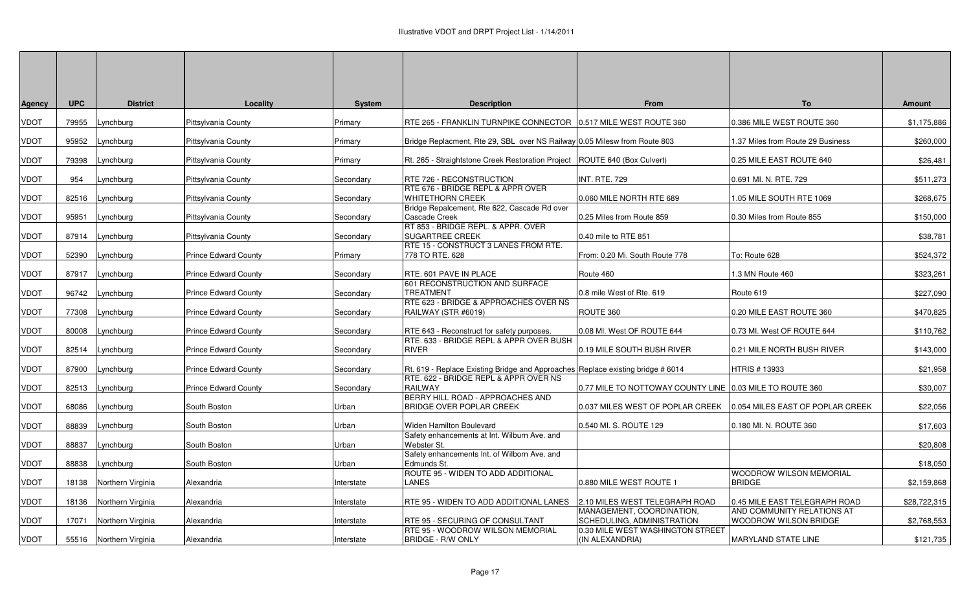| Agency      | <b>UPC</b> | <b>District</b>         | Locality                    | <b>System</b> | <b>Description</b>                                                              | From                                                           | To                                                  | <b>Amount</b> |
|-------------|------------|-------------------------|-----------------------------|---------------|---------------------------------------------------------------------------------|----------------------------------------------------------------|-----------------------------------------------------|---------------|
| VDOT        | 79955      | Lynchburg               | Pittsylvania County         | Primary       | RTE 265 - FRANKLIN TURNPIKE CONNECTOR   0.517 MILE WEST ROUTE 360               |                                                                | 0.386 MILE WEST ROUTE 360                           | \$1,175,886   |
| VDOT        | 95952      | Lynchburg               | Pittsylvania County         | Primary       | Bridge Replacment, Rte 29, SBL over NS Railway 0.05 Milesw from Route 803       |                                                                | 1.37 Miles from Route 29 Business                   | \$260,000     |
| <b>VDOT</b> | 79398      | _ynchburg               | Pittsylvania County         | Primary       | Rt. 265 - Straightstone Creek Restoration Project                               | ROUTE 640 (Box Culvert)                                        | 0.25 MILE EAST ROUTE 640                            | \$26,481      |
| VDOT        | 954        | Lynchburg               | Pittsylvania County         | Secondary     | RTE 726 - RECONSTRUCTION                                                        | <b>INT. RTE. 729</b>                                           | 0.691 MI. N. RTE. 729                               | \$511,273     |
| VDOT        | 82516      | Lynchburg               | Pittsylvania County         | Secondary     | RTE 676 - BRIDGE REPL & APPR OVER<br><b>WHITETHORN CREEK</b>                    | 0.060 MILE NORTH RTE 689                                       | .05 MILE SOUTH RTE 1069                             | \$268,675     |
| VDOT        | 95951      | Lynchburg               | Pittsylvania County         | Secondary     | Bridge Repalcement, Rte 622, Cascade Rd over<br>Cascade Creek                   | 0.25 Miles from Route 859                                      | 0.30 Miles from Route 855                           | \$150,000     |
| VDOT        |            | 87914 Lynchburg         | Pittsylvania County         | Secondary     | RT 853 - BRIDGE REPL. & APPR. OVER<br><b>SUGARTREE CREEK</b>                    | 0.40 mile to RTE 851                                           |                                                     | \$38,781      |
| VDOT        | 52390      | Lynchburg               | <b>Prince Edward County</b> | Primary       | RTE 15 - CONSTRUCT 3 LANES FROM RTE.<br>778 TO RTE, 628                         | From: 0.20 Mi. South Route 778                                 | To: Route 628                                       | \$524,372     |
| VDOT        | 87917      | Lynchburg               | <b>Prince Edward County</b> | Secondary     | RTE. 601 PAVE IN PLACE                                                          | Route 460                                                      | 1.3 MN Route 460                                    | \$323,261     |
| VDOT        | 96742      | .ynchburg               | <b>Prince Edward County</b> | Secondary     | 601 RECONSTRUCTION AND SURFACE<br><b>TREATMENT</b>                              | 0.8 mile West of Rte. 619                                      | Route 619                                           | \$227,090     |
| VDOT        | 77308      | Lynchburg               | <b>Prince Edward County</b> | Secondary     | RTE 623 - BRIDGE & APPROACHES OVER NS<br>RAILWAY (STR #6019)                    | ROUTE 360                                                      | 0.20 MILE EAST ROUTE 360                            | \$470,825     |
| VDOT        | 80008      | Lynchburg               | <b>Prince Edward County</b> | Secondary     | RTE 643 - Reconstruct for safety purposes.                                      | 0.08 MI. West OF ROUTE 644                                     | 0.73 MI. West OF ROUTE 644                          | \$110,762     |
| VDOT        | 82514      | Lynchburg               | <b>Prince Edward County</b> | Secondary     | RTE, 633 - BRIDGE REPL & APPR OVER BUSH<br><b>RIVER</b>                         | 0.19 MILE SOUTH BUSH RIVER                                     | 0.21 MILE NORTH BUSH RIVER                          | \$143,000     |
| VDOT        | 87900      | Lynchburg               | <b>Prince Edward County</b> | Secondary     | Rt. 619 - Replace Existing Bridge and Approaches Replace existing bridge # 6014 |                                                                | HTRIS # 13933                                       | \$21,958      |
| VDOT        | 82513      | Lynchburg               | <b>Prince Edward County</b> | Secondary     | RTE. 622 - BRIDGE REPL & APPR OVER NS<br><b>RAILWAY</b>                         | 0.77 MILE TO NOTTOWAY COUNTY LINE                              | 0.03 MILE TO ROUTE 360                              | \$30,007      |
| VDOT        | 68086      | Lynchburg               | South Boston                | Urban         | BERRY HILL ROAD - APPROACHES AND<br>BRIDGE OVER POPLAR CREEK                    | 0.037 MILES WEST OF POPLAR CREEK                               | 0.054 MILES EAST OF POPLAR CREEK                    | \$22,056      |
| VDOT        | 88839      | ynchburg.               | South Boston                | Urban         | Widen Hamilton Boulevard                                                        | 0.540 MI. S. ROUTE 129                                         | 0.180 MI. N. ROUTE 360                              | \$17,603      |
| VDOT        | 88837      | Lynchburg               | South Boston                | Urban         | Safety enhancements at Int. Wilburn Ave. and<br>Webster St.                     |                                                                |                                                     | \$20,808      |
| VDOT        | 88838      | _ynchburg               | South Boston                | Urban         | Safety enhancements Int. of Wilborn Ave. and<br>Edmunds St.                     |                                                                |                                                     | \$18,050      |
| VDOT        | 18138      | Northern Virginia       | Alexandria                  | Interstate    | ROUTE 95 - WIDEN TO ADD ADDITIONAL<br>LANES                                     | 0.880 MILE WEST ROUTE 1                                        | <b>WOODROW WILSON MEMORIAL</b><br><b>BRIDGE</b>     | \$2,159,868   |
| VDOT        | 18136      | Northern Virginia       | Alexandria                  | Interstate    | RTE 95 - WIDEN TO ADD ADDITIONAL LANES                                          | 2.10 MILES WEST TELEGRAPH ROAD                                 | 0.45 MILE EAST TELEGRAPH ROAD                       | \$28,722,315  |
| VDOT        | 17071      | Northern Virginia       | Alexandria                  | Interstate    | RTE 95 - SECURING OF CONSULTANT                                                 | MANAGEMENT, COORDINATION,<br><b>SCHEDULING, ADMINISTRATION</b> | AND COMMUNITY RELATIONS AT<br>WOODROW WILSON BRIDGE | \$2,768,553   |
| VDOT        |            | 55516 Northern Virginia | Alexandria                  | Interstate    | RTE 95 - WOODROW WILSON MEMORIAL<br><b>BRIDGE - R/W ONLY</b>                    | 0.30 MILE WEST WASHINGTON STREET<br>(IN ALEXANDRIA)            | <b>MARYLAND STATE LINE</b>                          | \$121,735     |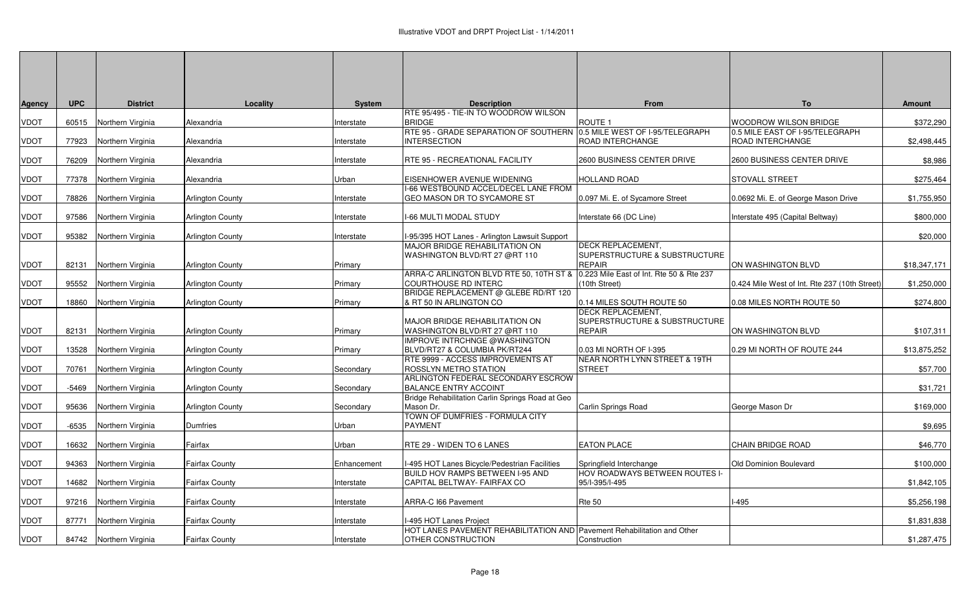| Agency      | <b>UPC</b> | <b>District</b>         | Locality                | <b>System</b> | <b>Description</b>                                                                                  | From                                                      | To                                                  | Amount       |
|-------------|------------|-------------------------|-------------------------|---------------|-----------------------------------------------------------------------------------------------------|-----------------------------------------------------------|-----------------------------------------------------|--------------|
|             |            |                         |                         |               | RTE 95/495 - TIE-IN TO WOODROW WILSON                                                               |                                                           |                                                     |              |
| VDOT        |            | 60515 Northern Virginia | Alexandria              | Interstate    | <b>BRIDGE</b>                                                                                       | ROUTE <sub>1</sub>                                        | WOODROW WILSON BRIDGE                               | \$372,290    |
| <b>VDOT</b> | 77923      | Northern Virginia       | Alexandria              | Interstate    | RTE 95 - GRADE SEPARATION OF SOUTHERN<br><b>INTERSECTION</b>                                        | 0.5 MILE WEST OF I-95/TELEGRAPH<br>ROAD INTERCHANGE       | 0.5 MILE EAST OF I-95/TELEGRAPH<br>ROAD INTERCHANGE | \$2,498,445  |
| VDOT        | 76209      | Northern Virginia       | Alexandria              | Interstate    | RTE 95 - RECREATIONAL FACILITY                                                                      | 2600 BUSINESS CENTER DRIVE                                | 2600 BUSINESS CENTER DRIVE                          | \$8,986      |
| VDOT        | 77378      | Northern Virginia       | Alexandria              | Urban         | EISENHOWER AVENUE WIDENING                                                                          | <b>HOLLAND ROAD</b>                                       | STOVALL STREET                                      | \$275,464    |
| VDOT        | 78826      | Northern Virginia       | Arlington County        | Interstate    | I-66 WESTBOUND ACCEL/DECEL LANE FROM<br>GEO MASON DR TO SYCAMORE ST                                 | 0.097 Mi. E. of Sycamore Street                           | 0.0692 Mi. E. of George Mason Drive                 | \$1,755,950  |
| VDOT        | 97586      | Northern Virginia       | <b>Arlington County</b> | Interstate    | I-66 MULTI MODAL STUDY                                                                              | Interstate 66 (DC Line)                                   | Interstate 495 (Capital Beltway)                    | \$800,000    |
| VDOT        |            | 95382 Northern Virginia | <b>Arlington County</b> | Interstate    | I-95/395 HOT Lanes - Arlington Lawsuit Support                                                      |                                                           |                                                     | \$20,000     |
|             |            |                         |                         |               | MAJOR BRIDGE REHABILITATION ON<br>WASHINGTON BLVD/RT 27 @RT 110                                     | DECK REPLACEMENT,<br>SUPERSTRUCTURE & SUBSTRUCTURE        |                                                     |              |
| VDOT        | 82131      | Northern Virginia       | Arlington County        | Primary       |                                                                                                     | <b>REPAIR</b>                                             | ON WASHINGTON BLVD                                  | \$18,347,171 |
| VDOT        | 95552      | Northern Virginia       | <b>Arlington County</b> | Primary       | ARRA-C ARLINGTON BLVD RTE 50, 10TH ST &<br><b>COURTHOUSE RD INTERC</b>                              | 0.223 Mile East of Int. Rte 50 & Rte 237<br>(10th Street) | 0.424 Mile West of Int. Rte 237 (10th Street)       | \$1,250,000  |
| VDOT        |            | 18860 Northern Virginia | Arlington County        | Primary       | BRIDGE REPLACEMENT @ GLEBE RD/RT 120<br>& RT 50 IN ARLINGTON CO                                     | 0.14 MILES SOUTH ROUTE 50                                 | 0.08 MILES NORTH ROUTE 50                           | \$274,800    |
|             |            |                         |                         |               | MAJOR BRIDGE REHABILITATION ON                                                                      | DECK REPLACEMENT,<br>SUPERSTRUCTURE & SUBSTRUCTURE        |                                                     |              |
| VDOT        | 82131      | Northern Virginia       | <b>Arlington County</b> | Primary       | WASHINGTON BLVD/RT 27 @RT 110                                                                       | <b>REPAIR</b>                                             | ON WASHINGTON BLVD                                  | \$107,311    |
| VDOT        | 13528      | Northern Virginia       | <b>Arlington County</b> | Primary       | IMPROVE INTRCHNGE @WASHINGTON<br>BLVD/RT27 & COLUMBIA PK/RT244<br>RTE 9999 - ACCESS IMPROVEMENTS AT | 0.03 MI NORTH OF I-395<br>NEAR NORTH LYNN STREET & 19TH   | 0.29 MI NORTH OF ROUTE 244                          | \$13,875,252 |
| VDOT        | 70761      | Northern Virginia       | Arlington County        | Secondary     | ROSSLYN METRO STATION                                                                               | <b>STREET</b>                                             |                                                     | \$57,700     |
| VDOT        | -5469      | Northern Virginia       | <b>Arlington County</b> | Secondary     | ARLINGTON FEDERAL SECONDARY ESCROW<br><b>BALANCE ENTRY ACCOINT</b>                                  |                                                           |                                                     | \$31,721     |
| VDOT        | 95636      | Northern Virginia       | <b>Arlington County</b> | Secondary     | Bridge Rehabilitation Carlin Springs Road at Geo<br>Mason Dr.                                       | Carlin Springs Road                                       | George Mason Dr                                     | \$169,000    |
| VDOT        | $-6535$    | Northern Virginia       | Dumfries                | Urban         | TOWN OF DUMFRIES - FORMULA CITY<br><b>PAYMENT</b>                                                   |                                                           |                                                     | \$9,695      |
| VDOT        | 16632      | Northern Virginia       | Fairfax                 | Urban         | RTE 29 - WIDEN TO 6 LANES                                                                           | <b>EATON PLACE</b>                                        | <b>CHAIN BRIDGE ROAD</b>                            | \$46,770     |
| VDOT        | 94363      | Northern Virginia       | Fairfax County          | Enhancement   | I-495 HOT Lanes Bicycle/Pedestrian Facilities                                                       | Springfield Interchange                                   | Old Dominion Boulevard                              | \$100,000    |
| VDOT        | 14682      | Northern Virginia       | Fairfax County          | Interstate    | BUILD HOV RAMPS BETWEEN I-95 AND<br>CAPITAL BELTWAY- FAIRFAX CO                                     | HOV ROADWAYS BETWEEN ROUTES I-<br>95/I-395/I-495          |                                                     | \$1,842,105  |
| VDOT        |            | 97216 Northern Virginia | Fairfax County          | Interstate    | ARRA-C I66 Pavement                                                                                 | Rte 50                                                    | $-495$                                              | \$5,256,198  |
| VDOT        | 87771      | Northern Virginia       | Fairfax County          | Interstate    | I-495 HOT Lanes Project                                                                             |                                                           |                                                     | \$1,831,838  |
| VDOT        |            | 84742 Northern Virginia | <b>Fairfax County</b>   | Interstate    | HOT LANES PAVEMENT REHABILITATION AND Pavement Rehabilitation and Other<br>OTHER CONSTRUCTION       | Construction                                              |                                                     | \$1,287,475  |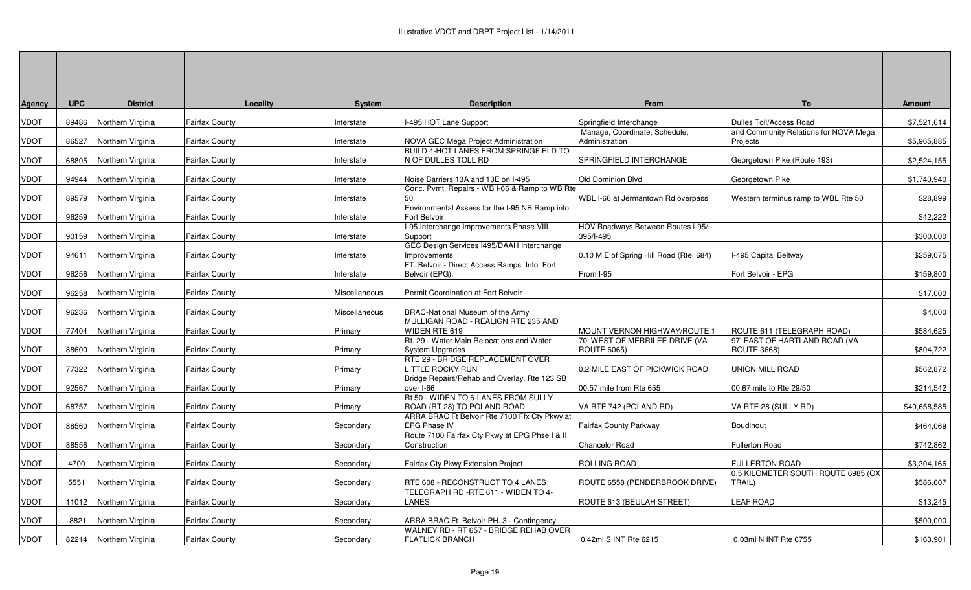| <b>Agency</b> | <b>UPC</b> | <b>District</b>         | Locality              | <b>System</b> | <b>Description</b>                                                                                                     | From                                                 | <b>To</b>                                                   | Amount       |
|---------------|------------|-------------------------|-----------------------|---------------|------------------------------------------------------------------------------------------------------------------------|------------------------------------------------------|-------------------------------------------------------------|--------------|
| <b>VDOT</b>   | 89486      | Northern Virginia       | <b>Fairfax County</b> | Interstate    | -495 HOT Lane Support                                                                                                  | Springfield Interchange                              | Dulles Toll/Access Road                                     | \$7,521,614  |
| <b>VDOT</b>   | 86527      | Northern Virginia       | <b>Fairfax County</b> | Interstate    | NOVA GEC Mega Project Administration                                                                                   | Manage, Coordinate, Schedule,<br>Administration      | and Community Relations for NOVA Mega<br>Projects           | \$5,965,885  |
| <b>VDOT</b>   | 68805      | Northern Virginia       | <b>Fairfax County</b> | Interstate    | BUILD 4-HOT LANES FROM SPRINGFIELD TO<br>N OF DULLES TOLL RD                                                           | SPRINGFIELD INTERCHANGE                              | Georgetown Pike (Route 193)                                 | \$2,524,155  |
| <b>VDOT</b>   | 94944      | Northern Virginia       | <b>Fairfax County</b> | Interstate    | Noise Barriers 13A and 13E on I-495                                                                                    | Old Dominion Blvd                                    | Georgetown Pike                                             | \$1,740,940  |
| <b>VDOT</b>   | 89579      | Northern Virginia       | <b>Fairfax County</b> | nterstate     | Conc. Pvmt. Repairs - WB I-66 & Ramp to WB Rtel<br>50                                                                  | WBL I-66 at Jermantown Rd overpass                   | Western terminus ramp to WBL Rte 50                         | \$28,899     |
| <b>VDOT</b>   | 96259      | Northern Virginia       | <b>Fairfax County</b> | Interstate    | Environmental Assess for the I-95 NB Ramp into<br>Fort Belvoir                                                         |                                                      |                                                             | \$42,222     |
| <b>VDOT</b>   | 90159      | Northern Virginia       | <b>Fairfax County</b> | Interstate    | I-95 Interchange Improvements Phase VIII<br>Support                                                                    | HOV Roadways Between Routes i-95/I-<br>395/I-495     |                                                             | \$300,000    |
| <b>VDOT</b>   | 94611      | Northern Virginia       | <b>Fairfax County</b> | Interstate    | GEC Design Services I495/DAAH Interchange<br>Improvements                                                              | 0.10 M E of Spring Hill Road (Rte. 684)              | I-495 Capital Beltway                                       | \$259,075    |
| <b>VDOT</b>   | 96256      | Northern Virginia       | <b>Fairfax County</b> | Interstate    | FT. Belvoir - Direct Access Ramps Into Fort<br>Belvoir (EPG).                                                          | From I-95                                            | Fort Belvoir - EPG                                          | \$159,800    |
| <b>VDOT</b>   | 96258      | Northern Virginia       | <b>Fairfax County</b> | Miscellaneous | Permit Coordination at Fort Belvoir                                                                                    |                                                      |                                                             | \$17,000     |
| <b>VDOT</b>   | 96236      | Northern Virginia       | <b>Fairfax County</b> | Miscellaneous | <b>BRAC-National Museum of the Army</b>                                                                                |                                                      |                                                             | \$4,000      |
| <b>VDOT</b>   | 77404      | Northern Virginia       | Fairfax County        | Primary       | MULLIGAN ROAD - REALIGN RTE 235 AND<br>WIDEN RTE 619                                                                   | MOUNT VERNON HIGHWAY/ROUTE 1                         | ROUTE 611 (TELEGRAPH ROAD)                                  | \$584,625    |
| <b>VDOT</b>   | 88600      | Northern Virginia       | <b>Fairfax County</b> | Primary       | Rt. 29 - Water Main Relocations and Water<br>System Upgrades                                                           | 70' WEST OF MERRILEE DRIVE (VA<br><b>ROUTE 6065)</b> | 97' EAST OF HARTLAND ROAD (VA<br><b>ROUTE 3668)</b>         | \$804,722    |
| <b>VDOT</b>   | 77322      | Northern Virginia       | <b>Fairfax County</b> | Primary       | RTE 29 - BRIDGE REPLACEMENT OVER<br>LITTLE ROCKY RUN                                                                   | 0.2 MILE EAST OF PICKWICK ROAD                       | <b>UNION MILL ROAD</b>                                      | \$562,872    |
| <b>VDOT</b>   | 92567      | Northern Virginia       | <b>Fairfax County</b> | Primary       | Bridge Repairs/Rehab and Overlay, Rte 123 SB<br>over I-66                                                              | 00.57 mile from Rte 655                              | 00.67 mile to Rte 29/50                                     | \$214,542    |
| <b>VDOT</b>   | 68757      | Northern Virginia       | <b>Fairfax County</b> | Primary       | Rt 50 - WIDEN TO 6-LANES FROM SULLY<br>ROAD (RT 28) TO POLAND ROAD                                                     | VA RTE 742 (POLAND RD)                               | VA RTE 28 (SULLY RD)                                        | \$40,658,585 |
| <b>VDOT</b>   | 88560      | Northern Virginia       | <b>Fairfax County</b> | Secondary     | ARRA BRAC Ft Belvoir Rte 7100 Ffx Cty Pkwy at<br><b>EPG Phase IV</b><br>Route 7100 Fairfax Cty Pkwy at EPG Phse I & II | Fairfax County Parkway                               | Boudinout                                                   | \$464,069    |
| <b>VDOT</b>   | 88556      | Northern Virginia       | <b>Fairfax County</b> | Secondary     | Construction                                                                                                           | <b>Chancelor Road</b>                                | <b>Fullerton Road</b>                                       | \$742,862    |
| <b>VDOT</b>   | 4700       | Northern Virginia       | <b>Fairfax County</b> | Secondary     | Fairfax Cty Pkwy Extension Project                                                                                     | ROLLING ROAD                                         | <b>FULLERTON ROAD</b><br>0.5 KILOMETER SOUTH ROUTE 6985 (OX | \$3,304,166  |
| <b>VDOT</b>   | 5551       | Northern Virginia       | <b>Fairfax County</b> | Secondary     | RTE 608 - RECONSTRUCT TO 4 LANES<br>TELEGRAPH RD -RTE 611 - WIDEN TO 4-                                                | ROUTE 6558 (PENDERBROOK DRIVE)                       | TRAIL)                                                      | \$586,607    |
| <b>VDOT</b>   | 11012      | Northern Virginia       | <b>Fairfax County</b> | Secondary     | <b>LANES</b>                                                                                                           | ROUTE 613 (BEULAH STREET)                            | <b>LEAF ROAD</b>                                            | \$13,245     |
| <b>VDOT</b>   | $-8821$    | Northern Virginia       | <b>Fairfax County</b> | Secondary     | ARRA BRAC Ft. Belvoir PH. 3 - Contingency<br>WALNEY RD - RT 657 - BRIDGE REHAB OVER                                    |                                                      |                                                             | \$500,000    |
| <b>VDOT</b>   |            | 82214 Northern Virginia | <b>Fairfax County</b> | Secondary     | <b>FLATLICK BRANCH</b>                                                                                                 | 0.42mi S INT Rte 6215                                | 0.03mi N INT Rte 6755                                       | \$163,901    |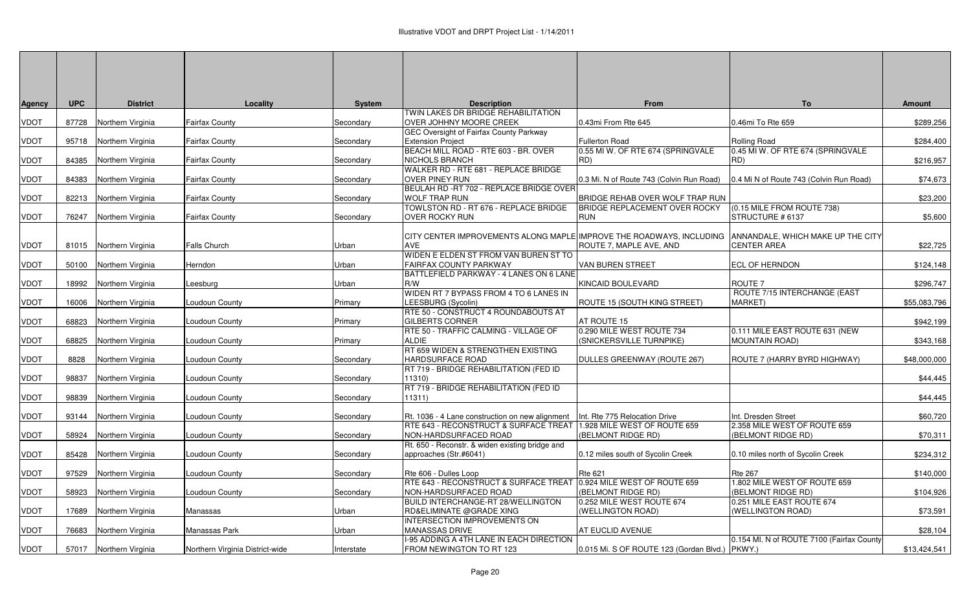| <b>Agency</b> | <b>UPC</b> | <b>District</b>         | Locality                        | <b>System</b> | <b>Description</b>                                                   | From                                                  | <b>To</b>                                               | <b>Amount</b> |
|---------------|------------|-------------------------|---------------------------------|---------------|----------------------------------------------------------------------|-------------------------------------------------------|---------------------------------------------------------|---------------|
|               |            |                         |                                 |               | TWIN LAKES DR BRIDGE REHABILITATION                                  |                                                       |                                                         |               |
| <b>VDOT</b>   | 87728      | Northern Virginia       | <b>Fairfax County</b>           | Secondary     | OVER JOHHNY MOORE CREEK                                              | 0.43mi From Rte 645                                   | 0.46mi To Rte 659                                       | \$289,256     |
|               |            |                         |                                 |               | <b>GEC Oversight of Fairfax County Parkway</b>                       |                                                       |                                                         |               |
| <b>VDOT</b>   | 95718      | Northern Virginia       | <b>Fairfax County</b>           | Secondary     | <b>Extension Project</b>                                             | <b>Fullerton Road</b>                                 | Rolling Road                                            | \$284,400     |
|               |            |                         |                                 |               | BEACH MILL ROAD - RTE 603 - BR. OVER                                 | 0.55 MI W. OF RTE 674 (SPRINGVALE                     | 0.45 MI W. OF RTE 674 (SPRINGVALE<br>RD)                |               |
| <b>VDOT</b>   | 84385      | Northern Virginia       | <b>Fairfax County</b>           | Secondary     | NICHOLS BRANCH<br>WALKER RD - RTE 681 - REPLACE BRIDGE               | RD)                                                   |                                                         | \$216,957     |
| <b>VDOT</b>   | 84383      | Northern Virginia       | <b>Fairfax County</b>           | Secondary     | <b>OVER PINEY RUN</b>                                                | 0.3 Mi. N of Route 743 (Colvin Run Road)              | 0.4 Mi N of Route 743 (Colvin Run Road)                 | \$74,673      |
|               |            |                         |                                 |               | BEULAH RD - RT 702 - REPLACE BRIDGE OVER                             |                                                       |                                                         |               |
| <b>VDOT</b>   | 82213      | Northern Virginia       | <b>Fairfax County</b>           | Secondary     | <b>WOLF TRAP RUN</b>                                                 | BRIDGE REHAB OVER WOLF TRAP RUN                       |                                                         | \$23,200      |
|               |            |                         |                                 |               | TOWLSTON RD - RT 676 - REPLACE BRIDGE                                | <b>BRIDGE REPLACEMENT OVER ROCKY</b>                  | (0.15 MILE FROM ROUTE 738)                              |               |
| <b>VDOT</b>   | 76247      | Northern Virginia       | <b>Fairfax County</b>           | Secondary     | <b>OVER ROCKY RUN</b>                                                | <b>RUN</b>                                            | STRUCTURE # 6137                                        | \$5,600       |
|               |            |                         |                                 |               |                                                                      |                                                       |                                                         |               |
|               |            |                         |                                 |               | CITY CENTER IMPROVEMENTS ALONG MAPLE IMPROVE THE ROADWAYS, INCLUDING |                                                       | ANNANDALE, WHICH MAKE UP THE CITY                       |               |
| <b>VDOT</b>   | 81015      | Northern Virginia       | <b>Falls Church</b>             | Urban         | <b>AVE</b>                                                           | ROUTE 7, MAPLE AVE, AND                               | <b>CENTER AREA</b>                                      | \$22,725      |
|               |            |                         |                                 |               | WIDEN E ELDEN ST FROM VAN BUREN ST TO                                |                                                       |                                                         |               |
| <b>VDOT</b>   | 50100      | Northern Virginia       | Herndon                         | Urban         | FAIRFAX COUNTY PARKWAY                                               | VAN BUREN STREET                                      | <b>ECL OF HERNDON</b>                                   | \$124,148     |
|               |            |                         |                                 |               | BATTLEFIELD PARKWAY - 4 LANES ON 6 LANE                              |                                                       |                                                         |               |
| <b>VDOT</b>   | 18992      | Northern Virginia       | Leesburg                        | Urban         | R/W                                                                  | KINCAID BOULEVARD                                     | ROUTE <sub>7</sub>                                      | \$296,747     |
|               |            |                         |                                 |               | WIDEN RT 7 BYPASS FROM 4 TO 6 LANES IN                               |                                                       | ROUTE 7/15 INTERCHANGE (EAST                            |               |
| <b>VDOT</b>   | 16006      | Northern Virginia       | Loudoun County                  | Primary       | LEESBURG (Sycolin)                                                   | ROUTE 15 (SOUTH KING STREET)                          | <b>MARKET)</b>                                          | \$55,083,796  |
|               |            |                         |                                 |               | RTE 50 - CONSTRUCT 4 ROUNDABOUTS AT                                  |                                                       |                                                         |               |
| <b>VDOT</b>   | 68823      | Northern Virginia       | Loudoun County                  | Primary       | <b>GILBERTS CORNER</b>                                               | AT ROUTE 15                                           |                                                         | \$942,199     |
| <b>VDOT</b>   | 68825      | Northern Virginia       |                                 | Primary       | RTE 50 - TRAFFIC CALMING - VILLAGE OF<br><b>ALDIE</b>                | 0.290 MILE WEST ROUTE 734<br>(SNICKERSVILLE TURNPIKE) | 0.111 MILE EAST ROUTE 631 (NEW<br><b>MOUNTAIN ROAD)</b> | \$343,168     |
|               |            |                         | Loudoun County                  |               | RT 659 WIDEN & STRENGTHEN EXISTING                                   |                                                       |                                                         |               |
| <b>VDOT</b>   | 8828       | Northern Virginia       | Loudoun County                  | Secondary     | <b>HARDSURFACE ROAD</b>                                              | DULLES GREENWAY (ROUTE 267)                           | ROUTE 7 (HARRY BYRD HIGHWAY)                            | \$48,000,000  |
|               |            |                         |                                 |               | RT 719 - BRIDGE REHABILITATION (FED ID                               |                                                       |                                                         |               |
| <b>VDOT</b>   | 98837      | Northern Virginia       | Loudoun County                  | Secondary     | 11310)                                                               |                                                       |                                                         | \$44,445      |
|               |            |                         |                                 |               | RT 719 - BRIDGE REHABILITATION (FED ID                               |                                                       |                                                         |               |
| <b>VDOT</b>   | 98839      | Northern Virginia       | Loudoun County                  | Secondary     | 11311)                                                               |                                                       |                                                         | \$44,445      |
|               |            |                         |                                 |               |                                                                      |                                                       |                                                         |               |
| <b>VDOT</b>   | 93144      | Northern Virginia       | Loudoun County                  | Secondary     | Rt. 1036 - 4 Lane construction on new alignment                      | Int. Rte 775 Relocation Drive                         | Int. Dresden Street                                     | \$60,720      |
|               |            |                         |                                 |               | RTE 643 - RECONSTRUCT & SURFACE TREAT                                | 1.928 MILE WEST OF ROUTE 659                          | 2.358 MILE WEST OF ROUTE 659                            |               |
| <b>VDOT</b>   | 58924      | Northern Virginia       | Loudoun County                  | Secondary     | NON-HARDSURFACED ROAD                                                | (BELMONT RIDGE RD)                                    | (BELMONT RIDGE RD)                                      | \$70,311      |
|               |            |                         |                                 |               | Rt. 650 - Reconstr. & widen existing bridge and                      |                                                       |                                                         |               |
| <b>VDOT</b>   | 85428      | Northern Virginia       | Loudoun County                  | Secondary     | approaches (Str.#6041)                                               | 0.12 miles south of Sycolin Creek                     | 0.10 miles north of Sycolin Creek                       | \$234,312     |
|               |            |                         |                                 |               |                                                                      |                                                       |                                                         |               |
| <b>VDOT</b>   | 97529      | Northern Virginia       | Loudoun County                  | Secondary     | Rte 606 - Dulles Loop                                                | <b>Rte 621</b>                                        | <b>Rte 267</b>                                          | \$140,000     |
| <b>VDOT</b>   | 58923      | Northern Virginia       | Loudoun County                  | Secondary     | RTE 643 - RECONSTRUCT & SURFACE TREAT<br>NON-HARDSURFACED ROAD       | 0.924 MILE WEST OF ROUTE 659<br>(BELMONT RIDGE RD)    | 1.802 MILE WEST OF ROUTE 659<br>(BELMONT RIDGE RD)      | \$104,926     |
|               |            |                         |                                 |               | BUILD INTERCHANGE-RT 28/WELLINGTON                                   | 0.252 MILE WEST ROUTE 674                             | 0.251 MILE EAST ROUTE 674                               |               |
| <b>VDOT</b>   | 17689      | Northern Virginia       | Manassas                        | Urban         | RD&ELIMINATE @GRADE XING                                             | (WELLINGTON ROAD)                                     | (WELLINGTON ROAD)                                       | \$73,591      |
|               |            |                         |                                 |               | INTERSECTION IMPROVEMENTS ON                                         |                                                       |                                                         |               |
| <b>VDOT</b>   | 76683      | Northern Virginia       | Manassas Park                   | Urban         | MANASSAS DRIVE                                                       | AT EUCLID AVENUE                                      |                                                         | \$28,104      |
|               |            |                         |                                 |               | -95 ADDING A 4TH LANE IN EACH DIRECTION                              |                                                       | 0.154 MI. N of ROUTE 7100 (Fairfax County               |               |
| <b>VDOT</b>   |            | 57017 Northern Virginia | Northern Virginia District-wide | Interstate    | FROM NEWINGTON TO RT 123                                             | 0.015 Mi. S OF ROUTE 123 (Gordan Blvd.) PKWY.)        |                                                         | \$13,424,541  |
|               |            |                         |                                 |               |                                                                      |                                                       |                                                         |               |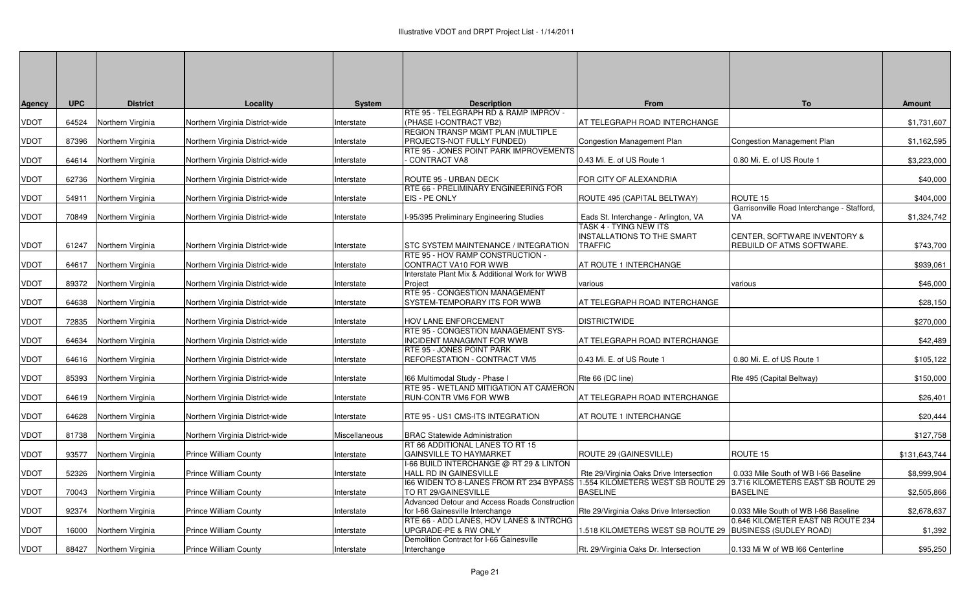| <b>Agency</b> | <b>UPC</b> | <b>District</b>   | Locality                        | <b>System</b> | <b>Description</b>                                                       | From                                                                | To                                               | <b>Amount</b> |
|---------------|------------|-------------------|---------------------------------|---------------|--------------------------------------------------------------------------|---------------------------------------------------------------------|--------------------------------------------------|---------------|
|               |            |                   |                                 |               | RTE 95 - TELEGRAPH RD & RAMP IMPROV -                                    |                                                                     |                                                  |               |
| <b>VDOT</b>   | 64524      | Northern Virginia | Northern Virginia District-wide | Interstate    | (PHASE I-CONTRACT VB2)                                                   | AT TELEGRAPH ROAD INTERCHANGE                                       |                                                  | \$1,731,607   |
|               |            |                   |                                 |               | REGION TRANSP MGMT PLAN (MULTIPLE                                        |                                                                     |                                                  |               |
| <b>VDOT</b>   | 87396      | Northern Virginia | Northern Virginia District-wide | Interstate    | PROJECTS-NOT FULLY FUNDED)<br>RTE 95 - JONES POINT PARK IMPROVEMENTS     | <b>Congestion Management Plan</b>                                   | Congestion Management Plan                       | \$1,162,595   |
| <b>VDOT</b>   | 64614      | Northern Virginia | Northern Virginia District-wide | Interstate    | <b>CONTRACT VA8</b>                                                      | 0.43 Mi. E. of US Route 1                                           | 0.80 Mi. E. of US Route 1                        | \$3,223,000   |
|               |            |                   |                                 |               |                                                                          |                                                                     |                                                  |               |
| <b>VDOT</b>   | 62736      | Northern Virginia | Northern Virginia District-wide | Interstate    | ROUTE 95 - URBAN DECK                                                    | FOR CITY OF ALEXANDRIA                                              |                                                  | \$40,000      |
|               |            |                   |                                 |               | RTE 66 - PRELIMINARY ENGINEERING FOR                                     |                                                                     |                                                  |               |
| <b>VDOT</b>   | 54911      | Northern Virginia | Northern Virginia District-wide | Interstate    | EIS - PE ONLY                                                            | ROUTE 495 (CAPITAL BELTWAY)                                         | ROUTE 15                                         | \$404,000     |
| <b>VDOT</b>   | 70849      | Northern Virginia | Northern Virginia District-wide | Interstate    | I-95/395 Preliminary Engineering Studies                                 | Eads St. Interchange - Arlington, VA                                | Garrisonville Road Interchange - Stafford,<br>VA | \$1,324,742   |
|               |            |                   |                                 |               |                                                                          | TASK 4 - TYING NEW ITS                                              |                                                  |               |
|               |            |                   |                                 |               |                                                                          | INSTALLATIONS TO THE SMART                                          | <b>CENTER, SOFTWARE INVENTORY &amp;</b>          |               |
| <b>VDOT</b>   | 61247      | Northern Virginia | Northern Virginia District-wide | Interstate    | STC SYSTEM MAINTENANCE / INTEGRATION                                     | <b>TRAFFIC</b>                                                      | REBUILD OF ATMS SOFTWARE.                        | \$743,700     |
|               |            |                   |                                 |               | RTE 95 - HOV RAMP CONSTRUCTION -                                         |                                                                     |                                                  |               |
| <b>VDOT</b>   | 64617      | Northern Virginia | Northern Virginia District-wide | Interstate    | CONTRACT VA10 FOR WWB<br>Interstate Plant Mix & Additional Work for WWB  | AT ROUTE 1 INTERCHANGE                                              |                                                  | \$939,061     |
| <b>VDOT</b>   | 89372      | Northern Virginia | Northern Virginia District-wide | Interstate    | Project                                                                  | various                                                             | various                                          | \$46,000      |
|               |            |                   |                                 |               | RTE 95 - CONGESTION MANAGEMENT                                           |                                                                     |                                                  |               |
| <b>VDOT</b>   | 64638      | Northern Virginia | Northern Virginia District-wide | Interstate    | SYSTEM-TEMPORARY ITS FOR WWB                                             | AT TELEGRAPH ROAD INTERCHANGE                                       |                                                  | \$28,150      |
|               |            |                   |                                 |               |                                                                          |                                                                     |                                                  |               |
| <b>VDOT</b>   | 72835      | Northern Virginia | Northern Virginia District-wide | Interstate    | HOV LANE ENFORCEMENT<br>RTE 95 - CONGESTION MANAGEMENT SYS-              | <b>DISTRICTWIDE</b>                                                 |                                                  | \$270,000     |
| <b>VDOT</b>   | 64634      | Northern Virginia | Northern Virginia District-wide | Interstate    | INCIDENT MANAGMNT FOR WWB                                                | AT TELEGRAPH ROAD INTERCHANGE                                       |                                                  | \$42,489      |
|               |            |                   |                                 |               | RTE 95 - JONES POINT PARK                                                |                                                                     |                                                  |               |
| <b>VDOT</b>   | 64616      | Northern Virginia | Northern Virginia District-wide | Interstate    | REFORESTATION - CONTRACT VM5                                             | 0.43 Mi. E. of US Route 1                                           | 0.80 Mi. E. of US Route 1                        | \$105,122     |
|               |            |                   |                                 |               |                                                                          |                                                                     |                                                  |               |
| <b>VDOT</b>   | 85393      | Northern Virginia | Northern Virginia District-wide | Interstate    | 166 Multimodal Study - Phase I<br>RTE 95 - WETLAND MITIGATION AT CAMERON | Rte 66 (DC line)                                                    | Rte 495 (Capital Beltway)                        | \$150,000     |
| <b>VDOT</b>   | 64619      | Northern Virginia | Northern Virginia District-wide | Interstate    | RUN-CONTR VM6 FOR WWB                                                    | AT TELEGRAPH ROAD INTERCHANGE                                       |                                                  | \$26,401      |
|               |            |                   |                                 |               |                                                                          |                                                                     |                                                  |               |
| <b>VDOT</b>   | 64628      | Northern Virginia | Northern Virginia District-wide | Interstate    | RTE 95 - US1 CMS-ITS INTEGRATION                                         | AT ROUTE 1 INTERCHANGE                                              |                                                  | \$20,444      |
|               |            |                   |                                 |               |                                                                          |                                                                     |                                                  |               |
| <b>VDOT</b>   | 81738      | Northern Virginia | Northern Virginia District-wide | Miscellaneous | <b>BRAC Statewide Administration</b><br>RT 66 ADDITIONAL LANES TO RT 15  |                                                                     |                                                  | \$127,758     |
| VDOT          | 93577      | Northern Virginia | <b>Prince William County</b>    | Interstate    | <b>GAINSVILLE TO HAYMARKET</b>                                           | ROUTE 29 (GAINESVILLE)                                              | ROUTE 15                                         | \$131,643,744 |
|               |            |                   |                                 |               | I-66 BUILD INTERCHANGE @ RT 29 & LINTON                                  |                                                                     |                                                  |               |
| <b>VDOT</b>   | 52326      | Northern Virginia | Prince William County           | Interstate    | HALL RD IN GAINESVILLE                                                   | Rte 29/Virginia Oaks Drive Intersection                             | 0.033 Mile South of WB I-66 Baseline             | \$8,999,904   |
|               |            |                   |                                 |               | 166 WIDEN TO 8-LANES FROM RT 234 BYPASS                                  | 1.554 KILOMETERS WEST SB ROUTE 29 3.716 KILOMETERS EAST SB ROUTE 29 |                                                  |               |
| <b>VDOT</b>   | 70043      | Northern Virginia | <b>Prince William County</b>    | Interstate    | TO RT 29/GAINESVILLE<br>Advanced Detour and Access Roads Constructior    | <b>BASELINE</b>                                                     | <b>BASELINE</b>                                  | \$2,505,866   |
| <u>VDOT</u>   | 92374      | Northern Virginia | <b>Prince William County</b>    | Interstate    | for I-66 Gainesville Interchange                                         | Rte 29/Virginia Oaks Drive Intersection                             | 0.033 Mile South of WB I-66 Baseline             | \$2,678,637   |
|               |            |                   |                                 |               | RTE 66 - ADD LANES, HOV LANES & INTRCHG                                  |                                                                     | 0.646 KILOMETER EAST NB ROUTE 234                |               |
| <b>VDOT</b>   | 16000      | Northern Virginia | <b>Prince William County</b>    | Interstate    | UPGRADE-PE & RW ONLY                                                     | 518 KILOMETERS WEST SB ROUTE 29 BUSINESS (SUDLEY ROAD).             |                                                  | \$1,392       |
|               |            |                   |                                 |               | Demolition Contract for I-66 Gainesville                                 |                                                                     |                                                  |               |
| <b>VDOT</b>   | 88427      | Northern Virginia | <b>Prince William County</b>    | Interstate    | Interchange                                                              | Rt. 29/Virginia Oaks Dr. Intersection                               | 0.133 Mi W of WB I66 Centerline                  | \$95,250      |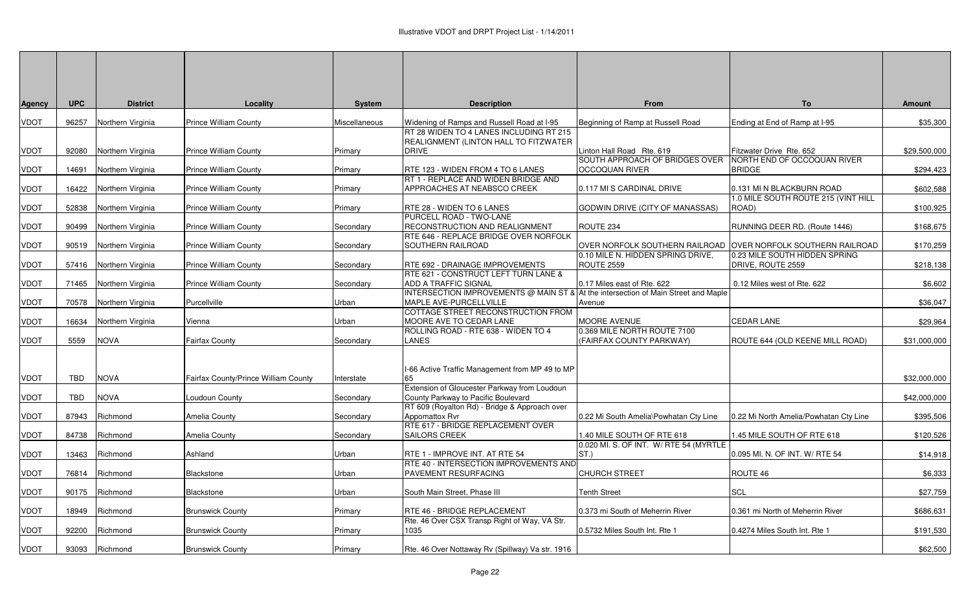| Agency      | <b>UPC</b> | <b>District</b>         | Locality                             | <b>System</b> | <b>Description</b>                                                                 | From                                                          | <b>To</b>                                          | <b>Amount</b> |
|-------------|------------|-------------------------|--------------------------------------|---------------|------------------------------------------------------------------------------------|---------------------------------------------------------------|----------------------------------------------------|---------------|
| VDOT        | 96257      | Northern Virginia       | <b>Prince William County</b>         | Miscellaneous | Widening of Ramps and Russell Road at I-95                                         | Beginning of Ramp at Russell Road                             | Ending at End of Ramp at I-95                      | \$35,300      |
|             |            |                         |                                      |               | RT 28 WIDEN TO 4 LANES INCLUDING RT 215                                            |                                                               |                                                    |               |
| VDOT        | 92080      | Northern Virginia       | <b>Prince William County</b>         | Primary       | <b>REALIGNMENT (LINTON HALL TO FITZWATER</b><br><b>DRIVE</b>                       | Linton Hall Road Rte. 619                                     | Fitzwater Drive Rte. 652                           | \$29,500,000  |
|             |            |                         |                                      |               |                                                                                    | SOUTH APPROACH OF BRIDGES OVER                                | NORTH END OF OCCOQUAN RIVER                        |               |
| VDOT        | 14691      | Northern Virginia       | <b>Prince William County</b>         | Primary       | RTE 123 - WIDEN FROM 4 TO 6 LANES                                                  | OCCOQUAN RIVER                                                | <b>BRIDGE</b>                                      | \$294,423     |
|             |            |                         |                                      |               | RT 1 - REPLACE AND WIDEN BRIDGE AND                                                |                                                               |                                                    |               |
| VDOT        | 16422      | Northern Virginia       | <b>Prince William County</b>         | Primary       | APPROACHES AT NEABSCO CREEK                                                        | 0.117 MI S CARDINAL DRIVE                                     | 0.131 MI N BLACKBURN ROAD                          | \$602,588     |
| VDOT        | 52838      | Northern Virginia       | <b>Prince William County</b>         | Primary       | RTE 28 - WIDEN TO 6 LANES                                                          | GODWIN DRIVE (CITY OF MANASSAS)                               | 1.0 MILE SOUTH ROUTE 215 (VINT HILL<br>ROAD)       | \$100,925     |
|             |            |                         |                                      |               | PURCELL ROAD - TWO-LANE                                                            |                                                               |                                                    |               |
| VDOT        | 90499      | Northern Virginia       | Prince William County                | Secondary     | RECONSTRUCTION AND REALIGNMENT                                                     | ROUTE 234                                                     | RUNNING DEER RD. (Route 1446)                      | \$168,675     |
|             |            |                         |                                      |               | RTE 646 - REPLACE BRIDGE OVER NORFOLK                                              |                                                               |                                                    |               |
| VDOT        |            | 90519 Northern Virginia | <b>Prince William County</b>         | Secondary     | <b>SOUTHERN RAILROAD</b>                                                           | OVER NORFOLK SOUTHERN RAILROAD OVER NORFOLK SOUTHERN RAILROAD |                                                    | \$170,259     |
| VDOT        | 57416      | Northern Virginia       | <b>Prince William County</b>         | Secondary     | RTE 692 - DRAINAGE IMPROVEMENTS                                                    | 0.10 MILE N. HIDDEN SPRING DRIVE,<br><b>ROUTE 2559</b>        | 0.23 MILE SOUTH HIDDEN SPRING<br>DRIVE, ROUTE 2559 | \$218,138     |
|             |            |                         |                                      |               | RTE 621 - CONSTRUCT LEFT TURN LANE &                                               |                                                               |                                                    |               |
| VDOT        | 71465      | Northern Virginia       | Prince William County                | Secondary     | ADD A TRAFFIC SIGNAL                                                               | 0.17 Miles east of Rte. 622                                   | 0.12 Miles west of Rte. 622                        | \$6,602       |
|             |            |                         |                                      |               | INTERSECTION IMPROVEMENTS @ MAIN ST & At the intersection of Main Street and Maple |                                                               |                                                    |               |
| VDOT        | 70578      | Northern Virginia       | Purcellville                         | Urban         | MAPLE AVE-PURCELLVILLE                                                             | Avenue                                                        |                                                    | \$36,047      |
| VDOT        |            |                         |                                      | Urban         | COTTAGE STREET RECONSTRUCTION FROM<br>MOORE AVE TO CEDAR LANE                      | <b>MOORE AVENUE</b>                                           | <b>CEDAR LANE</b>                                  | \$29,964      |
|             | 16634      | Northern Virginia       | Vienna                               |               | ROLLING ROAD - RTE 638 - WIDEN TO 4                                                | 0.369 MILE NORTH ROUTE 7100                                   |                                                    |               |
| VDOT        | 5559       | <b>NOVA</b>             | Fairfax County                       | Secondary     | <b>LANES</b>                                                                       | (FAIRFAX COUNTY PARKWAY)                                      | ROUTE 644 (OLD KEENE MILL ROAD)                    | \$31,000,000  |
|             |            |                         |                                      |               |                                                                                    |                                                               |                                                    |               |
|             |            |                         |                                      |               |                                                                                    |                                                               |                                                    |               |
|             |            |                         |                                      |               | I-66 Active Traffic Management from MP 49 to MP<br>65                              |                                                               |                                                    |               |
| VDOT        | TBD        | <b>NOVA</b>             | Fairfax County/Prince William County | Interstate    | Extension of Gloucester Parkway from Loudoun                                       |                                                               |                                                    | \$32,000,000  |
| VDOT        | <b>TBD</b> | <b>NOVA</b>             | Loudoun County                       | Secondary     | County Parkway to Pacific Boulevard                                                |                                                               |                                                    | \$42,000,000  |
|             |            |                         |                                      |               | RT 609 (Royalton Rd) - Bridge & Approach over                                      |                                                               |                                                    |               |
| VDOT        | 87943      | Richmond                | Amelia County                        | Secondary     | Appomattox Rvr                                                                     | 0.22 Mi South Amelia\Powhatan Cty Line                        | 0.22 Mi North Amelia/Powhatan Cty Line             | \$395,506     |
| VDOT        | 84738      | Richmond                | Amelia County                        | Secondary     | RTE 617 - BRIDGE REPLACEMENT OVER<br>SAILORS CREEK                                 | 1.40 MILE SOUTH OF RTE 618                                    | 1.45 MILE SOUTH OF RTE 618                         | \$120,526     |
|             |            |                         |                                      |               |                                                                                    | 0.020 MI. S. OF INT. W/ RTE 54 (MYRTLE                        |                                                    |               |
| VDOT        | 13463      | Richmond                | Ashland                              | Urban         | RTE 1 - IMPROVE INT. AT RTE 54                                                     | ST.)                                                          | 0.095 MI. N. OF INT. W/ RTE 54                     | \$14,918      |
|             |            |                         |                                      |               | RTE 40 - INTERSECTION IMPROVEMENTS AND                                             |                                                               |                                                    |               |
| VDOT        | 76814      | Richmond                | Blackstone                           | Urban         | PAVEMENT RESURFACING                                                               | <b>CHURCH STREET</b>                                          | ROUTE 46                                           | \$6,333       |
| VDOT        | 90175      | Richmond                | Blackstone                           | Urban         | South Main Street, Phase III                                                       | <b>Tenth Street</b>                                           | <b>SCL</b>                                         | \$27,759      |
|             |            |                         |                                      |               |                                                                                    |                                                               |                                                    |               |
| VDOT        | 18949      | Richmond                | <b>Brunswick County</b>              | Primary       | RTE 46 - BRIDGE REPLACEMENT                                                        | 0.373 mi South of Meherrin River                              | 0.361 mi North of Meherrin River                   | \$686,631     |
|             |            |                         |                                      |               | Rte. 46 Over CSX Transp Right of Way, VA Str.                                      |                                                               |                                                    |               |
| VDOT        | 92200      | Richmond                | <b>Brunswick County</b>              | Primary       | 1035                                                                               | 0.5732 Miles South Int. Rte 1                                 | 0.4274 Miles South Int. Rte 1                      | \$191,530     |
| <b>VDOT</b> |            | 93093 Richmond          | <b>Brunswick County</b>              | Primary       | Rte. 46 Over Nottaway Rv (Spillway) Va str. 1916                                   |                                                               |                                                    | \$62,500      |
|             |            |                         |                                      |               |                                                                                    |                                                               |                                                    |               |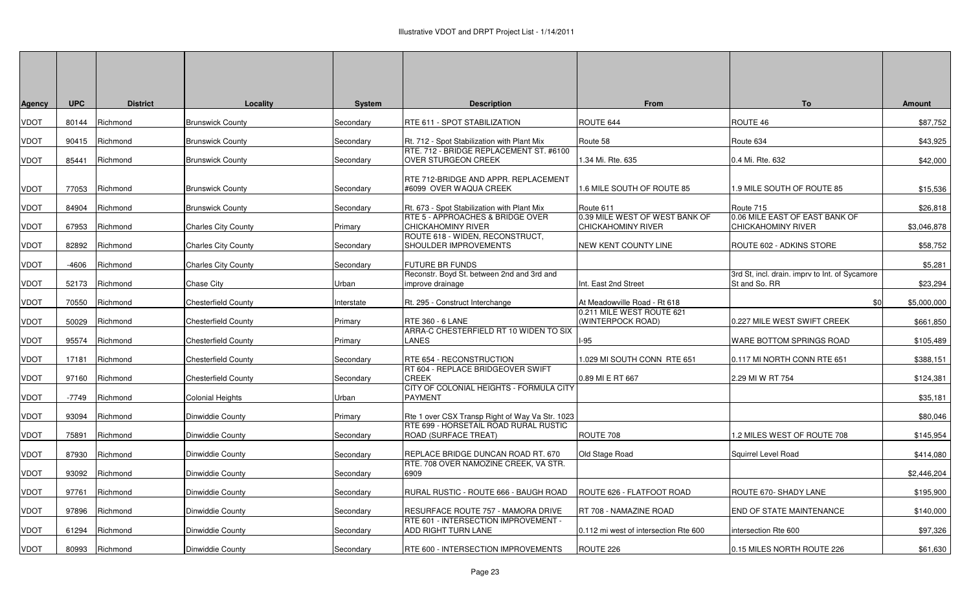| Agency | <b>UPC</b> | <b>District</b>      | Locality                             | <b>System</b> | <b>Description</b>                                                         | From                                                        | To                                                              | <b>Amount</b> |
|--------|------------|----------------------|--------------------------------------|---------------|----------------------------------------------------------------------------|-------------------------------------------------------------|-----------------------------------------------------------------|---------------|
| VDOT   | 80144      | Richmond             | <b>Brunswick County</b>              | Secondary     | RTE 611 - SPOT STABILIZATION                                               | ROUTE 644                                                   | ROUTE 46                                                        | \$87,752      |
| VDOT   | 90415      | Richmond             | <b>Brunswick County</b>              | Secondary     | Rt. 712 - Spot Stabilization with Plant Mix                                | Route 58                                                    | Route 634                                                       | \$43,925      |
| VDOT   | 85441      | Richmond             | <b>Brunswick County</b>              | Secondary     | RTE. 712 - BRIDGE REPLACEMENT ST. #6100<br><b>OVER STURGEON CREEK</b>      | 1.34 Mi. Rte. 635                                           | 0.4 Mi. Rte. 632                                                | \$42,000      |
| VDOT   | 77053      | Richmond             | <b>Brunswick County</b>              | Secondary     | RTE 712-BRIDGE AND APPR. REPLACEMENT<br>#6099 OVER WAQUA CREEK             | 1.6 MILE SOUTH OF ROUTE 85                                  | .9 MILE SOUTH OF ROUTE 85                                       | \$15,536      |
| VDOT   | 84904      | Richmond             | <b>Brunswick County</b>              | Secondary     | Rt. 673 - Spot Stabilization with Plant Mix                                | Route 611                                                   | Route 715                                                       | \$26,818      |
| VDOT   | 67953      | Richmond             | <b>Charles City County</b>           | Primary       | RTE 5 - APPROACHES & BRIDGE OVER<br>CHICKAHOMINY RIVER                     | 0.39 MILE WEST OF WEST BANK OF<br><b>CHICKAHOMINY RIVER</b> | 0.06 MILE EAST OF EAST BANK OF<br>CHICKAHOMINY RIVER            | \$3,046,878   |
| VDOT   | 82892      | Richmond             | <b>Charles City County</b>           | Secondary     | ROUTE 618 - WIDEN, RECONSTRUCT,<br>SHOULDER IMPROVEMENTS                   | NEW KENT COUNTY LINE                                        | ROUTE 602 - ADKINS STORE                                        | \$58,752      |
| VDOT   | -4606      | Richmond             | <b>Charles City County</b>           | Secondary     | <b>FUTURE BR FUNDS</b>                                                     |                                                             |                                                                 | \$5.281       |
| VDOT   | 52173      | Richmond             | Chase City                           | Urban         | Reconstr. Boyd St. between 2nd and 3rd and<br>improve drainage             | Int. East 2nd Street                                        | 3rd St, incl. drain. imprv to Int. of Sycamore<br>St and So. RR | \$23,294      |
| VDOT   | 70550      | Richmond             | Chesterfield County                  | Interstate    | Rt. 295 - Construct Interchange                                            | At Meadowville Road - Rt 618                                | \$0                                                             | \$5,000,000   |
| VDOT   | 50029      | Richmond             | <b>Chesterfield County</b>           | Primary       | RTE 360 - 6 LANE                                                           | 0.211 MILE WEST ROUTE 621<br>(WINTERPOCK ROAD)              | 0.227 MILE WEST SWIFT CREEK                                     | \$661,850     |
| VDOT   | 95574      | Richmond             | Chesterfield County                  | Primary       | ARRA-C CHESTERFIELD RT 10 WIDEN TO SIX<br>LANES                            | $-95$                                                       | WARE BOTTOM SPRINGS ROAD                                        | \$105,489     |
| VDOT   | 17181      | Richmond             | <b>Chesterfield County</b>           | Secondary     | RTE 654 - RECONSTRUCTION                                                   | 1.029 MI SOUTH CONN RTE 651                                 | 0.117 MI NORTH CONN RTE 651                                     | \$388,151     |
| VDOT   | 97160      | Richmond             | <b>Chesterfield County</b>           | Secondary     | RT 604 - REPLACE BRIDGEOVER SWIFT<br><b>CREEK</b>                          | 0.89 MI E RT 667                                            | 2.29 MI W RT 754                                                | \$124,381     |
| VDOT   | -7749      | Richmond             | Colonial Heights                     | Urban         | CITY OF COLONIAL HEIGHTS - FORMULA CITY<br><b>PAYMENT</b>                  |                                                             |                                                                 | \$35,181      |
| VDOT   | 93094      | Richmond             | Dinwiddie County                     | Primary       | Rte 1 over CSX Transp Right of Way Va Str. 1023                            |                                                             |                                                                 | \$80,046      |
| VDOT   | 75891      | Richmond             | Dinwiddie County                     | Secondary     | RTE 699 - HORSETAIL ROAD RURAL RUSTIC<br>ROAD (SURFACE TREAT)              | ROUTE 708                                                   | 1.2 MILES WEST OF ROUTE 708                                     | \$145,954     |
|        | 87930      |                      |                                      |               | REPLACE BRIDGE DUNCAN ROAD RT. 670                                         |                                                             |                                                                 | \$414,080     |
| VDOT   | 93092      | Richmond<br>Richmond | Dinwiddie County<br>Dinwiddie County | Secondary     | RTE. 708 OVER NAMOZINE CREEK, VA STR.<br>6909                              | Old Stage Road                                              | Squirrel Level Road                                             | \$2,446,204   |
| VDOT   |            |                      |                                      | Secondary     |                                                                            |                                                             |                                                                 |               |
| VDOT   | 97761      | Richmond             | Dinwiddie County                     | Secondary     | RURAL RUSTIC - ROUTE 666 - BAUGH ROAD                                      | ROUTE 626 - FLATFOOT ROAD                                   | ROUTE 670- SHADY LANE                                           | \$195,900     |
| VDOT   | 97896      | Richmond             | Dinwiddie County                     | Secondary     | RESURFACE ROUTE 757 - MAMORA DRIVE<br>RTE 601 - INTERSECTION IMPROVEMENT - | RT 708 - NAMAZINE ROAD                                      | END OF STATE MAINTENANCE                                        | \$140,000     |
| VDOT   | 61294      | Richmond             | Dinwiddie County                     | Secondary     | ADD RIGHT TURN LANE                                                        | 0.112 mi west of intersection Rte 600                       | intersection Rte 600                                            | \$97,326      |
| VDOT   |            | 80993 Richmond       | Dinwiddie County                     | Secondary     | RTE 600 - INTERSECTION IMPROVEMENTS                                        | ROUTE 226                                                   | 0.15 MILES NORTH ROUTE 226                                      | \$61,630      |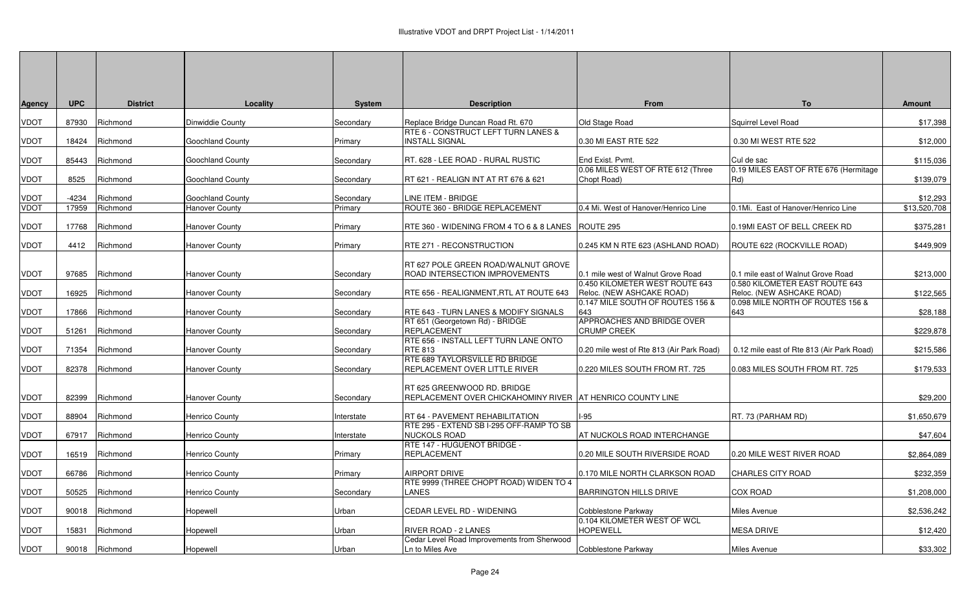| <b>Agency</b> | <b>UPC</b> | <b>District</b> | Locality                | <b>System</b> | <b>Description</b>                                                                          | From                                                        | <b>To</b>                                                   | <b>Amount</b> |
|---------------|------------|-----------------|-------------------------|---------------|---------------------------------------------------------------------------------------------|-------------------------------------------------------------|-------------------------------------------------------------|---------------|
| <b>VDOT</b>   | 87930      | Richmond        | Dinwiddie County        | Secondary     | Replace Bridge Duncan Road Rt. 670                                                          | Old Stage Road                                              | Squirrel Level Road                                         | \$17,398      |
| <b>VDOT</b>   | 18424      | Richmond        | <b>Goochland County</b> | Primary       | RTE 6 - CONSTRUCT LEFT TURN LANES &<br><b>INSTALL SIGNAL</b>                                | 0.30 MI EAST RTE 522                                        | 0.30 MI WEST RTE 522                                        | \$12,000      |
| <b>VDOT</b>   | 85443      | Richmond        | <b>Goochland County</b> | Secondary     | RT. 628 - LEE ROAD - RURAL RUSTIC                                                           | End Exist. Pvmt.                                            | Cul de sac                                                  | \$115,036     |
| <b>VDOT</b>   | 8525       | Richmond        | Goochland County        | Secondary     | RT 621 - REALIGN INT AT RT 676 & 621                                                        | 0.06 MILES WEST OF RTE 612 (Three<br>Chopt Road)            | 0.19 MILES EAST OF RTE 676 (Hermitage<br>Rd)                | \$139,079     |
| <b>VDOT</b>   | $-4234$    | Richmond        | <b>Goochland County</b> | Secondary     | LINE ITEM - BRIDGE                                                                          |                                                             |                                                             | \$12,293      |
| <b>VDOT</b>   | 17959      | Richmond        | <b>Hanover County</b>   | Primary       | ROUTE 360 - BRIDGE REPLACEMENT                                                              | 0.4 Mi. West of Hanover/Henrico Line                        | 0.1Mi. East of Hanover/Henrico Line                         | \$13,520,708  |
| <b>VDOT</b>   | 17768      | Richmond        | Hanover County          | Primary       | RTE 360 - WIDENING FROM 4 TO 6 & 8 LANES   ROUTE 295                                        |                                                             | 0.19MI EAST OF BELL CREEK RD                                | \$375,281     |
| <b>VDOT</b>   | 4412       | Richmond        | <b>Hanover County</b>   | Primary       | RTE 271 - RECONSTRUCTION                                                                    | 0.245 KM N RTE 623 (ASHLAND ROAD)                           | ROUTE 622 (ROCKVILLE ROAD)                                  | \$449,909     |
| <b>VDOT</b>   | 97685      | Richmond        | <b>Hanover County</b>   | Secondary     | RT 627 POLE GREEN ROAD/WALNUT GROVE<br>ROAD INTERSECTION IMPROVEMENTS                       | 0.1 mile west of Walnut Grove Road                          | 0.1 mile east of Walnut Grove Road                          | \$213,000     |
| <b>VDOT</b>   | 16925      | Richmond        | <b>Hanover County</b>   | Secondary     | RTE 656 - REALIGNMENT, RTL AT ROUTE 643                                                     | 0.450 KILOMETER WEST ROUTE 643<br>Reloc. (NEW ASHCAKE ROAD) | 0.580 KILOMETER EAST ROUTE 643<br>Reloc. (NEW ASHCAKE ROAD) | \$122,565     |
| <b>VDOT</b>   | 17866      | Richmond        | Hanover County          | Secondary     | RTE 643 - TURN LANES & MODIFY SIGNALS                                                       | 0.147 MILE SOUTH OF ROUTES 156 &<br>643                     | 0.098 MILE NORTH OF ROUTES 156 &<br>643                     | \$28,188      |
| <b>VDOT</b>   | 51261      | Richmond        | <b>Hanover County</b>   | Secondary     | RT 651 (Georgetown Rd) - BRIDGE<br><b>REPLACEMENT</b>                                       | APPROACHES AND BRIDGE OVER<br><b>CRUMP CREEK</b>            |                                                             | \$229,878     |
| <b>VDOT</b>   | 71354      | Richmond        | <b>Hanover County</b>   | Secondary     | RTE 656 - INSTALL LEFT TURN LANE ONTO<br><b>RTE 813</b>                                     | 0.20 mile west of Rte 813 (Air Park Road)                   | 0.12 mile east of Rte 813 (Air Park Road)                   | \$215,586     |
| <b>VDOT</b>   | 82378      | Richmond        | <b>Hanover County</b>   | Secondary     | RTE 689 TAYLORSVILLE RD BRIDGE<br>REPLACEMENT OVER LITTLE RIVER                             | 0.220 MILES SOUTH FROM RT. 725                              | 0.083 MILES SOUTH FROM RT. 725                              | \$179,533     |
| <b>VDOT</b>   | 82399      | Richmond        | <b>Hanover County</b>   | Secondary     | RT 625 GREENWOOD RD. BRIDGE<br>REPLACEMENT OVER CHICKAHOMINY RIVER   AT HENRICO COUNTY LINE |                                                             |                                                             | \$29,200      |
| <b>VDOT</b>   | 88904      | Richmond        | Henrico County          | nterstate     | RT 64 - PAVEMENT REHABILITATION                                                             | $1-95$                                                      | RT. 73 (PARHAM RD)                                          | \$1,650,679   |
| <b>VDOT</b>   | 67917      | Richmond        | Henrico County          | Interstate    | RTE 295 - EXTEND SB I-295 OFF-RAMP TO SB<br><b>NUCKOLS ROAD</b>                             | AT NUCKOLS ROAD INTERCHANGE                                 |                                                             | \$47,604      |
| <b>VDOT</b>   | 16519      | Richmond        | Henrico County          | Primary       | RTE 147 - HUGUENOT BRIDGE -<br><b>REPLACEMENT</b>                                           | 0.20 MILE SOUTH RIVERSIDE ROAD                              | 0.20 MILE WEST RIVER ROAD                                   | \$2,864,089   |
| <b>VDOT</b>   | 66786      | Richmond        | <b>Henrico County</b>   | Primary       | <b>AIRPORT DRIVE</b>                                                                        | 0.170 MILE NORTH CLARKSON ROAD                              | <b>CHARLES CITY ROAD</b>                                    | \$232,359     |
| <b>VDOT</b>   | 50525      | Richmond        | <b>Henrico County</b>   | Secondary     | RTE 9999 (THREE CHOPT ROAD) WIDEN TO 4<br><b>LANES</b>                                      | <b>BARRINGTON HILLS DRIVE</b>                               | <b>COX ROAD</b>                                             | \$1,208,000   |
| <b>VDOT</b>   | 90018      | Richmond        | Hopewell                | Urban         | CEDAR LEVEL RD - WIDENING                                                                   | Cobblestone Parkway                                         | Miles Avenue                                                | \$2,536,242   |
| <b>VDOT</b>   | 15831      | Richmond        | Hopewell                | Urban         | RIVER ROAD - 2 LANES                                                                        | 0.104 KILOMETER WEST OF WCL<br><b>HOPEWELL</b>              | <b>MESA DRIVE</b>                                           | \$12,420      |
| <b>VDOT</b>   |            | 90018 Richmond  | Hopewell                | Urban         | Cedar Level Road Improvements from Sherwood<br>Ln to Miles Ave                              | Cobblestone Parkway                                         | <b>Miles Avenue</b>                                         | \$33,302      |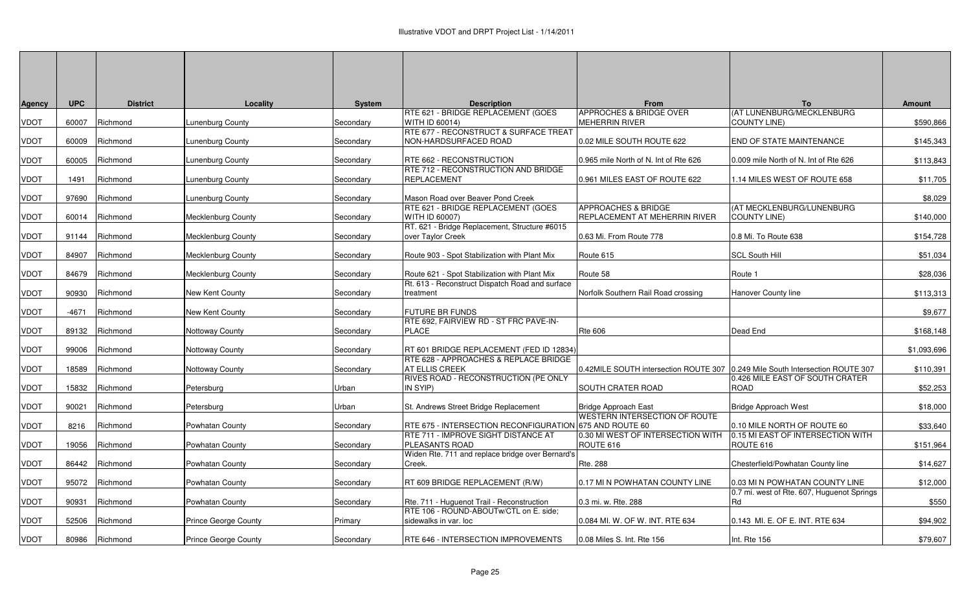| Agency      | <b>UPC</b> | <b>District</b> | Locality                    | <b>System</b> | <b>Description</b>                                                                              | <b>From</b>                                                                   | To                                                                           | <b>Amount</b> |
|-------------|------------|-----------------|-----------------------------|---------------|-------------------------------------------------------------------------------------------------|-------------------------------------------------------------------------------|------------------------------------------------------------------------------|---------------|
| VDOT        | 60007      | Richmond        | unenburg County             | Secondary     | RTE 621 - BRIDGE REPLACEMENT (GOES<br>WITH ID 60014)                                            | <b>APPROCHES &amp; BRIDGE OVER</b><br><b>MEHERRIN RIVER</b>                   | (AT LUNENBURG/MECKLENBURG<br><b>COUNTY LINE)</b>                             | \$590,866     |
| <b>VDOT</b> | 60009      | Richmond        | Lunenburg County            | Secondary     | RTE 677 - RECONSTRUCT & SURFACE TREAT<br>NON-HARDSURFACED ROAD                                  | 0.02 MILE SOUTH ROUTE 622                                                     | END OF STATE MAINTENANCE                                                     | \$145,343     |
| VDOT        | 60005      | Richmond        | Lunenburg County            | Secondary     | RTE 662 - RECONSTRUCTION                                                                        | 0.965 mile North of N. Int of Rte 626                                         | 0.009 mile North of N. Int of Rte 626                                        | \$113,843     |
| VDOT        | 1491       | Richmond        | unenburg County             | Secondary     | RTE 712 - RECONSTRUCTION AND BRIDGE<br>REPLACEMENT                                              | 0.961 MILES EAST OF ROUTE 622                                                 | 1.14 MILES WEST OF ROUTE 658                                                 | \$11,705      |
| VDOT        | 97690      | Richmond        | Lunenburg County            | Secondary     | Mason Road over Beaver Pond Creek                                                               |                                                                               |                                                                              | \$8,029       |
| VDOT        | 60014      | Richmond        | Mecklenburg County          | Secondary     | RTE 621 - BRIDGE REPLACEMENT (GOES<br>WITH ID 60007)                                            | <b>APPROACHES &amp; BRIDGE</b><br>REPLACEMENT AT MEHERRIN RIVER               | (AT MECKLENBURG/LUNENBURG)<br><b>COUNTY LINE)</b>                            | \$140,000     |
| VDOT        | 91144      | Richmond        | Mecklenburg County          | Secondary     | RT. 621 - Bridge Replacement, Structure #6015<br>over Taylor Creek                              | 0.63 Mi. From Route 778                                                       | 0.8 Mi. To Route 638                                                         | \$154,728     |
| VDOT        | 84907      | Richmond        | Mecklenburg County          | Secondary     | Route 903 - Spot Stabilization with Plant Mix                                                   | Route 615                                                                     | <b>SCL South Hill</b>                                                        | \$51,034      |
| VDOT        | 84679      | Richmond        | Mecklenburg County          | Secondary     | Route 621 - Spot Stabilization with Plant Mix                                                   | Route 58                                                                      | Route 1                                                                      | \$28,036      |
| VDOT        | 90930      | Richmond        | New Kent County             | Secondary     | Rt. 613 - Reconstruct Dispatch Road and surface<br>treatment                                    | Norfolk Southern Rail Road crossing                                           | Hanover County line                                                          | \$113,313     |
| VDOT        | -4671      | Richmond        | New Kent County             | Secondary     | <b>FUTURE BR FUNDS</b>                                                                          |                                                                               |                                                                              | \$9,677       |
| VDOT        | 89132      | Richmond        | Nottoway County             | Secondary     | RTE 692. FAIRVIEW RD - ST FRC PAVE-IN-<br><b>PLACE</b>                                          | <b>Rte 606</b>                                                                | Dead End                                                                     | \$168,148     |
| VDOT        | 99006      | Richmond        | Nottoway County             | Secondary     | RT 601 BRIDGE REPLACEMENT (FED ID 12834)                                                        |                                                                               |                                                                              | \$1,093,696   |
| VDOT        | 18589      | Richmond        | Nottoway County             | Secondary     | RTE 628 - APPROACHES & REPLACE BRIDGE<br>AT ELLIS CREEK<br>RIVES ROAD - RECONSTRUCTION (PE ONLY | 0.42MILE SOUTH intersection ROUTE 307 0.249 Mile South Intersection ROUTE 307 | 0.426 MILE EAST OF SOUTH CRATER                                              | \$110,391     |
| VDOT        | 15832      | Richmond        | Petersburg                  | Urban         | IN SYIP)                                                                                        | SOUTH CRATER ROAD                                                             | <b>ROAD</b>                                                                  | \$52,253      |
| VDOT        | 90021      | Richmond        | Petersburg                  | Urban         | St. Andrews Street Bridge Replacement                                                           | Bridge Approach East<br><b>WESTERN INTERSECTION OF ROUTE</b>                  | Bridge Approach West                                                         | \$18,000      |
| VDOT        | 8216       | Richmond        | Powhatan County             | Secondary     | RTE 675 - INTERSECTION RECONFIGURATION 675 AND ROUTE 60<br>RTE 711 - IMPROVE SIGHT DISTANCE AT  | 0.30 MI WEST OF INTERSECTION WITH                                             | 0.10 MILE NORTH OF ROUTE 60<br>0.15 MI EAST OF INTERSECTION WITH             | \$33,640      |
| VDOT        | 19056      | Richmond        | Powhatan County             | Secondary     | PLEASANTS ROAD<br>Widen Rte. 711 and replace bridge over Bernard's                              | ROUTE 616                                                                     | ROUTE 616                                                                    | \$151,964     |
| VDOT        | 86442      | Richmond        | Powhatan County             | Secondary     | Creek.                                                                                          | Rte. 288                                                                      | Chesterfield/Powhatan County line                                            | \$14,627      |
| VDOT        | 95072      | Richmond        | Powhatan County             | Secondary     | RT 609 BRIDGE REPLACEMENT (R/W)                                                                 | 0.17 MI N POWHATAN COUNTY LINE                                                | 0.03 MI N POWHATAN COUNTY LINE<br>0.7 mi. west of Rte. 607, Huguenot Springs | \$12,000      |
| VDOT        | 90931      | Richmond        | Powhatan County             | Secondary     | Rte. 711 - Huguenot Trail - Reconstruction<br>RTE 106 - ROUND-ABOUTw/CTL on E. side;            | 0.3 mi. w. Rte. 288                                                           | Rd                                                                           | \$550         |
| VDOT        | 52506      | Richmond        | <b>Prince George County</b> | Primary       | sidewalks in var. loc                                                                           | 0.084 MI. W. OF W. INT. RTE 634                                               | 0.143 MI. E. OF E. INT. RTE 634                                              | \$94,902      |
| VDOT        | 80986      | Richmond        | Prince George County        | Secondary     | RTE 646 - INTERSECTION IMPROVEMENTS                                                             | 0.08 Miles S. Int. Rte 156                                                    | Int. Rte 156                                                                 | \$79,607      |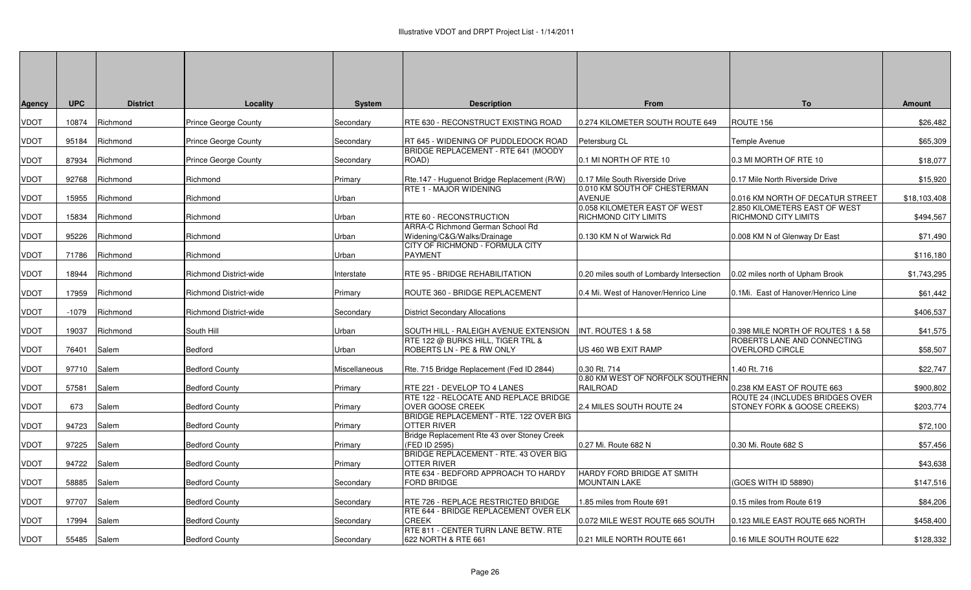| Agency      | <b>UPC</b>  | <b>District</b> | Locality                      | <b>System</b>  | <b>Description</b>                                               | <b>From</b>                                          | To                                                             | <b>Amount</b> |
|-------------|-------------|-----------------|-------------------------------|----------------|------------------------------------------------------------------|------------------------------------------------------|----------------------------------------------------------------|---------------|
| VDOT        | 10874       | Richmond        | <b>Prince George County</b>   | Secondary      | RTE 630 - RECONSTRUCT EXISTING ROAD                              | 0.274 KILOMETER SOUTH ROUTE 649                      | ROUTE 156                                                      | \$26,482      |
| VDOT        | 95184       | Richmond        | Prince George County          | Secondary      | RT 645 - WIDENING OF PUDDLEDOCK ROAD                             | Petersburg CL                                        | Temple Avenue                                                  | \$65,309      |
| VDOT        | 87934       | Richmond        | <b>Prince George County</b>   | Secondary      | BRIDGE REPLACEMENT - RTE 641 (MOODY<br>ROAD)                     | 0.1 MI NORTH OF RTE 10                               | 0.3 MI MORTH OF RTE 10                                         | \$18,077      |
| VDOT        | 92768       | Richmond        | Richmond                      | Primary        | Rte.147 - Huguenot Bridge Replacement (R/W)                      | 0.17 Mile South Riverside Drive                      | 0.17 Mile North Riverside Drive                                | \$15,920      |
| VDOT        | 15955       | Richmond        | Richmond                      | Urban          | RTE 1 - MAJOR WIDENING                                           | 0.010 KM SOUTH OF CHESTERMAN<br><b>AVENUE</b>        | 0.016 KM NORTH OF DECATUR STREET                               | \$18,103,408  |
| VDOT        | 15834       | Richmond        | Richmond                      | Urban          | RTE 60 - RECONSTRUCTION                                          | 0.058 KILOMETER EAST OF WEST<br>RICHMOND CITY LIMITS | 2.850 KILOMETERS EAST OF WEST<br>RICHMOND CITY LIMITS          | \$494,567     |
| VDOT        | 95226       | Richmond        | Richmond                      | Urban          | ARRA-C Richmond German School Rd<br>Widening/C&G/Walks/Drainage  | 0.130 KM N of Warwick Rd                             | 0.008 KM N of Glenway Dr East                                  | \$71,490      |
| VDOT        | 71786       | Richmond        | Richmond                      | Urban          | CITY OF RICHMOND - FORMULA CITY<br><b>PAYMENT</b>                |                                                      |                                                                | \$116,180     |
| <b>VDOT</b> | 18944       | Richmond        | <b>Richmond District-wide</b> | Interstate     | RTE 95 - BRIDGE REHABILITATION                                   | 0.20 miles south of Lombardy Intersection            | 0.02 miles north of Upham Brook                                | \$1,743,295   |
| VDOT        | 17959       | Richmond        | <b>Richmond District-wide</b> | <b>Primary</b> | ROUTE 360 - BRIDGE REPLACEMENT                                   | 0.4 Mi. West of Hanover/Henrico Line                 | 0.1Mi. East of Hanover/Henrico Line                            | \$61,442      |
| VDOT        | -1079       | Richmond        | <b>Richmond District-wide</b> | Secondary      | <b>District Secondary Allocations</b>                            |                                                      |                                                                | \$406,537     |
| VDOT        | 19037       | Richmond        | South Hill                    | Urban          | SOUTH HILL - RALEIGH AVENUE EXTENSION                            | INT. ROUTES 1 & 58                                   | 0.398 MILE NORTH OF ROUTES 1 & 58                              | \$41,575      |
| VDOT        | 76401       | Salem           | Bedford                       | Urban          | RTE 122 @ BURKS HILL, TIGER TRL &<br>ROBERTS LN - PE & RW ONLY   | US 460 WB EXIT RAMP                                  | ROBERTS LANE AND CONNECTING<br>OVERLORD CIRCLE                 | \$58,507      |
| VDOT        | 97710 Salem |                 | <b>Bedford County</b>         | Miscellaneous  | Rte. 715 Bridge Replacement (Fed ID 2844)                        | 0.30 Rt. 714                                         | 1.40 Rt. 716                                                   | \$22,747      |
| VDOT        | 57581       | Salem           | <b>Bedford County</b>         | Primary        | RTE 221 - DEVELOP TO 4 LANES                                     | 0.80 KM WEST OF NORFOLK SOUTHERN<br><b>RAILROAD</b>  | 0.238 KM EAST OF ROUTE 663                                     | \$900,802     |
| <b>VDOT</b> | 673         | Salem           | <b>Bedford County</b>         | Primary        | RTE 122 - RELOCATE AND REPLACE BRIDGE<br><b>OVER GOOSE CREEK</b> | 2.4 MILES SOUTH ROUTE 24                             | ROUTE 24 (INCLUDES BRIDGES OVER<br>STONEY FORK & GOOSE CREEKS) | \$203,774     |
| VDOT        | 94723       | Salem           | <b>Bedford County</b>         | <b>Primary</b> | BRIDGE REPLACEMENT - RTE. 122 OVER BIG<br><b>OTTER RIVER</b>     |                                                      |                                                                | \$72,100      |
| VDOT        | 97225       | Salem           | <b>Bedford County</b>         | Primary        | Bridge Replacement Rte 43 over Stoney Creek<br>(FED ID 2595)     | 0.27 Mi. Route 682 N                                 | 0.30 Mi. Route 682 S                                           | \$57,456      |
| VDOT        | 94722       | Salem           | <b>Bedford County</b>         | Primary        | BRIDGE REPLACEMENT - RTE. 43 OVER BIG<br>OTTER RIVER             |                                                      |                                                                | \$43,638      |
| VDOT        | 58885       | Salem           | <b>Bedford County</b>         | Secondary      | RTE 634 - BEDFORD APPROACH TO HARDY<br>FORD BRIDGE               | HARDY FORD BRIDGE AT SMITH<br><b>MOUNTAIN LAKE</b>   | (GOES WITH ID 58890)                                           | \$147,516     |
| VDOT        | 97707       | Salem           | <b>Bedford County</b>         | Secondary      | RTE 726 - REPLACE RESTRICTED BRIDGE                              | 1.85 miles from Route 691                            | 0.15 miles from Route 619                                      | \$84,206      |
| VDOT        | 17994       | Salem           | <b>Bedford County</b>         | Secondary      | RTE 644 - BRIDGE REPLACEMENT OVER ELK<br><b>CREEK</b>            | 0.072 MILE WEST ROUTE 665 SOUTH                      | 0.123 MILE EAST ROUTE 665 NORTH                                | \$458,400     |
| VDOT        | 55485       | Salem           | <b>Bedford County</b>         | Secondary      | RTE 811 - CENTER TURN LANE BETW. RTE<br>622 NORTH & RTE 661      | 0.21 MILE NORTH ROUTE 661                            | 0.16 MILE SOUTH ROUTE 622                                      | \$128,332     |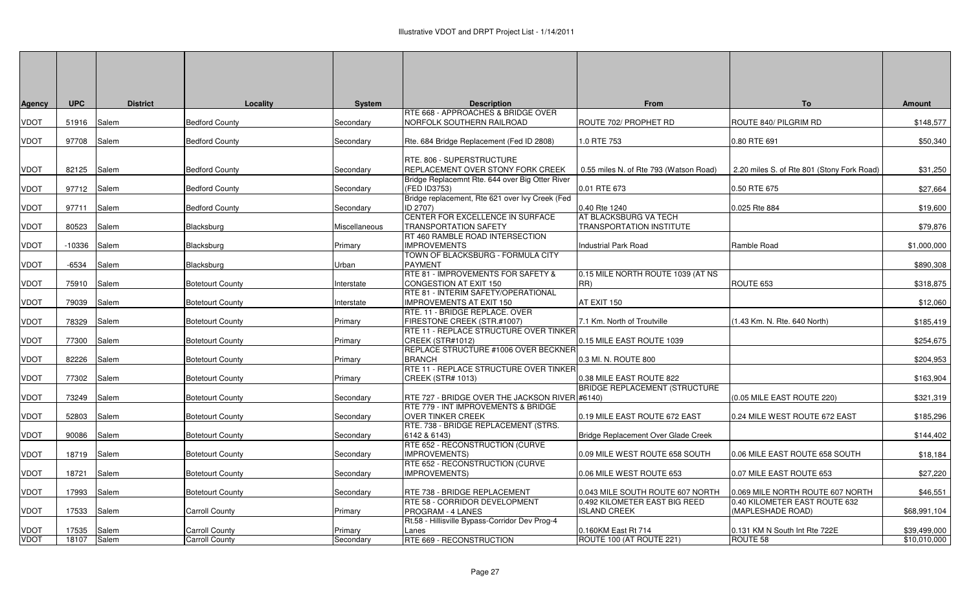| Agency              | <b>UPC</b>     | <b>District</b> | Locality                                | <b>System</b>        | <b>Description</b>                                                                          | <b>From</b>                                                       | To                                                                | <b>Amount</b>                |
|---------------------|----------------|-----------------|-----------------------------------------|----------------------|---------------------------------------------------------------------------------------------|-------------------------------------------------------------------|-------------------------------------------------------------------|------------------------------|
| VDOT                |                |                 | <b>Bedford County</b>                   |                      | RTE 668 - APPROACHES & BRIDGE OVER<br>NORFOLK SOUTHERN RAILROAD                             | ROUTE 702/ PROPHET RD                                             | ROUTE 840/ PILGRIM RD                                             | \$148,577                    |
|                     | 51916          | Salem           |                                         | Secondary            |                                                                                             |                                                                   |                                                                   |                              |
| <b>TOUV</b>         | 97708          | Salem           | <b>Bedford County</b>                   | Secondary            | Rte. 684 Bridge Replacement (Fed ID 2808)                                                   | 1.0 RTE 753                                                       | 0.80 RTE 691                                                      | \$50,340                     |
| VDOT                | 82125          | Salem           | <b>Bedford County</b>                   | Secondary            | RTE. 806 - SUPERSTRUCTURE<br>REPLACEMENT OVER STONY FORK CREEK                              | 0.55 miles N. of Rte 793 (Watson Road)                            | 2.20 miles S. of Rte 801 (Stony Fork Road)                        | \$31,250                     |
| VDOT                | 97712          | Salem           | <b>Bedford County</b>                   | Secondary            | Bridge Replacemnt Rte. 644 over Big Otter River<br>(FED ID3753)                             | 0.01 RTE 673                                                      | 0.50 RTE 675                                                      | \$27,664                     |
| VDOT                | 97711          | Salem           | <b>Bedford County</b>                   | Secondary            | Bridge replacement, Rte 621 over Ivy Creek (Fed<br>ID 2707)                                 | 0.40 Rte 1240                                                     | 0.025 Rte 884                                                     | \$19,600                     |
| VDOT                | 80523          | Salem           | Blacksburg                              | Miscellaneous        | CENTER FOR EXCELLENCE IN SURFACE<br><b>TRANSPORTATION SAFETY</b>                            | AT BLACKSBURG VA TECH<br><b>TRANSPORTATION INSTITUTE</b>          |                                                                   | \$79,876                     |
| VDOT                | $-10336$       | Salem           | Blacksburg                              | Primary              | RT 460 RAMBLE ROAD INTERSECTION<br><b>IMPROVEMENTS</b><br>TOWN OF BLACKSBURG - FORMULA CITY | <b>Industrial Park Road</b>                                       | Ramble Road                                                       | \$1,000,000                  |
| VDOT                | $-6534$        | Salem           | Blacksburg                              | Urban                | <b>PAYMENT</b>                                                                              |                                                                   |                                                                   | \$890,308                    |
| VDOT                | 75910          | Salem           | <b>Botetourt County</b>                 | Interstate           | RTE 81 - IMPROVEMENTS FOR SAFETY &<br>CONGESTION AT EXIT 150                                | 0.15 MILE NORTH ROUTE 1039 (AT NS<br>RR)                          | ROUTE 653                                                         | \$318,875                    |
| VDOT                | 79039          | Salem           | <b>Botetourt County</b>                 | Interstate           | RTE 81 - INTERIM SAFETY/OPERATIONAL<br><b>IMPROVEMENTS AT EXIT 150</b>                      | AT EXIT 150                                                       |                                                                   | \$12,060                     |
| VDOT                | 78329          | Salem           | <b>Botetourt County</b>                 | Primary              | RTE. 11 - BRIDGE REPLACE. OVER<br>FIRESTONE CREEK (STR.#1007)                               | 7.1 Km. North of Troutville                                       | (1.43 Km. N. Rte. 640 North)                                      | \$185,419                    |
| <b>TOUV</b>         | 77300          | Salem           | <b>Botetourt County</b>                 | Primary              | RTE 11 - REPLACE STRUCTURE OVER TINKER<br>CREEK (STR#1012)                                  | 0.15 MILE EAST ROUTE 1039                                         |                                                                   | \$254,675                    |
| VDOT                | 82226          | Salem           | <b>Botetourt County</b>                 | Primary              | REPLACE STRUCTURE #1006 OVER BECKNER<br><b>BRANCH</b>                                       | 0.3 MI. N. ROUTE 800                                              |                                                                   | \$204,953                    |
| VDOT                | 77302          | Salem           | <b>Botetourt County</b>                 | Primary              | RTE 11 - REPLACE STRUCTURE OVER TINKER<br><b>CREEK (STR# 1013)</b>                          | 0.38 MILE EAST ROUTE 822                                          |                                                                   | \$163,904                    |
| VDOT                | 73249          | Salem           | <b>Botetourt County</b>                 | Secondary            | RTE 727 - BRIDGE OVER THE JACKSON RIVER #6140)                                              | <b>BRIDGE REPLACEMENT (STRUCTURE)</b>                             | (0.05 MILE EAST ROUTE 220)                                        | \$321,319                    |
| <b>TOUV</b>         | 52803          | Salem           | <b>Botetourt County</b>                 | Secondary            | RTE 779 - INT IMPROVEMENTS & BRIDGE<br><b>OVER TINKER CREEK</b>                             | 0.19 MILE EAST ROUTE 672 EAST                                     | 0.24 MILE WEST ROUTE 672 EAST                                     | \$185,296                    |
| VDOT                | 90086          | Salem           | <b>Botetourt County</b>                 | Secondary            | RTE. 738 - BRIDGE REPLACEMENT (STRS.<br>6142 & 6143)<br>RTE 652 - RECONSTRUCTION (CURVE     | Bridge Replacement Over Glade Creek                               |                                                                   | \$144,402                    |
| VDOT                | 18719          | Salem           | <b>Botetourt County</b>                 | Secondary            | <b>IMPROVEMENTS)</b><br>RTE 652 - RECONSTRUCTION (CURVE                                     | 0.09 MILE WEST ROUTE 658 SOUTH                                    | 0.06 MILE EAST ROUTE 658 SOUTH                                    | \$18,184                     |
| VDOT                | 18721          | Salem           | <b>Botetourt County</b>                 | Secondary            | IMPROVEMENTS)                                                                               | 0.06 MILE WEST ROUTE 653                                          | 0.07 MILE EAST ROUTE 653                                          | \$27,220                     |
| VDOT                | 17993          | Salem           | <b>Botetourt County</b>                 | Secondary            | RTE 738 - BRIDGE REPLACEMENT<br>RTE 58 - CORRIDOR DEVELOPMENT                               | 0.043 MILE SOUTH ROUTE 607 NORTH<br>0.492 KILOMETER EAST BIG REED | 0.069 MILE NORTH ROUTE 607 NORTH<br>0.40 KILOMETER EAST ROUTE 632 | \$46,551                     |
| VDOT                | 17533          | Salem           | <b>Carroll County</b>                   | Primary              | PROGRAM - 4 LANES<br>Rt.58 - Hillisville Bypass-Corridor Dev Prog-4                         | <b>ISLAND CREEK</b>                                               | (MAPLESHADE ROAD)                                                 | \$68,991,104                 |
| VDOT<br><b>VDOT</b> | 17535<br>18107 | Salem           | <b>Carroll County</b><br>Carroll County | Primary<br>Secondary | Lanes<br>RTE 669 - RECONSTRUCTION                                                           | 0.160KM East Rt 714<br>ROUTE 100 (AT ROUTE 221)                   | 0.131 KM N South Int Rte 722E<br>ROUTE <sub>58</sub>              | \$39,499,000<br>\$10,010,000 |
|                     |                | Salem           |                                         |                      |                                                                                             |                                                                   |                                                                   |                              |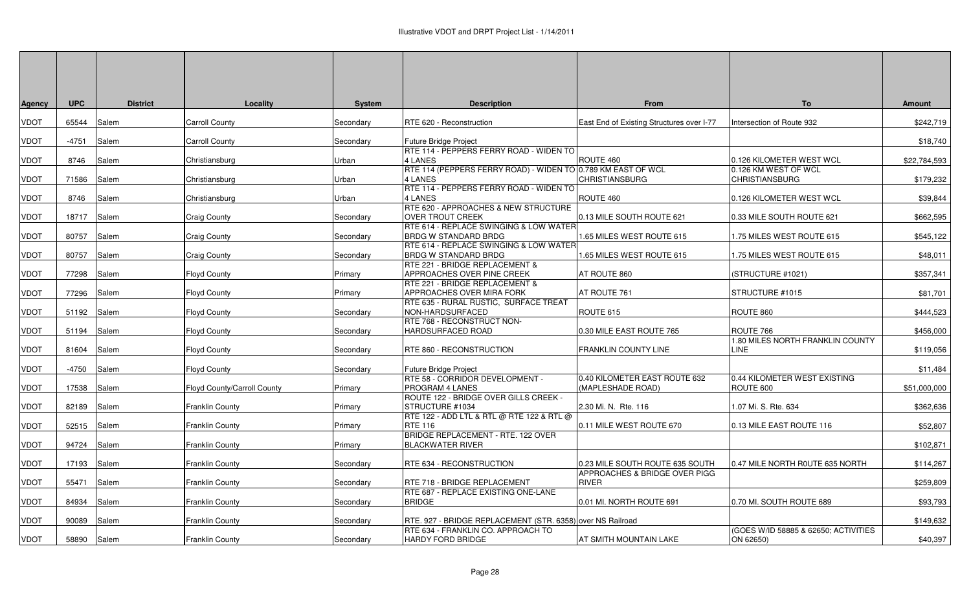| Agency      | <b>UPC</b> | <b>District</b> | Locality                    | <b>System</b>  | <b>Description</b>                                                                                | From                                                             | To                                            | <b>Amount</b> |
|-------------|------------|-----------------|-----------------------------|----------------|---------------------------------------------------------------------------------------------------|------------------------------------------------------------------|-----------------------------------------------|---------------|
| VDOT        | 65544      | Salem           | <b>Carroll County</b>       | Secondary      | RTE 620 - Reconstruction                                                                          | East End of Existing Structures over I-77                        | Intersection of Route 932                     | \$242,719     |
| VDOT        | -4751      | Salem           | <b>Carroll County</b>       | Secondary      | Future Bridge Project                                                                             |                                                                  |                                               | \$18,740      |
| VDOT        | 8746       | Salem           | Christiansburg              | Urban          | RTE 114 - PEPPERS FERRY ROAD - WIDEN TO<br>4 LANES                                                | ROUTE 460                                                        | 0.126 KILOMETER WEST WCL                      | \$22,784,593  |
| VDOT        | 71586      | Salem           | Christiansburg              | Urban          | RTE 114 (PEPPERS FERRY ROAD) - WIDEN TO 0.789 KM EAST OF WCL<br>4 LANES                           | <b>CHRISTIANSBURG</b>                                            | 0.126 KM WEST OF WCL<br><b>CHRISTIANSBURG</b> | \$179,232     |
| VDOT        | 8746       | Salem           | Christiansburg              | Urban          | RTE 114 - PEPPERS FERRY ROAD - WIDEN TO<br>4 LANES                                                | ROUTE 460                                                        | 0.126 KILOMETER WEST WCL                      | \$39,844      |
| VDOT        | 18717      | Salem           | Craig County                | Secondary      | RTE 620 - APPROACHES & NEW STRUCTURE<br><b>OVER TROUT CREEK</b>                                   | 0.13 MILE SOUTH ROUTE 621                                        | 0.33 MILE SOUTH ROUTE 621                     | \$662,595     |
| VDOT        | 80757      | Salem           | Craig County                | Secondary      | RTE 614 - REPLACE SWINGING & LOW WATER<br><b>BRDG W STANDARD BRDG</b>                             | 1.65 MILES WEST ROUTE 615                                        | 1.75 MILES WEST ROUTE 615                     | \$545,122     |
| VDOT        | 80757      | Salem           | Craig County                | Secondary      | RTE 614 - REPLACE SWINGING & LOW WATER<br><b>BRDG W STANDARD BRDG</b>                             | 1.65 MILES WEST ROUTE 615                                        | 1.75 MILES WEST ROUTE 615                     | \$48,011      |
| VDOT        | 77298      | Salem           | Floyd County                | Primary        | RTE 221 - BRIDGE REPLACEMENT &<br>APPROACHES OVER PINE CREEK                                      | AT ROUTE 860                                                     | (STRUCTURE #1021)                             | \$357,341     |
| VDOT        | 77296      | Salem           | <b>Floyd County</b>         | <b>Primary</b> | RTE 221 - BRIDGE REPLACEMENT &<br><b>APPROACHES OVER MIRA FORK</b>                                | AT ROUTE 761                                                     | STRUCTURE #1015                               | \$81,701      |
| <b>VDOT</b> | 51192      | Salem           | <b>Floyd County</b>         | Secondary      | RTE 635 - RURAL RUSTIC, SURFACE TREAT<br>NON-HARDSURFACED                                         | ROUTE 615                                                        | ROUTE 860                                     | \$444,523     |
| VDOT        | 51194      | Salem           | Floyd County                | Secondary      | RTE 768 - RECONSTRUCT NON-<br>HARDSURFACED ROAD                                                   | 0.30 MILE EAST ROUTE 765                                         | ROUTE 766                                     | \$456,000     |
| VDOT        | 81604      | Salem           | <b>Floyd County</b>         | Secondary      | RTE 860 - RECONSTRUCTION                                                                          | <b>FRANKLIN COUNTY LINE</b>                                      | 1.80 MILES NORTH FRANKLIN COUNTY<br>LINE      | \$119,056     |
| VDOT        | -4750      | Salem           | Floyd County                | Secondary      | Future Bridge Project                                                                             |                                                                  |                                               | \$11,484      |
| VDOT        | 17538      | Salem           | Floyd County/Carroll County | Primary        | RTE 58 - CORRIDOR DEVELOPMENT -<br>PROGRAM 4 LANES                                                | 0.40 KILOMETER EAST ROUTE 632<br>(MAPLESHADE ROAD)               | 0.44 KILOMETER WEST EXISTING<br>ROUTE 600     | \$51,000,000  |
| VDOT        | 82189      | Salem           | Franklin County             | Primary        | ROUTE 122 - BRIDGE OVER GILLS CREEK -<br>STRUCTURE #1034                                          | 2.30 Mi. N. Rte. 116                                             | .07 Mi. S. Rte. 634                           | \$362,636     |
| VDOT        | 52515      | Salem           | <b>Franklin County</b>      | Primary        | RTE 122 - ADD LTL & RTL @ RTE 122 & RTL @<br><b>RTE 116</b><br>BRIDGE REPLACEMENT - RTE. 122 OVER | 0.11 MILE WEST ROUTE 670                                         | 0.13 MILE EAST ROUTE 116                      | \$52,807      |
| VDOT        | 94724      | Salem           | <b>Franklin County</b>      | <b>Primary</b> | <b>BLACKWATER RIVER</b>                                                                           |                                                                  |                                               | \$102,871     |
| VDOT        | 17193      | Salem           | Franklin County             | Secondary      | RTE 634 - RECONSTRUCTION                                                                          | 0.23 MILE SOUTH ROUTE 635 SOUTH<br>APPROACHES & BRIDGE OVER PIGG | 0.47 MILE NORTH ROUTE 635 NORTH               | \$114,267     |
| VDOT        | 55471      | Salem           | <b>Franklin County</b>      | Secondary      | RTE 718 - BRIDGE REPLACEMENT<br>RTE 687 - REPLACE EXISTING ONE-LANE                               | <b>RIVER</b>                                                     |                                               | \$259,809     |
| VDOT        | 84934      | Salem           | Franklin County             | Secondary      | <b>BRIDGE</b>                                                                                     | 0.01 MI. NORTH ROUTE 691                                         | 0.70 MI. SOUTH ROUTE 689                      | \$93,793      |
| VDOT        | 90089      | Salem           | Franklin County             | Secondary      | RTE. 927 - BRIDGE REPLACEMENT (STR. 6358) over NS Railroad<br>RTE 634 - FRANKLIN CO. APPROACH TO  |                                                                  | (GOES W/ID 58885 & 62650; ACTIVITIES          | \$149,632     |
| VDOT        | 58890      | Salem           | <b>Franklin County</b>      | Secondary      | <b>HARDY FORD BRIDGE</b>                                                                          | AT SMITH MOUNTAIN LAKE                                           | ON 62650)                                     | \$40,397      |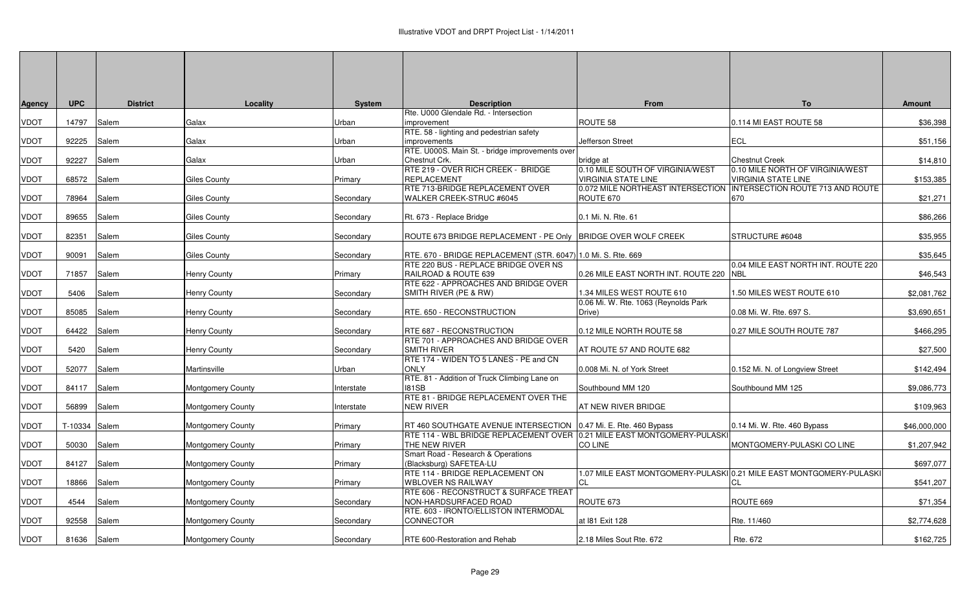| Agency | <b>UPC</b>    | <b>District</b> | Locality                 | <b>System</b> | <b>Description</b><br>Rte. U000 Glendale Rd. - Intersection                                           | From                                                            | <b>To</b>                                                                 | <b>Amount</b> |
|--------|---------------|-----------------|--------------------------|---------------|-------------------------------------------------------------------------------------------------------|-----------------------------------------------------------------|---------------------------------------------------------------------------|---------------|
| VDOT   | 14797         | Salem           | Galax                    | Urban         | improvement                                                                                           | ROUTE 58                                                        | 0.114 MI EAST ROUTE 58                                                    | \$36,398      |
|        |               |                 |                          |               | RTE. 58 - lighting and pedestrian safety                                                              |                                                                 |                                                                           |               |
| VDOT   | 92225         | Salem           | Galax                    | Urban         | improvements                                                                                          | Jefferson Street                                                | <b>ECL</b>                                                                | \$51,156      |
|        |               |                 |                          |               | RTE. U000S. Main St. - bridge improvements over                                                       |                                                                 |                                                                           |               |
| VDOT   | 92227         | Salem           | Galax                    | Urban         | Chestnut Crk.                                                                                         | bridge at                                                       | <b>Chestnut Creek</b>                                                     | \$14,810      |
|        |               |                 |                          |               | RTE 219 - OVER RICH CREEK - BRIDGE                                                                    | 0.10 MILE SOUTH OF VIRGINIA/WEST                                | 0.10 MILE NORTH OF VIRGINIA/WEST                                          |               |
| VDOT   | 68572         | Salem           | Giles County             | Primary       | <b>REPLACEMENT</b><br>RTE 713-BRIDGE REPLACEMENT OVER                                                 | <b>VIRGINIA STATE LINE</b><br>0.072 MILE NORTHEAST INTERSECTION | <b>VIRGINIA STATE LINE</b><br><b>INTERSECTION ROUTE 713 AND ROUTE</b>     | \$153,385     |
| VDOT   | 78964         | Salem           | Giles County             | Secondarv     | WALKER CREEK-STRUC #6045                                                                              | ROUTE 670                                                       | 670                                                                       | \$21,271      |
|        |               |                 |                          |               |                                                                                                       |                                                                 |                                                                           |               |
| VDOT   | 89655         | Salem           | Giles County             | Secondary     | Rt. 673 - Replace Bridge                                                                              | 0.1 Mi. N. Rte. 61                                              |                                                                           | \$86,266      |
|        |               |                 |                          |               |                                                                                                       |                                                                 |                                                                           |               |
| VDOT   | 82351         | Salem           | <b>Giles County</b>      | Secondary     | ROUTE 673 BRIDGE REPLACEMENT - PE Only   BRIDGE OVER WOLF CREEK                                       |                                                                 | <b>STRUCTURE #6048</b>                                                    | \$35,955      |
|        |               |                 |                          |               |                                                                                                       |                                                                 |                                                                           |               |
| VDOT   | 90091         | Salem           | Giles County             | Secondary     | RTE. 670 - BRIDGE REPLACEMENT (STR. 6047) 1.0 Mi. S. Rte. 669<br>RTE 220 BUS - REPLACE BRIDGE OVER NS |                                                                 | 0.04 MILE EAST NORTH INT, ROUTE 220                                       | \$35,645      |
| VDOT   | 71857         | Salem           | <b>Henry County</b>      | Primary       | RAILROAD & ROUTE 639                                                                                  | 0.26 MILE EAST NORTH INT. ROUTE 220                             | <b>NBL</b>                                                                | \$46,543      |
|        |               |                 |                          |               | RTE 622 - APPROACHES AND BRIDGE OVER                                                                  |                                                                 |                                                                           |               |
| VDOT   | 5406          | Salem           | Henry County             | Secondary     | SMITH RIVER (PE & RW)                                                                                 | 1.34 MILES WEST ROUTE 610                                       | 1.50 MILES WEST ROUTE 610                                                 | \$2,081,762   |
|        |               |                 |                          |               |                                                                                                       | 0.06 Mi. W. Rte. 1063 (Reynolds Park                            |                                                                           |               |
| VDOT   | 85085         | Salem           | <b>Henry County</b>      | Secondary     | RTE. 650 - RECONSTRUCTION                                                                             | Drive)                                                          | 0.08 Mi. W. Rte. 697 S.                                                   | \$3,690,651   |
|        |               |                 |                          |               |                                                                                                       |                                                                 |                                                                           |               |
| VDOT   | 64422         | Salem           | <b>Henry County</b>      | Secondary     | RTE 687 - RECONSTRUCTION<br>RTE 701 - APPROACHES AND BRIDGE OVER                                      | 0.12 MILE NORTH ROUTE 58                                        | 0.27 MILE SOUTH ROUTE 787                                                 | \$466,295     |
| VDOT   | 5420          | Salem           | Henry County             | Secondary     | <b>SMITH RIVER</b>                                                                                    | AT ROUTE 57 AND ROUTE 682                                       |                                                                           | \$27,500      |
|        |               |                 |                          |               | RTE 174 - WIDEN TO 5 LANES - PE and CN                                                                |                                                                 |                                                                           |               |
| VDOT   | 52077         | Salem           | Martinsville             | Urban         | <b>ONLY</b>                                                                                           | 0.008 Mi. N. of York Street                                     | 0.152 Mi. N. of Longview Street                                           | \$142,494     |
|        |               |                 |                          |               | RTE. 81 - Addition of Truck Climbing Lane on                                                          |                                                                 |                                                                           |               |
| VDOT   | 84117         | Salem           | Montgomery County        | Interstate    | <b>181SB</b>                                                                                          | Southbound MM 120                                               | Southbound MM 125                                                         | \$9,086,773   |
|        |               |                 |                          |               | RTE 81 - BRIDGE REPLACEMENT OVER THE                                                                  |                                                                 |                                                                           |               |
| VDOT   | 56899         | Salem           | Montgomery County        | Interstate    | <b>NEW RIVER</b>                                                                                      | AT NEW RIVER BRIDGE                                             |                                                                           | \$109,963     |
| VDOT   | T-10334 Salem |                 | Montgomery County        | Primary       | RT 460 SOUTHGATE AVENUE INTERSECTION                                                                  | 0.47 Mi. E. Rte. 460 Bypass                                     | 0.14 Mi. W. Rte. 460 Bypass                                               | \$46,000,000  |
|        |               |                 |                          |               | RTE 114 - WBL BRIDGE REPLACEMENT OVER 10.21 MILE EAST MONTGOMERY-PULASKI                              |                                                                 |                                                                           |               |
| VDOT   | 50030         | Salem           | Montgomery County        | Primary       | THE NEW RIVER                                                                                         | <b>CO LINE</b>                                                  | MONTGOMERY-PULASKI CO LINE                                                | \$1,207,942   |
|        |               |                 |                          |               | Smart Road - Research & Operations                                                                    |                                                                 |                                                                           |               |
| VDOT   | 84127         | Salem           | Montgomery County        | Primary       | (Blacksburg) SAFETEA-LU                                                                               |                                                                 |                                                                           | \$697,077     |
| VDOT   | 18866         | Salem           |                          | Primary       | RTE 114 - BRIDGE REPLACEMENT ON<br><b>WBLOVER NS RAILWAY</b>                                          | CL                                                              | 1.07 MILE EAST MONTGOMERY-PULASKI 0.21 MILE EAST MONTGOMERY-PULASKI<br>СL | \$541,207     |
|        |               |                 | Montgomery County        |               | RTE 606 - RECONSTRUCT & SURFACE TREAT                                                                 |                                                                 |                                                                           |               |
| VDOT   | 4544          | Salem           | Montgomery County        | Secondary     | NON-HARDSURFACED ROAD                                                                                 | ROUTE 673                                                       | ROUTE 669                                                                 | \$71,354      |
|        |               |                 |                          |               | RTE. 603 - IRONTO/ELLISTON INTERMODAL                                                                 |                                                                 |                                                                           |               |
| VDOT   | 92558         | Salem           | Montgomery County        | Secondary     | CONNECTOR                                                                                             | at 181 Exit 128                                                 | Rte. 11/460                                                               | \$2,774,628   |
|        |               |                 |                          |               |                                                                                                       |                                                                 |                                                                           |               |
| VDOT   | 81636         | Salem           | <b>Montgomery County</b> | Secondary     | RTE 600-Restoration and Rehab                                                                         | 2.18 Miles Sout Rte. 672                                        | Rte. 672                                                                  | \$162,725     |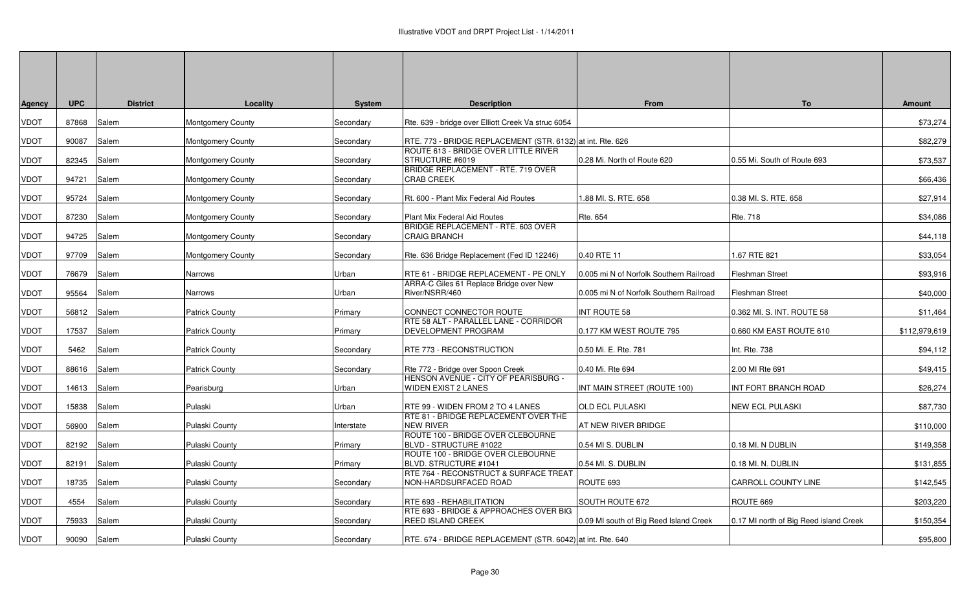| <b>Agency</b> | <b>UPC</b> | <b>District</b> | Locality                 | <b>System</b> | <b>Description</b>                                                        | From                                    | To                                     | <b>Amount</b> |
|---------------|------------|-----------------|--------------------------|---------------|---------------------------------------------------------------------------|-----------------------------------------|----------------------------------------|---------------|
| <b>VDOT</b>   | 87868      | Salem           | <b>Montgomery County</b> | Secondary     | Rte. 639 - bridge over Elliott Creek Va struc 6054                        |                                         |                                        | \$73,274      |
| <b>VDOT</b>   | 90087      | Salem           | Montgomery County        | Secondary     | RTE. 773 - BRIDGE REPLACEMENT (STR. 6132) at int. Rte. 626                |                                         |                                        | \$82,279      |
| <b>VDOT</b>   | 82345      | Salem           | <b>Montgomery County</b> | Secondary     | ROUTE 613 - BRIDGE OVER LITTLE RIVER<br>STRUCTURE #6019                   | 0.28 Mi. North of Route 620             | 0.55 Mi. South of Route 693            | \$73,537      |
| <b>VDOT</b>   | 94721      | Salem           | <b>Montgomery County</b> | Secondary     | BRIDGE REPLACEMENT - RTE. 719 OVER<br><b>CRAB CREEK</b>                   |                                         |                                        | \$66,436      |
| <b>VDOT</b>   | 95724      | Salem           | Montgomery County        | Secondary     | Rt. 600 - Plant Mix Federal Aid Routes                                    | 1.88 MI. S. RTE. 658                    | 0.38 MI. S. RTE. 658                   | \$27,914      |
| <b>VDOT</b>   | 87230      | Salem           | Montgomery County        | Secondary     | Plant Mix Federal Aid Routes                                              | Rte. 654                                | <b>Rte. 718</b>                        | \$34,086      |
| <b>VDOT</b>   | 94725      | Salem           | <b>Montgomery County</b> | Secondary     | <b>BRIDGE REPLACEMENT - RTE. 603 OVER</b><br><b>CRAIG BRANCH</b>          |                                         |                                        | \$44,118      |
| <b>VDOT</b>   | 97709      | Salem           | <b>Montgomery County</b> | Secondary     | Rte. 636 Bridge Replacement (Fed ID 12246)                                | 0.40 RTE 11                             | 1.67 RTE 821                           | \$33,054      |
| <b>VDOT</b>   | 76679      | Salem           | Narrows                  | Urban         | RTE 61 - BRIDGE REPLACEMENT - PE ONLY                                     | 0.005 mi N of Norfolk Southern Railroad | <b>Fleshman Street</b>                 | \$93,916      |
| <b>VDOT</b>   | 95564      | Salem           | Narrows                  | Urban         | ARRA-C Giles 61 Replace Bridge over New<br>River/NSRR/460                 | 0.005 mi N of Norfolk Southern Railroad | <b>Fleshman Street</b>                 | \$40,000      |
| <b>VDOT</b>   | 56812      | Salem           | <b>Patrick County</b>    | Primary       | CONNECT CONNECTOR ROUTE                                                   | INT ROUTE 58                            | 0.362 MI. S. INT. ROUTE 58             | \$11,464      |
| <b>VDOT</b>   | 17537      | Salem           | <b>Patrick County</b>    | Primary       | RTE 58 ALT - PARALLEL LANE - CORRIDOR<br>DEVELOPMENT PROGRAM              | 0.177 KM WEST ROUTE 795                 | 0.660 KM EAST ROUTE 610                | \$112,979,619 |
| <b>VDOT</b>   | 5462       | Salem           | <b>Patrick County</b>    | Secondary     | RTE 773 - RECONSTRUCTION                                                  | 0.50 Mi. E. Rte. 781                    | Int. Rte. 738                          | \$94,112      |
| <b>VDOT</b>   | 88616      | Salem           | <b>Patrick County</b>    | Secondary     | Rte 772 - Bridge over Spoon Creek                                         | 0.40 Mi. Rte 694                        | 2.00 MI Rte 691                        | \$49,415      |
| <b>VDOT</b>   | 14613      | Salem           | Pearisburg               | Urban         | HENSON AVENUE - CITY OF PEARISBURG -<br><b>WIDEN EXIST 2 LANES</b>        | INT MAIN STREET (ROUTE 100)             | INT FORT BRANCH ROAD                   | \$26,274      |
| <b>VDOT</b>   | 15838      | Salem           | Pulaski                  | Urban         | RTE 99 - WIDEN FROM 2 TO 4 LANES                                          | <b>OLD ECL PULASKI</b>                  | <b>NEW ECL PULASKI</b>                 | \$87,730      |
| <b>VDOT</b>   | 56900      | Salem           | Pulaski County           | nterstate     | RTE 81 - BRIDGE REPLACEMENT OVER THE<br><b>NEW RIVER</b>                  | AT NEW RIVER BRIDGE                     |                                        | \$110,000     |
| <b>VDOT</b>   | 82192      | Salem           | Pulaski County           | Primary       | ROUTE 100 - BRIDGE OVER CLEBOURNE<br>BLVD - STRUCTURE #1022               | 0.54 MIS. DUBLIN                        | 0.18 MI. N DUBLIN                      | \$149,358     |
| <b>VDOT</b>   | 82191      | Salem           | Pulaski County           | Primary       | ROUTE 100 - BRIDGE OVER CLEBOURNE<br>BLVD. STRUCTURE #1041                | 0.54 MI. S. DUBLIN                      | 0.18 MI. N. DUBLIN                     | \$131,855     |
| <b>VDOT</b>   | 18735      | Salem           | Pulaski County           | Secondary     | <b>RTE 764 - RECONSTRUCT &amp; SURFACE TREAT</b><br>NON-HARDSURFACED ROAD | ROUTE 693                               | <b>CARROLL COUNTY LINE</b>             | \$142,545     |
| <b>VDOT</b>   | 4554       | Salem           | Pulaski County           | Secondary     | RTE 693 - REHABILITATION                                                  | SOUTH ROUTE 672                         | ROUTE 669                              | \$203,220     |
| <b>VDOT</b>   | 75933      | Salem           | Pulaski County           | Secondary     | RTE 693 - BRIDGE & APPROACHES OVER BIG<br><b>REED ISLAND CREEK</b>        | 0.09 MI south of Big Reed Island Creek  | 0.17 MI north of Big Reed island Creek | \$150,354     |
| <b>VDOT</b>   | 90090      | Salem           | Pulaski County           | Secondary     | RTE. 674 - BRIDGE REPLACEMENT (STR. 6042) at int. Rte. 640                |                                         |                                        | \$95,800      |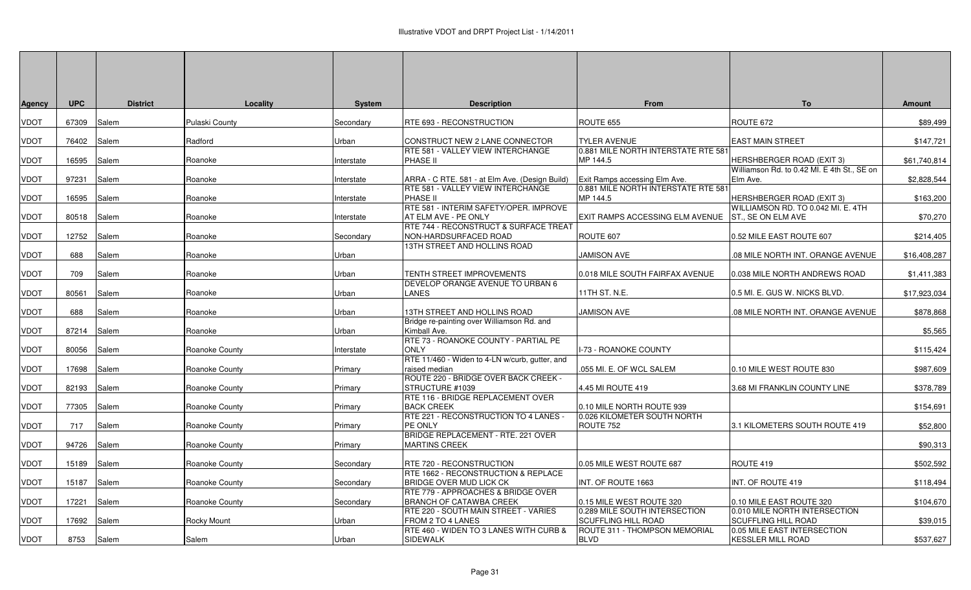| Agency | <b>UPC</b> | <b>District</b> | Locality              | <b>System</b> | <b>Description</b>                                                    | <b>From</b>                                                 | <b>To</b>                                                       | <b>Amount</b> |
|--------|------------|-----------------|-----------------------|---------------|-----------------------------------------------------------------------|-------------------------------------------------------------|-----------------------------------------------------------------|---------------|
| VDOT   | 67309      | Salem           | Pulaski County        | Secondary     | RTE 693 - RECONSTRUCTION                                              | ROUTE 655                                                   | ROUTE 672                                                       | \$89,499      |
| VDOT   | 76402      | Salem           | Radford               | Urban         | CONSTRUCT NEW 2 LANE CONNECTOR                                        | <b>TYLER AVENUE</b>                                         | <b>EAST MAIN STREET</b>                                         | \$147,721     |
| VDOT   | 16595      | Salem           | Roanoke               | nterstate     | RTE 581 - VALLEY VIEW INTERCHANGE<br><b>PHASE II</b>                  | 0.881 MILE NORTH INTERSTATE RTE 581<br>MP 144.5             | HERSHBERGER ROAD (EXIT 3)                                       | \$61,740,814  |
| VDOT   | 97231      | Salem           | Roanoke               | nterstate     | ARRA - C RTE. 581 - at Elm Ave. (Design Build)                        | Exit Ramps accessing Elm Ave.                               | Williamson Rd. to 0.42 MI. E 4th St., SE on<br>Elm Ave.         | \$2,828,544   |
| VDOT   | 16595      | Salem           | Roanoke               | nterstate     | RTE 581 - VALLEY VIEW INTERCHANGE<br>PHASE II                         | 0.881 MILE NORTH INTERSTATE RTE 581<br>MP 144.5             | <b>HERSHBERGER ROAD (EXIT 3)</b>                                | \$163,200     |
| VDOT   | 80518      | Salem           | Roanoke               | nterstate     | RTE 581 - INTERIM SAFETY/OPER. IMPROVE<br>AT ELM AVE - PE ONLY        | EXIT RAMPS ACCESSING ELM AVENUE                             | WILLIAMSON RD. TO 0.042 MI. E. 4TH<br><b>ST., SE ON ELM AVE</b> | \$70,270      |
| VDOT   | 12752      | Salem           | Roanoke               | Secondary     | RTE 744 - RECONSTRUCT & SURFACE TREAT<br>NON-HARDSURFACED ROAD        | ROUTE 607                                                   | 0.52 MILE EAST ROUTE 607                                        | \$214,405     |
| VDOT   | 688        | Salem           | Roanoke               | Jrban         | 13TH STREET AND HOLLINS ROAD                                          | <b>JAMISON AVE</b>                                          | .08 MILE NORTH INT. ORANGE AVENUE                               | \$16,408,287  |
| VDOT   | 709        | Salem           | Roanoke               | <b>Urban</b>  | TENTH STREET IMPROVEMENTS                                             | 0.018 MILE SOUTH FAIRFAX AVENUE                             | 0.038 MILE NORTH ANDREWS ROAD                                   | \$1,411,383   |
| VDOT   | 80561      | Salem           | Roanoke               | Jrban         | DEVELOP ORANGE AVENUE TO URBAN 6<br><b>LANES</b>                      | 11TH ST. N.E.                                               | 0.5 MI. E. GUS W. NICKS BLVD.                                   | \$17,923,034  |
| VDOT   | 688        | Salem           | Roanoke               | Jrban         | 13TH STREET AND HOLLINS ROAD                                          | JAMISON AVE                                                 | .08 MILE NORTH INT. ORANGE AVENUE                               | \$878,868     |
| VDOT   | 87214      | Salem           | Roanoke               | Jrban         | Bridge re-painting over Williamson Rd. and<br>Kimball Ave.            |                                                             |                                                                 | \$5,565       |
| VDOT   | 80056      | Salem           | Roanoke County        | nterstate     | RTE 73 - ROANOKE COUNTY - PARTIAL PE<br><b>ONLY</b>                   | -73 - ROANOKE COUNTY                                        |                                                                 | \$115,424     |
| VDOT   | 17698      | Salem           | Roanoke County        | Primary       | RTE 11/460 - Widen to 4-LN w/curb, gutter, and<br>raised median       | .055 MI. E. OF WCL SALEM                                    | 0.10 MILE WEST ROUTE 830                                        | \$987,609     |
| VDOT   | 82193      | Salem           | Roanoke County        | Primary       | ROUTE 220 - BRIDGE OVER BACK CREEK -<br>STRUCTURE #1039               | 4.45 MI ROUTE 419                                           | 3.68 MI FRANKLIN COUNTY LINE                                    | \$378,789     |
| VDOT   | 77305      | Salem           | Roanoke County        | Primary       | RTE 116 - BRIDGE REPLACEMENT OVER<br><b>BACK CREEK</b>                | 0.10 MILE NORTH ROUTE 939                                   |                                                                 | \$154,691     |
| VDOT   | 717        | Salem           | Roanoke County        | Primary       | RTE 221 - RECONSTRUCTION TO 4 LANES -<br>PE ONLY                      | 0.026 KILOMETER SOUTH NORTH<br>ROUTE 752                    | 3.1 KILOMETERS SOUTH ROUTE 419                                  | \$52,800      |
| VDOT   | 94726      | Salem           | Roanoke County        | Primary       | BRIDGE REPLACEMENT - RTE. 221 OVER<br><b>MARTINS CREEK</b>            |                                                             |                                                                 | \$90,313      |
| VDOT   | 15189      | Salem           | <b>Roanoke County</b> | Secondarv     | RTE 720 - RECONSTRUCTION                                              | 0.05 MILE WEST ROUTE 687                                    | ROUTE 419                                                       | \$502,592     |
| VDOT   | 15187      | Salem           | Roanoke County        | Secondarv     | RTE 1662 - RECONSTRUCTION & REPLACE<br><b>BRIDGE OVER MUD LICK CK</b> | INT. OF ROUTE 1663                                          | INT. OF ROUTE 419                                               | \$118,494     |
| VDOT   | 17221      | Salem           | Roanoke County        | Secondary     | RTE 779 - APPROACHES & BRIDGE OVER<br><b>BRANCH OF CATAWBA CREEK</b>  | 0.15 MILE WEST ROUTE 320                                    | 0.10 MILE EAST ROUTE 320                                        | \$104,670     |
| VDOT   | 17692      | Salem           | Rocky Mount           | Jrban         | RTE 220 - SOUTH MAIN STREET - VARIES<br>FROM 2 TO 4 LANES             | 0.289 MILE SOUTH INTERSECTION<br><b>SCUFFLING HILL ROAD</b> | 0.010 MILE NORTH INTERSECTION<br><b>SCUFFLING HILL ROAD</b>     | \$39,015      |
| VDOT   | 8753       | Salem           | Salem                 | Urban         | RTE 460 - WIDEN TO 3 LANES WITH CURB &<br>SIDEWALK                    | ROUTE 311 - THOMPSON MEMORIAL<br><b>BLVD</b>                | 0.05 MILE EAST INTERSECTION<br><b>KESSLER MILL ROAD</b>         | \$537,627     |
|        |            |                 |                       |               |                                                                       |                                                             |                                                                 |               |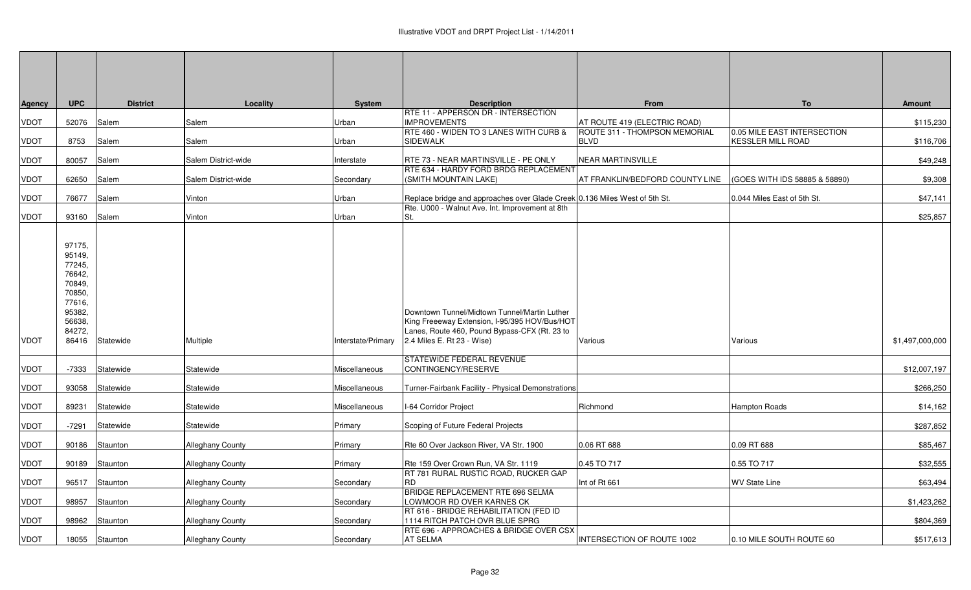| Agency | <b>UPC</b>                                                                                                | <b>District</b> | Locality                | System             | <b>Description</b>                                                                                                                                                           | <b>From</b>                                          | To                                                      | Amount          |
|--------|-----------------------------------------------------------------------------------------------------------|-----------------|-------------------------|--------------------|------------------------------------------------------------------------------------------------------------------------------------------------------------------------------|------------------------------------------------------|---------------------------------------------------------|-----------------|
| VDOT   | 52076                                                                                                     | Salem           | Salem                   | Urban              | <b>RTE 11 - APPERSON DR - INTERSECTION</b><br><b>IMPROVEMENTS</b>                                                                                                            | AT ROUTE 419 (ELECTRIC ROAD)                         |                                                         | \$115,230       |
| VDOT   | 8753                                                                                                      | Salem           | Salem                   | Urban              | RTE 460 - WIDEN TO 3 LANES WITH CURB &<br><b>SIDEWALK</b>                                                                                                                    | <b>IROUTE 311 - THOMPSON MEMORIAL</b><br><b>BLVD</b> | 0.05 MILE EAST INTERSECTION<br><b>KESSLER MILL ROAD</b> | \$116,706       |
| VDOT   | 80057                                                                                                     |                 | Salem District-wide     |                    | RTE 73 - NEAR MARTINSVILLE - PE ONLY                                                                                                                                         | <b>NEAR MARTINSVILLE</b>                             |                                                         |                 |
|        |                                                                                                           | Salem           |                         | Interstate         | RTE 634 - HARDY FORD BRDG REPLACEMENT                                                                                                                                        |                                                      |                                                         | \$49,248        |
| VDOT   | 62650                                                                                                     | Salem           | Salem District-wide     | Secondary          | (SMITH MOUNTAIN LAKE)                                                                                                                                                        | AT FRANKLIN/BEDFORD COUNTY LINE                      | (GOES WITH IDS 58885 & 58890)                           | \$9,308         |
| VDOT   | 76677                                                                                                     | Salem           | Vinton                  | Urban              | Replace bridge and approaches over Glade Creek 0.136 Miles West of 5th St.                                                                                                   |                                                      | 0.044 Miles East of 5th St.                             | \$47,141        |
| VDOT   | 93160 Salem                                                                                               |                 | Vinton                  | Urban              | Rte. U000 - Walnut Ave. Int. Improvement at 8th<br>St.                                                                                                                       |                                                      |                                                         | \$25,857        |
| VDOT   | 97175,<br>95149,<br>77245,<br>76642,<br>70849,<br>70850,<br>77616,<br>95382,<br>56638,<br>84272,<br>86416 | Statewide       | Multiple                | Interstate/Primary | Downtown Tunnel/Midtown Tunnel/Martin Luther<br>King Freeeway Extension, I-95/395 HOV/Bus/HOT<br>Lanes, Route 460, Pound Bypass-CFX (Rt. 23 to<br>2.4 Miles E. Rt 23 - Wise) | Various                                              | Various                                                 | \$1,497,000,000 |
| VDOT   | -7333                                                                                                     | Statewide       | Statewide               | Miscellaneous      | STATEWIDE FEDERAL REVENUE<br>CONTINGENCY/RESERVE                                                                                                                             |                                                      |                                                         | \$12,007,197    |
| VDOT   | 93058                                                                                                     | Statewide       | Statewide               | Miscellaneous      | Turner-Fairbank Facility - Physical Demonstrations                                                                                                                           |                                                      |                                                         | \$266,250       |
| VDOT   | 89231                                                                                                     | Statewide       | Statewide               | Miscellaneous      | I-64 Corridor Project                                                                                                                                                        | Richmond                                             | <b>Hampton Roads</b>                                    | \$14,162        |
| VDOT   | $-7291$                                                                                                   | Statewide       | Statewide               | Primary            | Scoping of Future Federal Projects                                                                                                                                           |                                                      |                                                         | \$287,852       |
| VDOT   | 90186                                                                                                     | Staunton        | Alleghany County        | Primary            | Rte 60 Over Jackson River, VA Str. 1900                                                                                                                                      | 0.06 RT 688                                          | 0.09 RT 688                                             | \$85,467        |
| VDOT   | 90189                                                                                                     | Staunton        | <b>Alleghany County</b> | Primary            | Rte 159 Over Crown Run, VA Str. 1119                                                                                                                                         | 0.45 TO 717                                          | 0.55 TO 717                                             | \$32,555        |
| VDOT   | 96517                                                                                                     | Staunton        | <b>Alleghany County</b> | Secondary          | RT 781 RURAL RUSTIC ROAD, RUCKER GAP<br><b>RD</b>                                                                                                                            | Int of Rt 661                                        | <b>WV State Line</b>                                    | \$63,494        |
| VDOT   | 98957                                                                                                     | Staunton        | Alleghany County        | Secondary          | BRIDGE REPLACEMENT RTE 696 SELMA<br>LOWMOOR RD OVER KARNES CK                                                                                                                |                                                      |                                                         | \$1,423,262     |
| VDOT   | 98962                                                                                                     | Staunton        | <b>Alleghany County</b> | Secondary          | RT 616 - BRIDGE REHABILITATION (FED ID<br>1114 RITCH PATCH OVR BLUE SPRG                                                                                                     |                                                      |                                                         | \$804,369       |
| VDOT   |                                                                                                           | 18055 Staunton  | <b>Alleghany County</b> | Secondary          | RTE 696 - APPROACHES & BRIDGE OVER CSX<br><b>AT SELMA</b>                                                                                                                    | INTERSECTION OF ROUTE 1002                           | 0.10 MILE SOUTH ROUTE 60                                | \$517,613       |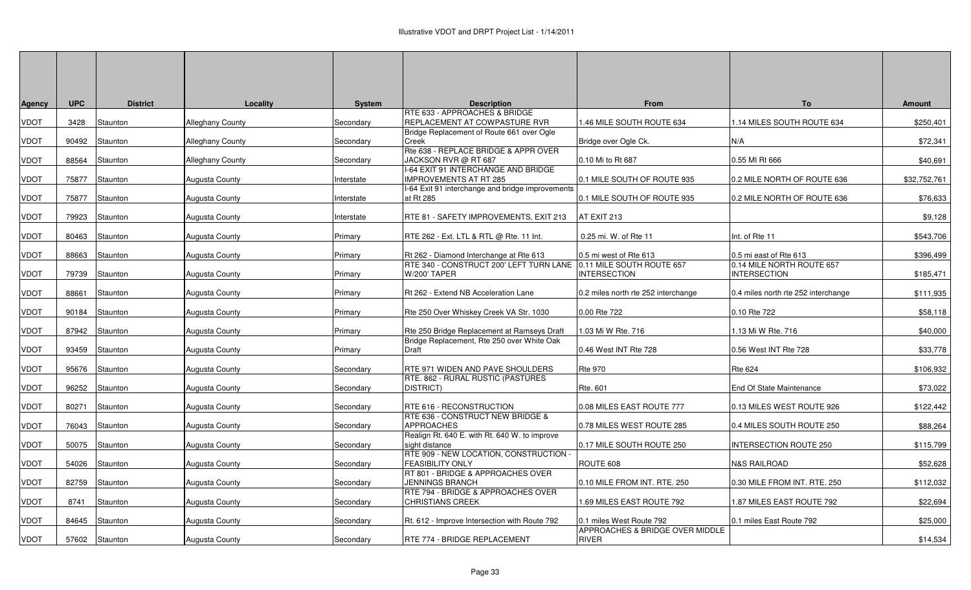| Agency | <b>UPC</b> | <b>District</b> | Locality                | <b>System</b> | <b>Description</b>                                              | <b>From</b>                                      | <b>To</b>                                        | <b>Amount</b> |
|--------|------------|-----------------|-------------------------|---------------|-----------------------------------------------------------------|--------------------------------------------------|--------------------------------------------------|---------------|
| VDOT   | 3428       | Staunton        | <b>Alleghany County</b> | Secondary     | RTE 633 - APPROACHES & BRIDGE<br>REPLACEMENT AT COWPASTURE RVR  | 1.46 MILE SOUTH ROUTE 634                        | 14 MILES SOUTH ROUTE 634                         | \$250,401     |
| VDOT   | 90492      | Staunton        | Alleghany County        | Secondary     | Bridge Replacement of Route 661 over Ogle<br>Creek              | Bridge over Ogle Ck.                             | N/A                                              | \$72,341      |
|        |            |                 |                         |               | Rte 638 - REPLACE BRIDGE & APPR OVER                            |                                                  |                                                  |               |
| VDOT   | 88564      | Staunton        | Alleghany County        | Secondary     | JACKSON RVR @ RT 687<br>I-64 EXIT 91 INTERCHANGE AND BRIDGE     | 0.10 Mi to Rt 687                                | 0.55 MI Rt 666                                   | \$40,691      |
| VDOT   | 75877      | Staunton        | <b>Augusta County</b>   | Interstate    | <b>IMPROVEMENTS AT RT 285</b>                                   | 0.1 MILE SOUTH OF ROUTE 935                      | 0.2 MILE NORTH OF ROUTE 636                      | \$32,752,761  |
| VDOT   | 75877      | Staunton        | <b>Augusta County</b>   | Interstate    | I-64 Exit 91 interchange and bridge improvements<br>at Rt 285   | 0.1 MILE SOUTH OF ROUTE 935                      | 0.2 MILE NORTH OF ROUTE 636                      | \$76,633      |
| VDOT   | 79923      | Staunton        | Augusta County          | Interstate    | RTE 81 - SAFETY IMPROVEMENTS, EXIT 213                          | AT EXIT 213                                      |                                                  | \$9,128       |
| VDOT   | 80463      | Staunton        | <b>Augusta County</b>   | Primary       | RTE 262 - Ext. LTL & RTL @ Rte. 11 Int.                         | 0.25 mi. W. of Rte 11                            | Int. of Rte 11                                   | \$543,706     |
| VDOT   | 88663      | Staunton        | <b>Augusta County</b>   | Primary       | Rt 262 - Diamond Interchange at Rte 613                         | 0.5 mi west of Rte 613                           | 0.5 mi east of Rte 613                           | \$396,499     |
| VDOT   | 79739      | Staunton        | Augusta County          | Primary       | RTE 340 - CONSTRUCT 200' LEFT TURN LANE<br><b>W/200' TAPER</b>  | 0.11 MILE SOUTH ROUTE 657<br><b>INTERSECTION</b> | 0.14 MILE NORTH ROUTE 657<br><b>INTERSECTION</b> | \$185,471     |
| VDOT   | 88661      | Staunton        | Augusta County          | Primary       | Rt 262 - Extend NB Acceleration Lane                            | 0.2 miles north rte 252 interchange              | 0.4 miles north rte 252 interchange              | \$111,935     |
| VDOT   | 90184      | Staunton        | <b>Augusta County</b>   | Primary       | Rte 250 Over Whiskey Creek VA Str. 1030                         | 0.00 Rte 722                                     | 0.10 Rte 722                                     | \$58,118      |
| VDOT   | 87942      | Staunton        | Augusta County          | Primary       | Rte 250 Bridge Replacement at Ramseys Draft                     | 1.03 Mi W Rte. 716                               | 1.13 Mi W Rte. 716                               | \$40,000      |
| VDOT   |            | 93459 Staunton  | Augusta County          | Primary       | Bridge Replacement, Rte 250 over White Oak<br>Draft             | 0.46 West INT Rte 728                            | 0.56 West INT Rte 728                            | \$33,778      |
| VDOT   | 95676      | Staunton        | <b>Augusta County</b>   | Secondary     | RTE 971 WIDEN AND PAVE SHOULDERS                                | <b>Rte 970</b>                                   | <b>Rte 624</b>                                   | \$106,932     |
| VDOT   |            | 96252 Staunton  | <b>Augusta County</b>   | Secondary     | RTE. 862 - RURAL RUSTIC (PASTURES<br><b>DISTRICT</b> )          | Rte. 601                                         | End Of State Maintenance                         | \$73,022      |
| VDOT   | 80271      | Staunton        | Augusta County          | Secondary     | RTE 616 - RECONSTRUCTION                                        | 0.08 MILES EAST ROUTE 777                        | 0.13 MILES WEST ROUTE 926                        | \$122,442     |
| VDOT   | 76043      | Staunton        | Augusta County          | Secondary     | RTE 636 - CONSTRUCT NEW BRIDGE &<br><b>APPROACHES</b>           | 0.78 MILES WEST ROUTE 285                        | 0.4 MILES SOUTH ROUTE 250                        | \$88,264      |
| VDOT   | 50075      | Staunton        | <b>Augusta County</b>   | Secondary     | Realign Rt. 640 E. with Rt. 640 W. to improve<br>sight distance | 0.17 MILE SOUTH ROUTE 250                        | INTERSECTION ROUTE 250                           | \$115,799     |
| VDOT   | 54026      | Staunton        | Augusta County          | Secondary     | RTE 909 - NEW LOCATION, CONSTRUCTION<br><b>FEASIBILITY ONLY</b> | ROUTE 608                                        | <b>N&amp;S RAILROAD</b>                          | \$52,628      |
| VDOT   | 82759      | Staunton        | Augusta County          | Secondary     | RT 801 - BRIDGE & APPROACHES OVER<br><b>JENNINGS BRANCH</b>     | 0.10 MILE FROM INT. RTE. 250                     | 0.30 MILE FROM INT. RTE. 250                     | \$112,032     |
| VDOT   | 8741       | Staunton        | <b>Augusta County</b>   | Secondary     | RTE 794 - BRIDGE & APPROACHES OVER<br><b>CHRISTIANS CREEK</b>   | 1.69 MILES EAST ROUTE 792                        | 1.87 MILES EAST ROUTE 792                        | \$22,694      |
| VDOT   | 84645      | Staunton        | <b>Augusta County</b>   | Secondary     | Rt. 612 - Improve Intersection with Route 792                   | 0.1 miles West Route 792                         | 0.1 miles East Route 792                         | \$25,000      |
| VDOT   |            | 57602 Staunton  | Augusta County          | Secondary     | RTE 774 - BRIDGE REPLACEMENT                                    | APPROACHES & BRIDGE OVER MIDDLE<br><b>RIVER</b>  |                                                  | \$14,534      |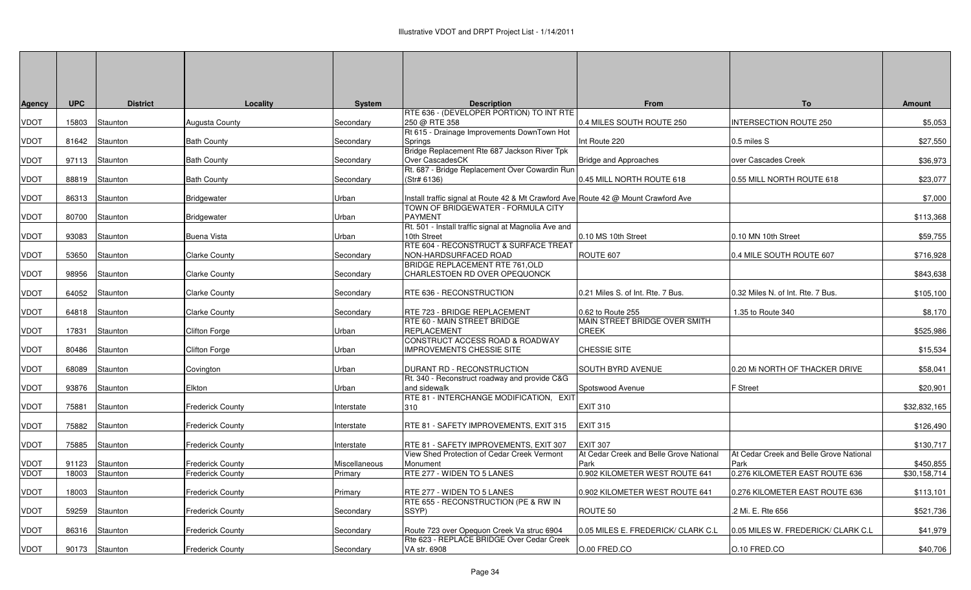| <b>Agency</b> | <b>UPC</b> | <b>District</b> | Locality                | System        | <b>Description</b>                                                                 | <b>From</b>                                     | To                                              | Amount       |
|---------------|------------|-----------------|-------------------------|---------------|------------------------------------------------------------------------------------|-------------------------------------------------|-------------------------------------------------|--------------|
|               |            |                 |                         |               | RTE 636 - (DEVELOPER PORTION) TO INT RTE                                           |                                                 |                                                 |              |
| <b>VDOT</b>   | 15803      | Staunton        | Augusta County          | Secondary     | 250 @ RTE 358<br>Rt 615 - Drainage Improvements DownTown Hot                       | 0.4 MILES SOUTH ROUTE 250                       | INTERSECTION ROUTE 250                          | \$5,053      |
| <b>VDOT</b>   |            | 81642 Staunton  | <b>Bath County</b>      | Secondary     | Springs                                                                            | Int Route 220                                   | 0.5 miles S                                     | \$27,550     |
|               |            |                 |                         |               | Bridge Replacement Rte 687 Jackson River Tpk                                       |                                                 |                                                 |              |
| <b>VDOT</b>   | 97113      | Staunton        | <b>Bath County</b>      | Secondary     | Over CascadesCK                                                                    | <b>Bridge and Approaches</b>                    | over Cascades Creek                             | \$36,973     |
|               |            |                 | <b>Bath County</b>      |               | Rt. 687 - Bridge Replacement Over Cowardin Run                                     |                                                 |                                                 |              |
| <b>VDOT</b>   | 88819      | Staunton        |                         | Secondary     | (Str# 6136)                                                                        | 0.45 MILL NORTH ROUTE 618                       | 0.55 MILL NORTH ROUTE 618                       | \$23,077     |
| <b>VDOT</b>   | 86313      | Staunton        | Bridgewater             | Urban         | Install traffic signal at Route 42 & Mt Crawford Ave Route 42 @ Mount Crawford Ave |                                                 |                                                 | \$7,000      |
|               |            |                 |                         |               | TOWN OF BRIDGEWATER - FORMULA CITY                                                 |                                                 |                                                 |              |
| <b>VDOT</b>   | 80700      | Staunton        | <b>Bridgewater</b>      | Urban         | <b>PAYMENT</b>                                                                     |                                                 |                                                 | \$113,368    |
|               |            |                 |                         |               | Rt. 501 - Install traffic signal at Magnolia Ave and<br>10th Street                | 0.10 MS 10th Street                             |                                                 |              |
| <b>VDOT</b>   | 93083      | Staunton        | <b>Buena Vista</b>      | Urban         | RTE 604 - RECONSTRUCT & SURFACE TREAT                                              |                                                 | 0.10 MN 10th Street                             | \$59,755     |
| <b>VDOT</b>   | 53650      | Staunton        | <b>Clarke County</b>    | Secondary     | NON-HARDSURFACED ROAD                                                              | ROUTE 607                                       | 0.4 MILE SOUTH ROUTE 607                        | \$716,928    |
|               |            |                 |                         |               | <b>BRIDGE REPLACEMENT RTE 761,OLD</b>                                              |                                                 |                                                 |              |
| <b>VDOT</b>   | 98956      | Staunton        | <b>Clarke County</b>    | Secondary     | CHARLESTOEN RD OVER OPEQUONCK                                                      |                                                 |                                                 | \$843,638    |
|               |            |                 |                         |               |                                                                                    |                                                 | 0.32 Miles N. of Int. Rte. 7 Bus.               |              |
| <b>VDOT</b>   | 64052      | Staunton        | <b>Clarke County</b>    | Secondary     | RTE 636 - RECONSTRUCTION                                                           | 0.21 Miles S. of Int. Rte. 7 Bus.               |                                                 | \$105,100    |
| <b>VDOT</b>   | 64818      | Staunton        | <b>Clarke County</b>    | Secondary     | RTE 723 - BRIDGE REPLACEMENT                                                       | 0.62 to Route 255                               | 1.35 to Route 340                               | \$8,170      |
|               |            |                 |                         |               | <b>RTE 60 - MAIN STREET BRIDGE</b>                                                 | MAIN STREET BRIDGE OVER SMITH                   |                                                 |              |
| <b>VDOT</b>   | 17831      | Staunton        | Clifton Forge           | Urban         | <b>REPLACEMENT</b>                                                                 | <b>CREEK</b>                                    |                                                 | \$525,986    |
|               | 80486      | Staunton        | <b>Clifton Forge</b>    | Urban         | CONSTRUCT ACCESS ROAD & ROADWAY<br><b>IMPROVEMENTS CHESSIE SITE</b>                | <b>CHESSIE SITE</b>                             |                                                 |              |
| <b>VDOT</b>   |            |                 |                         |               |                                                                                    |                                                 |                                                 | \$15,534     |
| <b>VDOT</b>   | 68089      | Staunton        | Covington               | Urban         | <b>DURANT RD - RECONSTRUCTION</b>                                                  | SOUTH BYRD AVENUE                               | 0.20 Mi NORTH OF THACKER DRIVE                  | \$58,041     |
|               |            |                 |                         |               | Rt. 340 - Reconstruct roadway and provide C&G                                      |                                                 |                                                 |              |
| <b>VDOT</b>   | 93876      | Staunton        | Elkton                  | Urban         | and sidewalk                                                                       | Spotswood Avenue                                | F Street                                        | \$20,901     |
| <b>VDOT</b>   | 75881      | Staunton        |                         |               | RTE 81 - INTERCHANGE MODIFICATION, EXIT<br>310                                     | <b>EXIT 310</b>                                 |                                                 | \$32,832,165 |
|               |            |                 | <b>Frederick County</b> | Interstate    |                                                                                    |                                                 |                                                 |              |
| <b>VDOT</b>   | 75882      | Staunton        | <b>Frederick County</b> | Interstate    | RTE 81 - SAFETY IMPROVEMENTS, EXIT 315                                             | <b>EXIT 315</b>                                 |                                                 | \$126,490    |
|               |            |                 |                         |               |                                                                                    |                                                 |                                                 |              |
| <b>VDOT</b>   | 75885      | Staunton        | <b>Frederick County</b> | Interstate    | RTE 81 - SAFETY IMPROVEMENTS, EXIT 307                                             | <b>EXIT 307</b>                                 |                                                 | \$130,717    |
| <b>VDOT</b>   | 91123      | Staunton        | <b>Frederick County</b> | Miscellaneous | View Shed Protection of Cedar Creek Vermont<br>Monument                            | At Cedar Creek and Belle Grove National<br>Park | At Cedar Creek and Belle Grove National<br>Park | \$450,855    |
| <b>VDOT</b>   | 18003      | Staunton        | <b>Frederick County</b> | Primary       | RTE 277 - WIDEN TO 5 LANES                                                         | 0.902 KILOMETER WEST ROUTE 641                  | 0.276 KILOMETER EAST ROUTE 636                  | \$30,158,714 |
|               |            |                 |                         |               |                                                                                    |                                                 |                                                 |              |
| <b>VDOT</b>   | 18003      | Staunton        | <b>Frederick County</b> | Primary       | RTE 277 - WIDEN TO 5 LANES                                                         | 0.902 KILOMETER WEST ROUTE 641                  | 0.276 KILOMETER EAST ROUTE 636                  | \$113,101    |
|               |            |                 |                         |               | <b>RTE 655 - RECONSTRUCTION (PE &amp; RW IN</b>                                    |                                                 |                                                 |              |
| VDOT          | 59259      | Staunton        | Frederick County        | Secondary     | SSYP)                                                                              | ROUTE 50                                        | .2 Mi. E. Rte 656                               | \$521,736    |
| VDOT          | 86316      | Staunton        | <b>Frederick County</b> | Secondary     | Route 723 over Opequon Creek Va struc 6904                                         | 0.05 MILES E. FREDERICK/ CLARK C.L              | 0.05 MILES W. FREDERICK/ CLARK C.L              | \$41,979     |
|               |            |                 |                         |               | Rte 623 - REPLACE BRIDGE Over Cedar Creek                                          |                                                 |                                                 |              |
| VDOT          |            | 90173 Staunton  | <b>Frederick County</b> | Secondary     | VA str. 6908                                                                       | O.00 FRED.CO                                    | O.10 FRED.CO                                    | \$40,706     |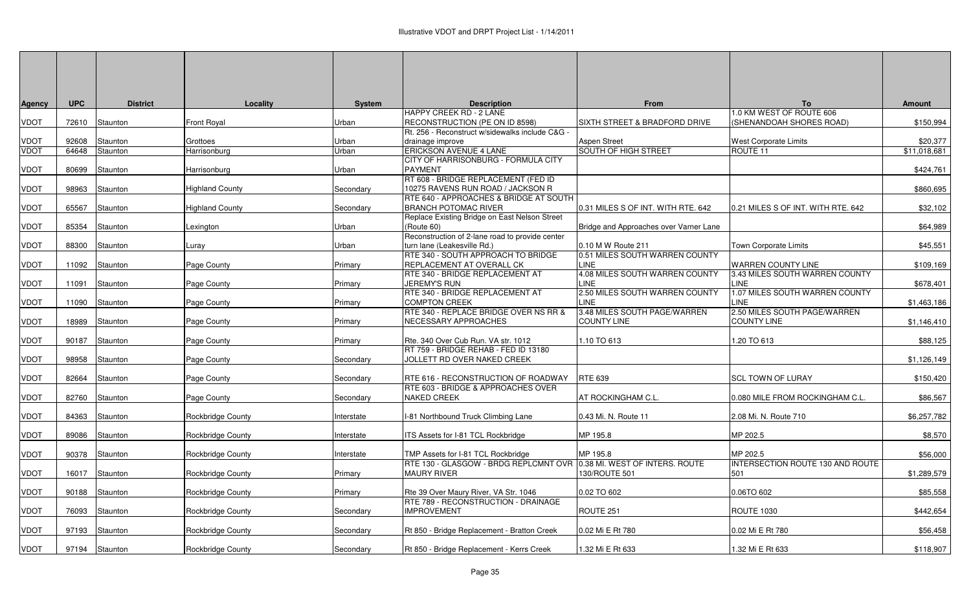| Agency      | <b>UPC</b> | <b>District</b> | Locality                 | <b>System</b> | <b>Description</b>                                                                         | From                                    | To                                                          | <b>Amount</b> |
|-------------|------------|-----------------|--------------------------|---------------|--------------------------------------------------------------------------------------------|-----------------------------------------|-------------------------------------------------------------|---------------|
|             |            |                 |                          |               | HAPPY CREEK RD - 2 LANE                                                                    |                                         | 0.0 KM WEST OF ROUTE 606                                    |               |
| VDOT        | 72610      | Staunton        | Front Roval              | Urban         | RECONSTRUCTION (PE ON ID 8598)                                                             | SIXTH STREET & BRADFORD DRIVE           | SHENANDOAH SHORES ROAD)                                     | \$150,994     |
|             |            |                 |                          |               | Rt. 256 - Reconstruct w/sidewalks include C&G -                                            |                                         |                                                             |               |
| VDOT        | 92608      | Staunton        | Grottoes                 | Urban         | drainage improve                                                                           | <b>Aspen Street</b>                     | <b>West Corporate Limits</b>                                | \$20,377      |
| <b>VDOT</b> | 64648      | Staunton        | Harrisonburg             | Urban         | ERICKSON AVENUE 4 LANE<br>CITY OF HARRISONBURG - FORMULA CITY                              | SOUTH OF HIGH STREET                    | ROUTE 11                                                    | \$11.018.681  |
| VDOT        | 80699      | Staunton        | Harrisonburg             | Urban         | <b>PAYMENT</b>                                                                             |                                         |                                                             | \$424,761     |
|             |            |                 |                          |               | RT 608 - BRIDGE REPLACEMENT (FED ID                                                        |                                         |                                                             |               |
| VDOT        | 98963      | Staunton        | Highland County          | Secondary     | 10275 RAVENS RUN ROAD / JACKSON R                                                          |                                         |                                                             | \$860,695     |
|             |            |                 |                          |               | RTE 640 - APPROACHES & BRIDGE AT SOUTH                                                     |                                         |                                                             |               |
| VDOT        | 65567      | Staunton        | Highland County          | Secondary     | <b>BRANCH POTOMAC RIVER</b>                                                                | 0.31 MILES S OF INT. WITH RTE. 642      | 0.21 MILES S OF INT. WITH RTE. 642                          | \$32,102      |
|             |            |                 |                          |               | Replace Existing Bridge on East Nelson Street                                              |                                         |                                                             |               |
| VDOT        | 85354      | Staunton        | exington.                | Urban         | (Route 60)                                                                                 | Bridge and Approaches over Varner Lane  |                                                             | \$64,989      |
|             |            |                 |                          |               | Reconstruction of 2-lane road to provide center                                            |                                         |                                                             |               |
| VDOT        | 88300      | Staunton        | Luray                    | Urban         | turn lane (Leakesville Rd.)                                                                | 0.10 M W Route 211                      | Town Corporate Limits                                       | \$45,551      |
|             |            |                 |                          |               | RTE 340 - SOUTH APPROACH TO BRIDGE                                                         | 0.51 MILES SOUTH WARREN COUNTY<br>LINE. |                                                             |               |
| VDOT        | 11092      | Staunton        | Page County              | Primary       | REPLACEMENT AT OVERALL CK<br>RTE 340 - BRIDGE REPLACEMENT AT                               | 4.08 MILES SOUTH WARREN COUNTY          | <b>WARREN COUNTY LINE</b><br>3.43 MILES SOUTH WARREN COUNTY | \$109,169     |
| VDOT        | 11091      | Staunton        | Page County              | Primary       | <b>JEREMY'S RUN</b>                                                                        | LINE                                    | LINE                                                        | \$678,401     |
|             |            |                 |                          |               | RTE 340 - BRIDGE REPLACEMENT AT                                                            | 2.50 MILES SOUTH WARREN COUNTY          | 1.07 MILES SOUTH WARREN COUNTY                              |               |
| VDOT        | 11090      | Staunton        | Page County              | Primary       | <b>COMPTON CREEK</b>                                                                       | <b>LINE</b>                             | <b>INE</b>                                                  | \$1,463,186   |
|             |            |                 |                          |               | RTE 340 - REPLACE BRIDGE OVER NS RR &                                                      | 3.48 MILES SOUTH PAGE/WARREN            | 2.50 MILES SOUTH PAGE/WARREN                                |               |
| VDOT        | 18989      | Staunton        | Page County              | Primary       | NECESSARY APPROACHES                                                                       | <b>COUNTY LINE</b>                      | <b>COUNTY LINE</b>                                          | \$1,146,410   |
|             |            |                 |                          |               |                                                                                            |                                         |                                                             |               |
| VDOT        | 90187      | Staunton        | Page County              | Primary       | Rte. 340 Over Cub Run. VA str. 1012                                                        | 1.10 TO 613                             | .20 TO 613                                                  | \$88,125      |
|             |            |                 |                          |               | RT 759 - BRIDGE REHAB - FED ID 13180                                                       |                                         |                                                             |               |
| VDOT        | 98958      | Staunton        | Page County              | Secondary     | JOLLETT RD OVER NAKED CREEK                                                                |                                         |                                                             | \$1,126,149   |
| VDOT        | 82664      | Staunton        |                          | Secondary     | RTE 616 - RECONSTRUCTION OF ROADWAY                                                        | RTE 639                                 | <b>SCL TOWN OF LURAY</b>                                    | \$150,420     |
|             |            |                 | Page County              |               | RTE 603 - BRIDGE & APPROACHES OVER                                                         |                                         |                                                             |               |
| VDOT        | 82760      | Staunton        | Page County              | Secondary     | <b>NAKED CREEK</b>                                                                         | AT ROCKINGHAM C.L                       | 0.080 MILE FROM ROCKINGHAM C.L.                             | \$86,567      |
|             |            |                 |                          |               |                                                                                            |                                         |                                                             |               |
| VDOT        | 84363      | Staunton        | Rockbridge County        | Interstate    | I-81 Northbound Truck Climbing Lane                                                        | 0.43 Mi. N. Route 11                    | 2.08 Mi. N. Route 710                                       | \$6,257,782   |
|             |            |                 |                          |               |                                                                                            |                                         |                                                             |               |
| VDOT        |            | 89086 Staunton  | Rockbridge County        | Interstate    | ITS Assets for I-81 TCL Rockbridge                                                         | MP 195.8                                | MP 202.5                                                    | \$8,570       |
|             |            |                 |                          |               |                                                                                            |                                         |                                                             |               |
| VDOT        | 90378      | Staunton        | <b>Rockbridge County</b> | Interstate    | TMP Assets for I-81 TCL Rockbridge                                                         | MP 195.8                                | MP 202.5                                                    | \$56,000      |
|             |            |                 |                          |               | RTE 130 - GLASGOW - BRDG REPLCMNT OVR 0.38 MI. WEST OF INTERS. ROUTE<br><b>MAURY RIVER</b> |                                         | INTERSECTION ROUTE 130 AND ROUTE                            |               |
| VDOT        | 16017      | Staunton        | Rockbridge County        | Primary       |                                                                                            | 130/ROUTE 501                           | 501                                                         | \$1,289,579   |
| VDOT        | 90188      | Staunton        | Rockbridge County        | Primary       | Rte 39 Over Maury River, VA Str. 1046                                                      | 0.02 TO 602                             | 0.06TO 602                                                  | \$85,558      |
|             |            |                 |                          |               | RTE 789 - RECONSTRUCTION - DRAINAGE                                                        |                                         |                                                             |               |
| VDOT        | 76093      | Staunton        | Rockbridge County        | Secondary     | <b>IMPROVEMENT</b>                                                                         | ROUTE 251                               | <b>ROUTE 1030</b>                                           | \$442,654     |
|             |            |                 |                          |               |                                                                                            |                                         |                                                             |               |
| VDOT        |            | 97193 Staunton  | Rockbridge County        | Secondary     | Rt 850 - Bridge Replacement - Bratton Creek                                                | 0.02 Mi E Rt 780                        | 0.02 Mi E Rt 780                                            | \$56,458      |
|             |            |                 |                          |               |                                                                                            |                                         |                                                             |               |
| <b>VDOT</b> |            | 97194 Staunton  | Rockbridge County        | Secondary     | Rt 850 - Bridge Replacement - Kerrs Creek                                                  | 1.32 Mi E Rt 633                        | 1.32 Mi E Rt 633                                            | \$118,907     |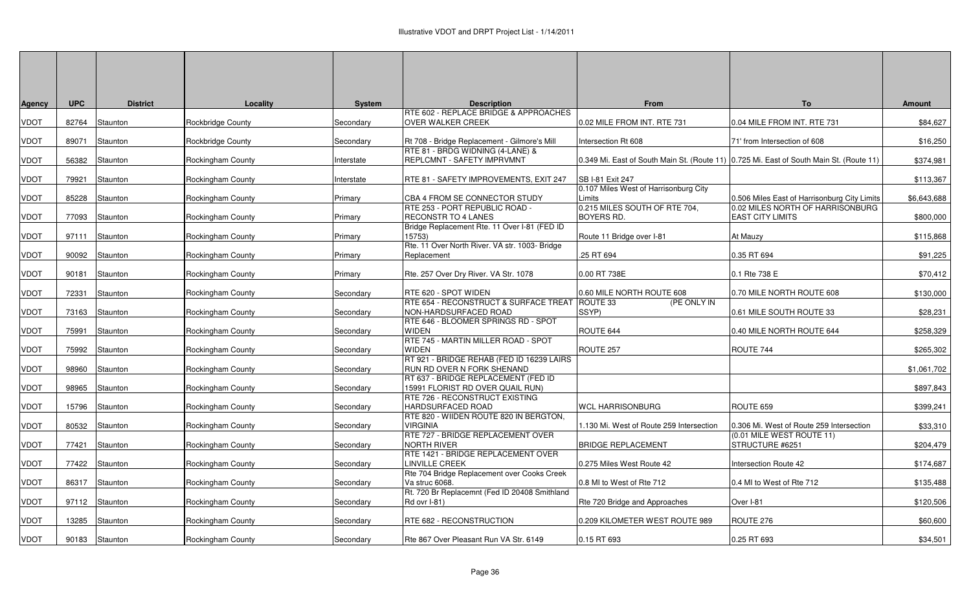| <b>Agency</b> | <b>UPC</b> | <b>District</b> | Locality          | <b>System</b> | <b>Description</b>                                                      | From                                                                                    | To                                                          | <b>Amount</b> |
|---------------|------------|-----------------|-------------------|---------------|-------------------------------------------------------------------------|-----------------------------------------------------------------------------------------|-------------------------------------------------------------|---------------|
|               |            |                 |                   |               | RTE 602 - REPLACE BRIDGE & APPROACHES                                   |                                                                                         |                                                             |               |
| <b>VDOT</b>   | 82764      | Staunton        | Rockbridge County | Secondary     | OVER WALKER CREEK                                                       | 0.02 MILE FROM INT. RTE 731                                                             | 0.04 MILE FROM INT. RTE 731                                 | \$84,627      |
| <b>VDOT</b>   | 89071      | Staunton        | Rockbridge County | Secondary     | Rt 708 - Bridge Replacement - Gilmore's Mill                            | Intersection Rt 608                                                                     | 71' from Intersection of 608                                | \$16,250      |
| <b>VDOT</b>   | 56382      | Staunton        | Rockingham County | Interstate    | RTE 81 - BRDG WIDNING (4-LANE) &<br>REPLCMNT - SAFETY IMPRVMNT          | 0.349 Mi. East of South Main St. (Route 11) 0.725 Mi. East of South Main St. (Route 11) |                                                             | \$374,981     |
| <b>VDOT</b>   | 79921      | Staunton        | Rockingham County | Interstate    | RTE 81 - SAFETY IMPROVEMENTS, EXIT 247                                  | SB I-81 Exit 247                                                                        |                                                             | \$113,367     |
| <b>VDOT</b>   | 85228      | Staunton        | Rockingham County | Primary       | CBA 4 FROM SE CONNECTOR STUDY                                           | 0.107 Miles West of Harrisonburg City<br>Limits                                         | 0.506 Miles East of Harrisonburg City Limits                | \$6,643,688   |
| <b>VDOT</b>   | 77093      | Staunton        | Rockingham County | Primary       | RTE 253 - PORT REPUBLIC ROAD -<br>RECONSTR TO 4 LANES                   | 0.215 MILES SOUTH OF RTE 704,<br><b>BOYERS RD.</b>                                      | 0.02 MILES NORTH OF HARRISONBURG<br><b>EAST CITY LIMITS</b> | \$800,000     |
| <b>VDOT</b>   | 97111      | Staunton        | Rockingham County | Primary       | Bridge Replacement Rte. 11 Over I-81 (FED ID<br>15753)                  | Route 11 Bridge over I-81                                                               | At Mauzy                                                    | \$115,868     |
| <b>VDOT</b>   | 90092      | Staunton        | Rockingham County | Primary       | Rte. 11 Over North River. VA str. 1003- Bridge<br>Replacement           | .25 RT 694                                                                              | 0.35 RT 694                                                 | \$91,225      |
| <b>VDOT</b>   | 90181      | Staunton        | Rockingham County | Primary       | Rte. 257 Over Dry River. VA Str. 1078                                   | 0.00 RT 738E                                                                            | 0.1 Rte 738 E                                               | \$70,412      |
| <b>VDOT</b>   | 72331      | Staunton        | Rockingham County | Secondary     | RTE 620 - SPOT WIDEN                                                    | 0.60 MILE NORTH ROUTE 608                                                               | 0.70 MILE NORTH ROUTE 608                                   | \$130,000     |
| <b>VDOT</b>   | 73163      | Staunton        | Rockingham County | Secondary     | RTE 654 - RECONSTRUCT & SURFACE TREAT<br>NON-HARDSURFACED ROAD          | ROUTE 33<br>(PE ONLY IN<br>SSYP)                                                        | 0.61 MILE SOUTH ROUTE 33                                    | \$28,231      |
| <b>VDOT</b>   | 75991      | Staunton        | Rockingham County | Secondary     | RTE 646 - BLOOMER SPRINGS RD - SPOT<br>WIDEN                            | ROUTE 644                                                                               | 0.40 MILE NORTH ROUTE 644                                   | \$258,329     |
| <b>VDOT</b>   | 75992      | Staunton        | Rockingham County | Secondary     | RTE 745 - MARTIN MILLER ROAD - SPOT<br>WIDEN                            | ROUTE 257                                                                               | ROUTE 744                                                   | \$265,302     |
| <b>VDOT</b>   | 98960      | Staunton        | Rockingham County | Secondary     | RT 921 - BRIDGE REHAB (FED ID 16239 LAIRS<br>RUN RD OVER N FORK SHENAND |                                                                                         |                                                             | \$1,061,702   |
| <b>VDOT</b>   | 98965      | Staunton        | Rockingham County | Secondary     | RT 637 - BRIDGE REPLACEMENT (FED ID<br>15991 FLORIST RD OVER QUAIL RUN) |                                                                                         |                                                             | \$897,843     |
| <b>VDOT</b>   | 15796      | Staunton        | Rockingham County | Secondary     | RTE 726 - RECONSTRUCT EXISTING<br><b>HARDSURFACED ROAD</b>              | <b>WCL HARRISONBURG</b>                                                                 | ROUTE 659                                                   | \$399,241     |
| <b>VDOT</b>   | 80532      | Staunton        | Rockingham County | Secondary     | RTE 820 - WIIDEN ROUTE 820 IN BERGTON.<br><b>VIRGINIA</b>               | 1.130 Mi. West of Route 259 Intersection                                                | 0.306 Mi. West of Route 259 Intersection                    | \$33,310      |
| <b>VDOT</b>   | 77421      | Staunton        | Rockingham County | Secondary     | RTE 727 - BRIDGE REPLACEMENT OVER<br><b>NORTH RIVER</b>                 | <b>BRIDGE REPLACEMENT</b>                                                               | (0.01 MILE WEST ROUTE 11)<br>STRUCTURE #6251                | \$204,479     |
| <b>VDOT</b>   | 77422      | Staunton        | Rockingham County | Secondary     | RTE 1421 - BRIDGE REPLACEMENT OVER<br>LINVILLE CREEK                    | 0.275 Miles West Route 42                                                               | Intersection Route 42                                       | \$174,687     |
| <b>VDOT</b>   | 86317      | Staunton        | Rockingham County | Secondary     | Rte 704 Bridge Replacement over Cooks Creek<br>Va struc 6068.           | 0.8 MI to West of Rte 712                                                               | 0.4 MI to West of Rte 712                                   | \$135,488     |
| <b>VDOT</b>   | 97112      | Staunton        | Rockingham County | Secondary     | Rt. 720 Br Replacemnt (Fed ID 20408 Smithland<br>Rd ovr I-81)           | Rte 720 Bridge and Approaches                                                           | Over I-81                                                   | \$120,506     |
| <b>VDOT</b>   | 13285      | Staunton        | Rockingham County | Secondary     | RTE 682 - RECONSTRUCTION                                                | 0.209 KILOMETER WEST ROUTE 989                                                          | ROUTE 276                                                   | \$60,600      |
| <b>VDOT</b>   |            | 90183 Staunton  | Rockingham County | Secondary     | Rte 867 Over Pleasant Run VA Str. 6149                                  | 0.15 RT 693                                                                             | 0.25 RT 693                                                 | \$34,501      |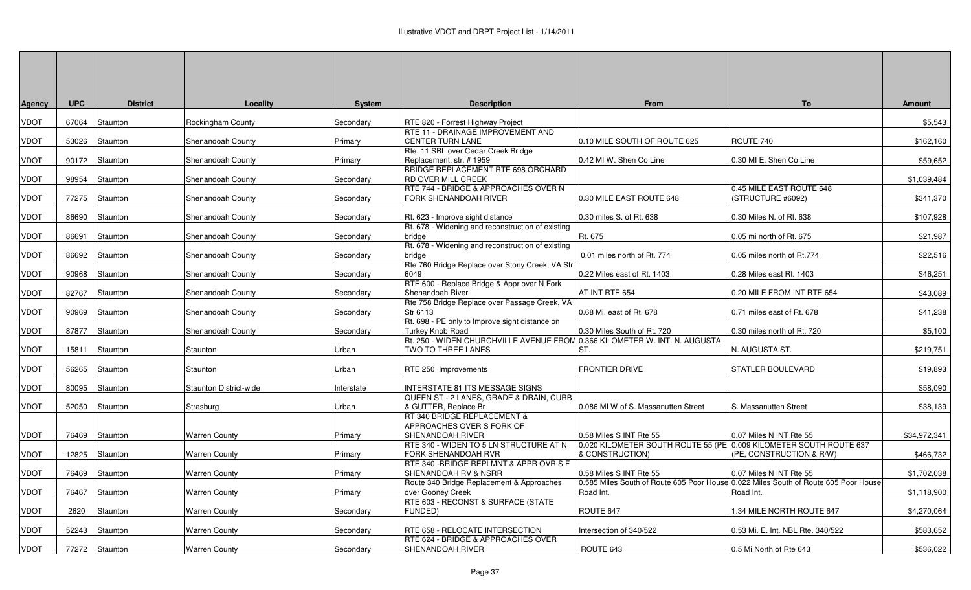| <b>Agency</b> | <b>UPC</b> | <b>District</b> | Locality               | <b>System</b> | <b>Description</b>                                                    | <b>From</b>                                                        | <b>To</b>                                                                           | <b>Amount</b> |
|---------------|------------|-----------------|------------------------|---------------|-----------------------------------------------------------------------|--------------------------------------------------------------------|-------------------------------------------------------------------------------------|---------------|
| <b>VDOT</b>   | 67064      | Staunton        | Rockingham County      | Secondary     | RTE 820 - Forrest Highway Project                                     |                                                                    |                                                                                     | \$5,543       |
|               |            |                 |                        |               | RTE 11 - DRAINAGE IMPROVEMENT AND                                     |                                                                    |                                                                                     |               |
| <b>VDOT</b>   | 53026      | Staunton        | Shenandoah County      | Primary       | <b>CENTER TURN LANE</b>                                               | 0.10 MILE SOUTH OF ROUTE 625                                       | ROUTE 740                                                                           | \$162,160     |
|               |            |                 |                        |               | Rte. 11 SBL over Cedar Creek Bridge                                   |                                                                    |                                                                                     |               |
| <b>VDOT</b>   | 90172      | Staunton        | Shenandoah County      | Primary       | Replacement, str. #1959<br>BRIDGE REPLACEMENT RTE 698 ORCHARD         | 0.42 MI W. Shen Co Line                                            | 0.30 MI E. Shen Co Line                                                             | \$59,652      |
| <b>VDOT</b>   | 98954      | Staunton        | Shenandoah County      | Secondary     | <b>RD OVER MILL CREEK</b>                                             |                                                                    |                                                                                     | \$1,039,484   |
|               |            |                 |                        |               | RTE 744 - BRIDGE & APPROACHES OVER N                                  |                                                                    | 0.45 MILE EAST ROUTE 648                                                            |               |
| <b>VDOT</b>   | 77275      | Staunton        | Shenandoah County      | Secondary     | FORK SHENANDOAH RIVER                                                 | 0.30 MILE EAST ROUTE 648                                           | (STRUCTURE #6092)                                                                   | \$341,370     |
|               |            |                 |                        |               |                                                                       |                                                                    |                                                                                     |               |
| <b>VDOT</b>   | 86690      | Staunton        | Shenandoah County      | Secondary     | Rt. 623 - Improve sight distance                                      | 0.30 miles S. of Rt. 638                                           | 0.30 Miles N. of Rt. 638                                                            | \$107,928     |
|               |            | Staunton        |                        |               | Rt. 678 - Widening and reconstruction of existing                     | Rt. 675                                                            | 0.05 mi north of Rt. 675                                                            |               |
| <b>VDOT</b>   | 86691      |                 | Shenandoah County      | Secondary     | bridge<br>Rt. 678 - Widening and reconstruction of existing           |                                                                    |                                                                                     | \$21,987      |
| <b>VDOT</b>   | 86692      | Staunton        | Shenandoah County      | Secondary     | bridge                                                                | 0.01 miles north of Rt. 774                                        | 0.05 miles north of Rt.774                                                          | \$22,516      |
|               |            |                 |                        |               | Rte 760 Bridge Replace over Stony Creek, VA Str                       |                                                                    |                                                                                     |               |
| <b>VDOT</b>   | 90968      | Staunton        | Shenandoah County      | Secondary     | 6049                                                                  | 0.22 Miles east of Rt. 1403                                        | 0.28 Miles east Rt. 1403                                                            | \$46,251      |
|               |            |                 |                        |               | RTE 600 - Replace Bridge & Appr over N Fork                           |                                                                    |                                                                                     |               |
| <b>VDOT</b>   | 82767      | Staunton        | Shenandoah County      | Secondary     | Shenandoah River                                                      | AT INT RTE 654                                                     | 0.20 MILE FROM INT RTE 654                                                          | \$43,089      |
|               |            |                 |                        |               | Rte 758 Bridge Replace over Passage Creek, VA<br>Str 6113             | 0.68 Mi. east of Rt. 678                                           | 0.71 miles east of Rt. 678                                                          |               |
| <b>VDOT</b>   | 90969      | Staunton        | Shenandoah County      | Secondary     | Rt. 698 - PE only to Improve sight distance on                        |                                                                    |                                                                                     | \$41,238      |
| <b>VDOT</b>   | 87877      | Staunton        | Shenandoah County      | Secondary     | Turkey Knob Road                                                      | 0.30 Miles South of Rt. 720                                        | 0.30 miles north of Rt. 720                                                         | \$5,100       |
|               |            |                 |                        |               | Rt. 250 - WIDEN CHURCHVILLE AVENUE FROM                               | 0.366 KILOMETER W. INT. N. AUGUSTA                                 |                                                                                     |               |
| <b>VDOT</b>   | 15811      | Staunton        | Staunton               | Urban         | TWO TO THREE LANES                                                    | ST.                                                                | N. AUGUSTA ST.                                                                      | \$219,751     |
|               |            |                 |                        |               |                                                                       |                                                                    |                                                                                     |               |
| <b>VDOT</b>   | 56265      | Staunton        | Staunton               | Urban         | RTE 250 Improvements                                                  | FRONTIER DRIVE                                                     | STATLER BOULEVARD                                                                   | \$19,893      |
|               |            | Staunton        | Staunton District-wide |               | <b>INTERSTATE 81 ITS MESSAGE SIGNS</b>                                |                                                                    |                                                                                     | \$58,090      |
| <b>VDOT</b>   | 80095      |                 |                        | nterstate     | QUEEN ST - 2 LANES, GRADE & DRAIN, CURB                               |                                                                    |                                                                                     |               |
| <b>VDOT</b>   | 52050      | Staunton        | Strasburg              | Urban         | & GUTTER, Replace Br                                                  | 0.086 MI W of S. Massanutten Street                                | S. Massanutten Street                                                               | \$38,139      |
|               |            |                 |                        |               | RT 340 BRIDGE REPLACEMENT &                                           |                                                                    |                                                                                     |               |
|               |            |                 |                        |               | APPROACHES OVER S FORK OF                                             |                                                                    |                                                                                     |               |
| <b>VDOT</b>   | 76469      | Staunton        | Warren County          | Primary       | SHENANDOAH RIVER                                                      | 0.58 Miles S INT Rte 55                                            | 0.07 Miles N INT Rte 55                                                             | \$34,972,341  |
|               |            |                 |                        |               | RTE 340 - WIDEN TO 5 LN STRUCTURE AT N                                | 0.020 KILOMETER SOUTH ROUTE 55 (PE 0.009 KILOMETER SOUTH ROUTE 637 |                                                                                     | \$466,732     |
| <b>VDOT</b>   | 12825      | Staunton        | <b>Warren County</b>   | Primary       | FORK SHENANDOAH RVR<br>RTE 340 - BRIDGE REPLMNT & APPR OVR S F        | & CONSTRUCTION)                                                    | (PE, CONSTRUCTION & R/W)                                                            |               |
| <b>VDOT</b>   | 76469      | Staunton        | <b>Warren County</b>   | Primary       | SHENANDOAH RV & NSRR                                                  | 0.58 Miles S INT Rte 55                                            | 0.07 Miles N INT Rte 55                                                             | \$1.702.038   |
|               |            |                 |                        |               | Route 340 Bridge Replacement & Approaches                             |                                                                    | 0.585 Miles South of Route 605 Poor House 0.022 Miles South of Route 605 Poor House |               |
| <b>VDOT</b>   | 76467      | Staunton        | <b>Warren County</b>   | Primary       | over Gooney Creek                                                     | Road Int.                                                          | Road Int.                                                                           | \$1,118,900   |
|               |            |                 |                        |               | RTE 603 - RECONST & SURFACE (STATE                                    |                                                                    |                                                                                     |               |
| <b>VDOT</b>   | 2620       | Staunton        | <b>Warren County</b>   | Secondary     | FUNDED)                                                               | ROUTE 647                                                          | 1.34 MILE NORTH ROUTE 647                                                           | \$4,270,064   |
|               |            |                 |                        |               |                                                                       |                                                                    |                                                                                     |               |
| <b>VDOT</b>   | 52243      | Staunton        | <b>Warren County</b>   | Secondary     | RTE 658 - RELOCATE INTERSECTION<br>RTE 624 - BRIDGE & APPROACHES OVER | Intersection of 340/522                                            | 0.53 Mi. E. Int. NBL Rte. 340/522                                                   | \$583,652     |
| <b>VDOT</b>   |            | 77272 Staunton  | <b>Warren County</b>   | Secondary     | SHENANDOAH RIVER                                                      | ROUTE 643                                                          | 0.5 Mi North of Rte 643                                                             | \$536,022     |
|               |            |                 |                        |               |                                                                       |                                                                    |                                                                                     |               |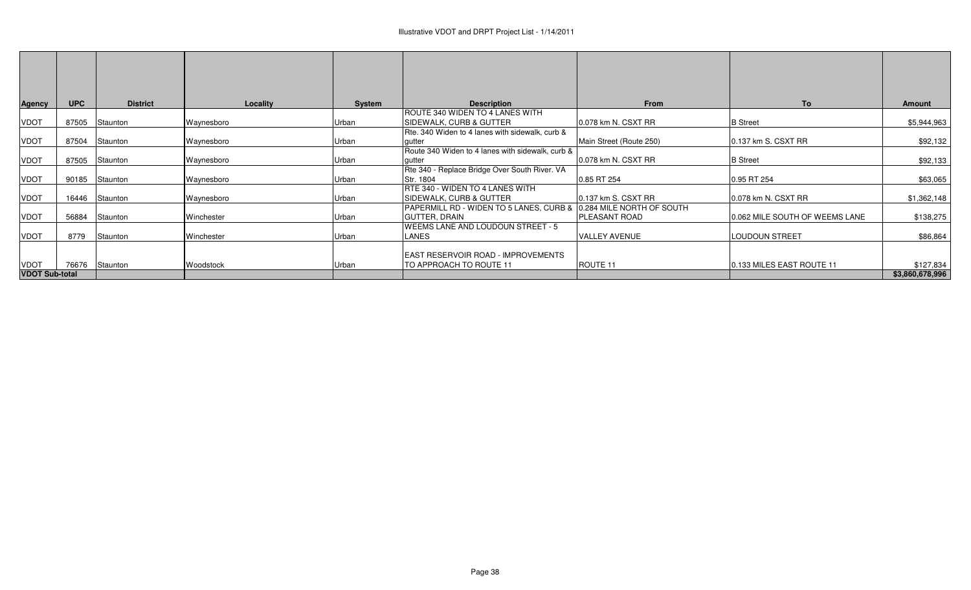| <b>Agency</b>         | <b>UPC</b> | <b>District</b> | Locality   | System | <b>Description</b>                               | From                      | To                             | Amount          |
|-----------------------|------------|-----------------|------------|--------|--------------------------------------------------|---------------------------|--------------------------------|-----------------|
|                       |            |                 |            |        | ROUTE 340 WIDEN TO 4 LANES WITH                  |                           |                                |                 |
| <b>VDOT</b>           | 87505      | Staunton        | Waynesboro | Urban  | SIDEWALK, CURB & GUTTER                          | 0.078 km N. CSXT RR       | <b>B</b> Street                | \$5,944,963     |
|                       |            |                 |            |        | Rte. 340 Widen to 4 lanes with sidewalk, curb &  |                           |                                |                 |
| <b>VDOT</b>           | 87504      | Staunton        | Waynesboro | Urban  | qutter                                           | Main Street (Route 250)   | 0.137 km S. CSXT RR            | \$92,132        |
|                       |            |                 |            |        | Route 340 Widen to 4 lanes with sidewalk, curb & |                           |                                |                 |
| <b>VDOT</b>           | 87505      | Staunton        | Waynesboro | Urban  | qutter                                           | 0.078 km N. CSXT RR       | <b>B</b> Street                | \$92,133        |
|                       |            |                 |            |        | Rte 340 - Replace Bridge Over South River. VA    |                           |                                |                 |
| <b>VDOT</b>           | 90185      | Staunton        | Waynesboro | Urban  | Str. 1804                                        | 0.85 RT 254               | 0.95 RT 254                    | \$63,065        |
|                       |            |                 |            |        | IRTE 340 - WIDEN TO 4 LANES WITH                 |                           |                                |                 |
| <b>VDOT</b>           | 16446      | Staunton        | Waynesboro | Urban  | SIDEWALK, CURB & GUTTER                          | 0.137 km S. CSXT RR       | 0.078 km N. CSXT RR            | \$1,362,148     |
|                       |            |                 |            |        | PAPERMILL RD - WIDEN TO 5 LANES, CURB &          | 0.284 MILE NORTH OF SOUTH |                                |                 |
| <b>VDOT</b>           | 56884      | Staunton        | Winchester | Urban  | IGUTTER. DRAIN                                   | PLEASANT ROAD             | 0.062 MILE SOUTH OF WEEMS LANE | \$138,275       |
|                       |            |                 |            |        | WEEMS LANE AND LOUDOUN STREET - 5                |                           |                                |                 |
| <b>VDOT</b>           | 8779       | Staunton        | Winchester | Urban  | LANES                                            | <b>VALLEY AVENUE</b>      | LOUDOUN STREET                 | \$86,864        |
|                       |            |                 |            |        |                                                  |                           |                                |                 |
|                       |            |                 |            |        | <b>EAST RESERVOIR ROAD - IMPROVEMENTS</b>        |                           |                                |                 |
| <b>VDOT</b>           | 76676      | Staunton        | Woodstock  | Urban  | TO APPROACH TO ROUTE 11                          | ROUTE 11                  | 0.133 MILES EAST ROUTE 11      | \$127,834       |
| <b>VDOT Sub-total</b> |            |                 |            |        |                                                  |                           |                                | \$3,860,678,996 |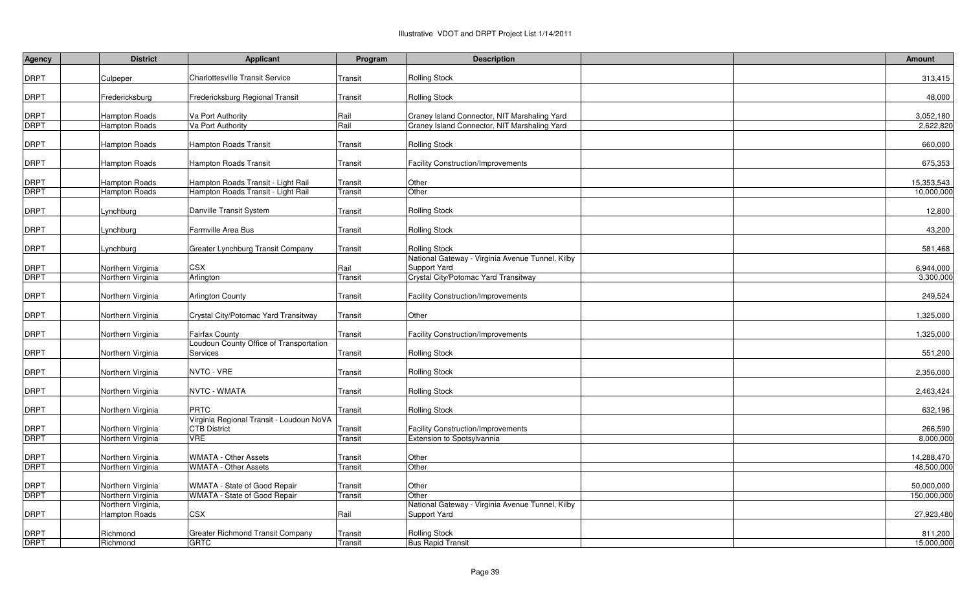| <b>Agency</b> | <b>District</b>      | <b>Applicant</b>                         | Program | <b>Description</b>                               | <b>Amount</b> |
|---------------|----------------------|------------------------------------------|---------|--------------------------------------------------|---------------|
| DRPT          | Culpeper             | <b>Charlottesville Transit Service</b>   | Transit | <b>Rolling Stock</b>                             | 313,415       |
|               |                      |                                          |         |                                                  |               |
| DRPT          | Fredericksburg       | Fredericksburg Regional Transit          | Transit | <b>Rolling Stock</b>                             | 48,000        |
| <b>DRPT</b>   | <b>Hampton Roads</b> | Va Port Authority                        | Rail    | Craney Island Connector, NIT Marshaling Yard     | 3,052,180     |
| <b>DRPT</b>   | Hampton Roads        | Va Port Authority                        | Rail    | Craney Island Connector, NIT Marshaling Yard     | 2,622,820     |
|               |                      |                                          |         |                                                  |               |
| DRPT          | Hampton Roads        | <b>Hampton Roads Transit</b>             | Transit | <b>Rolling Stock</b>                             | 660,000       |
| DRPT          | Hampton Roads        | <b>Hampton Roads Transit</b>             | Transit | <b>Facility Construction/Improvements</b>        | 675,353       |
|               |                      |                                          |         |                                                  |               |
| DRPT          | <b>Hampton Roads</b> | Hampton Roads Transit - Light Rail       | Transit | Other                                            | 15,353,543    |
| <b>DRPT</b>   | <b>Hampton Roads</b> | Hampton Roads Transit - Light Rail       | Transit | Other                                            | 10,000,000    |
| DRPT          | Lynchburg            | Danville Transit System                  | Transit | <b>Rolling Stock</b>                             | 12,800        |
| DRPT          | Lynchburg            | <b>Farmville Area Bus</b>                | Transit | <b>Rolling Stock</b>                             | 43,200        |
|               |                      |                                          |         |                                                  |               |
| DRPT          | Lynchburg            | Greater Lynchburg Transit Company        | Transit | <b>Rolling Stock</b>                             | 581,468       |
|               |                      |                                          |         | National Gateway - Virginia Avenue Tunnel, Kilby |               |
| DRPT          | Northern Virginia    | <b>CSX</b>                               | Rail    | Support Yard                                     | 6,944,000     |
| DRPT          | Northern Virginia    | Arlington                                | Transit | Crystal City/Potomac Yard Transitway             | 3,300,000     |
| DRPT          | Northern Virginia    | <b>Arlington County</b>                  | Transit | <b>Facility Construction/Improvements</b>        | 249,524       |
| DRPT          | Northern Virginia    | Crystal City/Potomac Yard Transitway     | Transit | Other                                            | 1,325,000     |
| DRPT          | Northern Virginia    | <b>Fairfax County</b>                    | Transit | <b>Facility Construction/Improvements</b>        | 1,325,000     |
|               |                      | Loudoun County Office of Transportation  |         |                                                  |               |
| DRPT          | Northern Virginia    | Services                                 | Transit | <b>Rolling Stock</b>                             | 551,200       |
| DRPT          | Northern Virginia    | NVTC - VRE                               | Transit | <b>Rolling Stock</b>                             | 2,356,000     |
|               |                      |                                          |         |                                                  |               |
| DRPT          | Northern Virginia    | <b>NVTC - WMATA</b>                      | Transit | <b>Rolling Stock</b>                             | 2,463,424     |
| DRPT          | Northern Virginia    | <b>PRTC</b>                              | Transit | <b>Rolling Stock</b>                             | 632,196       |
|               |                      | Virginia Regional Transit - Loudoun NoVA |         |                                                  |               |
| <b>DRPT</b>   | Northern Virginia    | <b>CTB District</b>                      | Transit | <b>Facility Construction/Improvements</b>        | 266,590       |
| DRPT          | Northern Virginia    | <b>VRE</b>                               | Transit | Extension to Spotsylvannia                       | 8,000,000     |
| DRPT          | Northern Virginia    | <b>WMATA - Other Assets</b>              | Transit | Other                                            | 14,288,470    |
| DRPT          | Northern Virginia    | <b>WMATA - Other Assets</b>              | Transit | Other                                            | 48,500,000    |
|               |                      |                                          |         |                                                  |               |
| <b>DRPT</b>   | Northern Virginia    | WMATA - State of Good Repair             | Transit | Other                                            | 50,000,000    |
| <b>DRPT</b>   | Northern Virginia    | WMATA - State of Good Repair             | Transit | Other                                            | 150,000,000   |
|               | Northern Virginia,   |                                          |         | National Gateway - Virginia Avenue Tunnel, Kilby |               |
| DRPT          | Hampton Roads        | <b>CSX</b>                               | Rail    | Support Yard                                     | 27,923,480    |
| DRPT          | Richmond             | <b>Greater Richmond Transit Company</b>  | Transit | <b>Rolling Stock</b>                             | 811,200       |
| DRPT          | Richmond             | <b>GRTC</b>                              | Transit | <b>Bus Rapid Transit</b>                         | 15,000,000    |
|               |                      |                                          |         |                                                  |               |